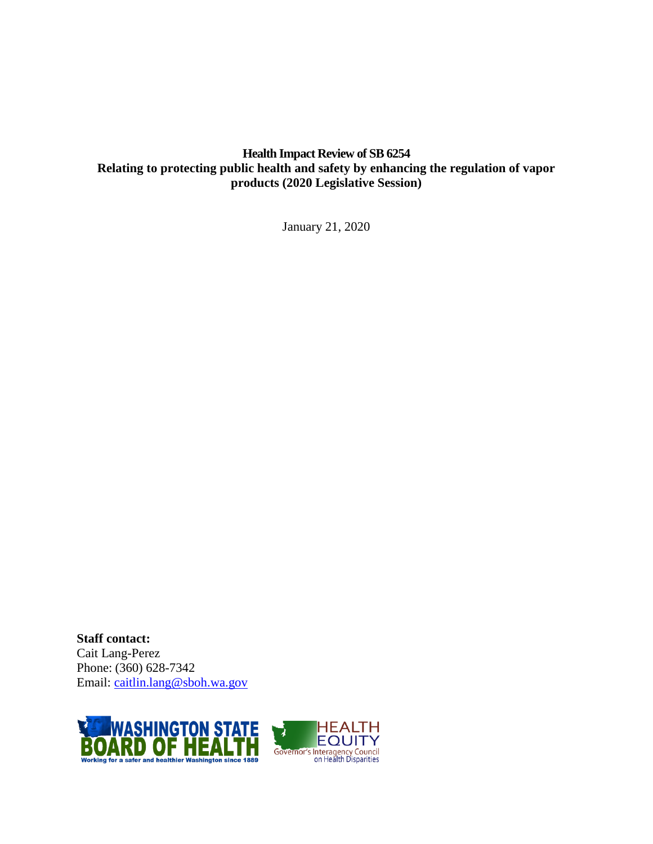# **Health Impact Review of SB 6254 Relating to protecting public health and safety by enhancing the regulation of vapor products (2020 Legislative Session)**

January 21, 2020

**Staff contact:** Cait Lang-Perez Phone: (360) 628-7342 Email: [caitlin.lang@sboh.wa.gov](mailto:caitlin.lang@sboh.wa.gov)

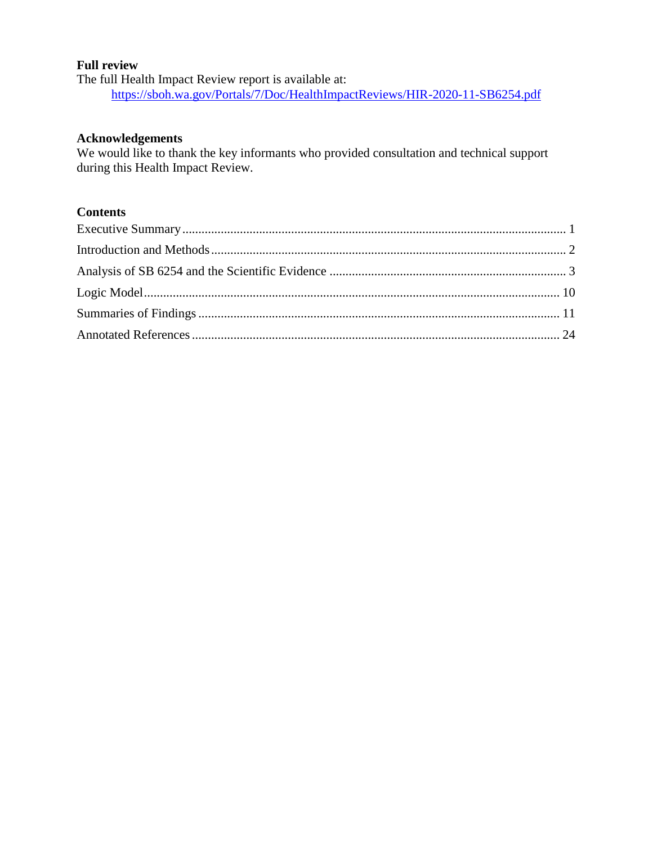#### **Full review**

The full Health Impact Review report is available at: <https://sboh.wa.gov/Portals/7/Doc/HealthImpactReviews/HIR-2020-11-SB6254.pdf>

#### **Acknowledgements**

We would like to thank the key informants who provided consultation and technical support during this Health Impact Review.

# **Contents**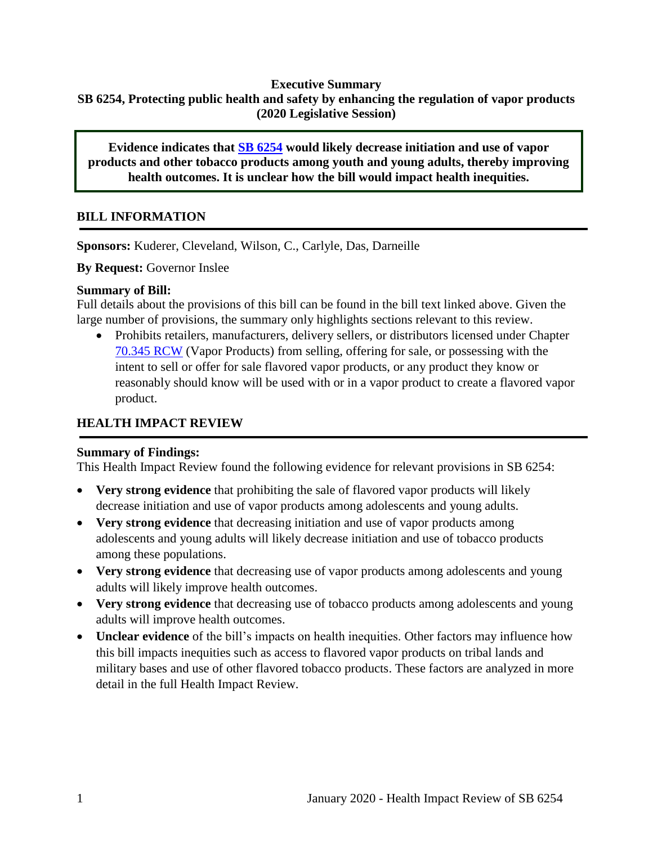# <span id="page-2-0"></span>**Executive Summary SB 6254, Protecting public health and safety by enhancing the regulation of vapor products (2020 Legislative Session)**

**Evidence indicates that [SB 6254](http://lawfilesext.leg.wa.gov/biennium/2019-20/Pdf/Bills/Senate%20Bills/6254.pdf?q=20200121155758) would likely decrease initiation and use of vapor products and other tobacco products among youth and young adults, thereby improving health outcomes. It is unclear how the bill would impact health inequities.**

# **BILL INFORMATION**

**Sponsors:** Kuderer, Cleveland, Wilson, C., Carlyle, Das, Darneille

**By Request:** Governor Inslee

#### **Summary of Bill:**

Full details about the provisions of this bill can be found in the bill text linked above. Given the large number of provisions, the summary only highlights sections relevant to this review.

 Prohibits retailers, manufacturers, delivery sellers, or distributors licensed under Chapter [70.345 RCW](https://app.leg.wa.gov/RCW/default.aspx?cite=70.345) (Vapor Products) from selling, offering for sale, or possessing with the intent to sell or offer for sale flavored vapor products, or any product they know or reasonably should know will be used with or in a vapor product to create a flavored vapor product.

# **HEALTH IMPACT REVIEW**

# **Summary of Findings:**

This Health Impact Review found the following evidence for relevant provisions in SB 6254:

- **Very strong evidence** that prohibiting the sale of flavored vapor products will likely decrease initiation and use of vapor products among adolescents and young adults.
- **Very strong evidence** that decreasing initiation and use of vapor products among adolescents and young adults will likely decrease initiation and use of tobacco products among these populations.
- **Very strong evidence** that decreasing use of vapor products among adolescents and young adults will likely improve health outcomes.
- **Very strong evidence** that decreasing use of tobacco products among adolescents and young adults will improve health outcomes.
- **Unclear evidence** of the bill's impacts on health inequities. Other factors may influence how this bill impacts inequities such as access to flavored vapor products on tribal lands and military bases and use of other flavored tobacco products. These factors are analyzed in more detail in the full Health Impact Review.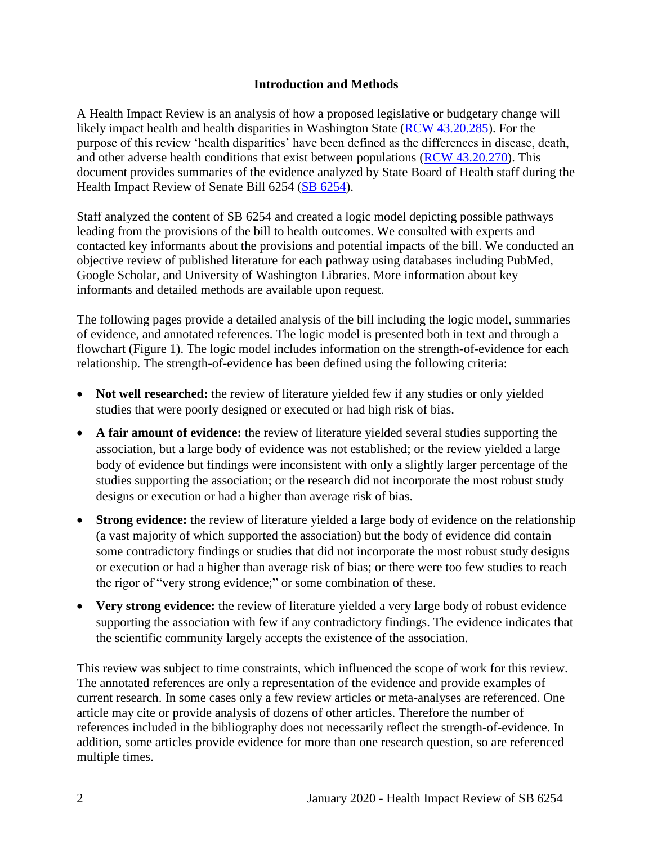#### **Introduction and Methods**

<span id="page-3-0"></span>A Health Impact Review is an analysis of how a proposed legislative or budgetary change will likely impact health and health disparities in Washington State [\(RCW 43.20.285\)](http://apps.leg.wa.gov/rcw/default.aspx?cite=43.20.285). For the purpose of this review 'health disparities' have been defined as the differences in disease, death, and other adverse health conditions that exist between populations [\(RCW 43.20.270\)](http://apps.leg.wa.gov/rcw/default.aspx?cite=43.20.270). This document provides summaries of the evidence analyzed by State Board of Health staff during the Health Impact Review of Senate Bill 6254 [\(SB 6254\)](https://app.leg.wa.gov/billsummary?BillNumber=6254&Year=2019&Initiative=false).

Staff analyzed the content of SB 6254 and created a logic model depicting possible pathways leading from the provisions of the bill to health outcomes. We consulted with experts and contacted key informants about the provisions and potential impacts of the bill. We conducted an objective review of published literature for each pathway using databases including PubMed, Google Scholar, and University of Washington Libraries. More information about key informants and detailed methods are available upon request.

The following pages provide a detailed analysis of the bill including the logic model, summaries of evidence, and annotated references. The logic model is presented both in text and through a flowchart (Figure 1). The logic model includes information on the strength-of-evidence for each relationship. The strength-of-evidence has been defined using the following criteria:

- Not well researched: the review of literature yielded few if any studies or only yielded studies that were poorly designed or executed or had high risk of bias.
- **A fair amount of evidence:** the review of literature yielded several studies supporting the association, but a large body of evidence was not established; or the review yielded a large body of evidence but findings were inconsistent with only a slightly larger percentage of the studies supporting the association; or the research did not incorporate the most robust study designs or execution or had a higher than average risk of bias.
- **Strong evidence:** the review of literature yielded a large body of evidence on the relationship (a vast majority of which supported the association) but the body of evidence did contain some contradictory findings or studies that did not incorporate the most robust study designs or execution or had a higher than average risk of bias; or there were too few studies to reach the rigor of "very strong evidence;" or some combination of these.
- Very strong evidence: the review of literature yielded a very large body of robust evidence supporting the association with few if any contradictory findings. The evidence indicates that the scientific community largely accepts the existence of the association.

This review was subject to time constraints, which influenced the scope of work for this review. The annotated references are only a representation of the evidence and provide examples of current research. In some cases only a few review articles or meta-analyses are referenced. One article may cite or provide analysis of dozens of other articles. Therefore the number of references included in the bibliography does not necessarily reflect the strength-of-evidence. In addition, some articles provide evidence for more than one research question, so are referenced multiple times.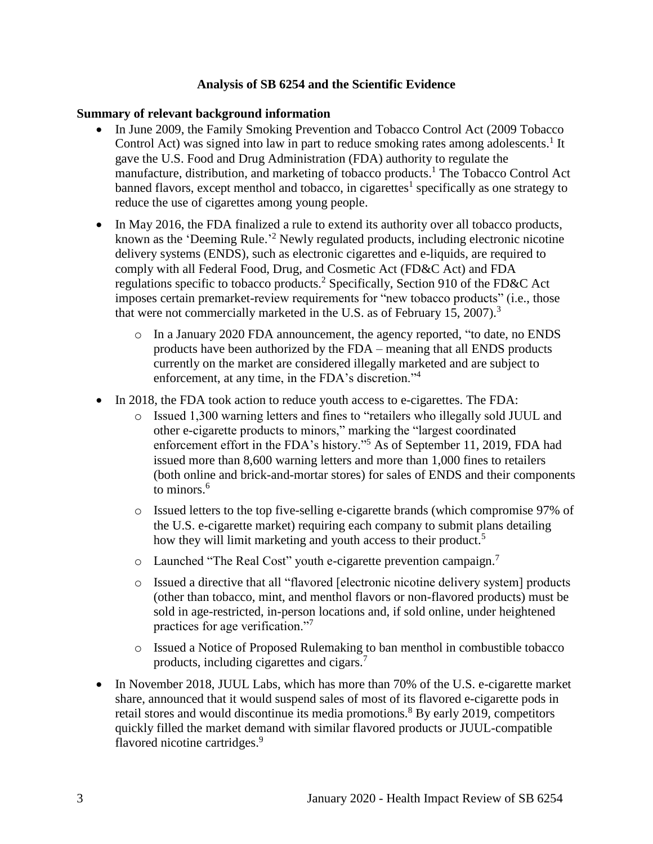#### **Analysis of SB 6254 and the Scientific Evidence**

#### <span id="page-4-0"></span>**Summary of relevant background information**

- In June 2009, the Family Smoking Prevention and Tobacco Control Act (2009 Tobacco Control Act) was signed into law in part to reduce smoking rates among adolescents.<sup>1</sup> It gave the U.S. Food and Drug Administration (FDA) authority to regulate the manufacture, distribution, and marketing of tobacco products. <sup>1</sup> The Tobacco Control Act banned flavors, except menthol and tobacco, in cigarettes<sup>1</sup> specifically as one strategy to reduce the use of cigarettes among young people.
- In May 2016, the FDA finalized a rule to extend its authority over all tobacco products, known as the 'Deeming Rule.<sup>2</sup> Newly regulated products, including electronic nicotine delivery systems (ENDS), such as electronic cigarettes and e-liquids, are required to comply with all Federal Food, Drug, and Cosmetic Act (FD&C Act) and FDA regulations specific to tobacco products.<sup>2</sup> Specifically, Section 910 of the FD&C Act imposes certain premarket-review requirements for "new tobacco products" (i.e., those that were not commercially marketed in the U.S. as of February 15, 2007).<sup>3</sup>
	- o In a January 2020 FDA announcement, the agency reported, "to date, no ENDS products have been authorized by the FDA – meaning that all ENDS products currently on the market are considered illegally marketed and are subject to enforcement, at any time, in the FDA's discretion."<sup>4</sup>
- In 2018, the FDA took action to reduce youth access to e-cigarettes. The FDA:
	- o Issued 1,300 warning letters and fines to "retailers who illegally sold JUUL and other e-cigarette products to minors," marking the "largest coordinated enforcement effort in the FDA's history."<sup>5</sup> As of September 11, 2019, FDA had issued more than 8,600 warning letters and more than 1,000 fines to retailers (both online and brick-and-mortar stores) for sales of ENDS and their components to minors.<sup>6</sup>
	- o Issued letters to the top five-selling e-cigarette brands (which compromise 97% of the U.S. e-cigarette market) requiring each company to submit plans detailing how they will limit marketing and youth access to their product.<sup>5</sup>
	- $\circ$  Launched "The Real Cost" youth e-cigarette prevention campaign.<sup>7</sup>
	- o Issued a directive that all "flavored [electronic nicotine delivery system] products (other than tobacco, mint, and menthol flavors or non-flavored products) must be sold in age-restricted, in-person locations and, if sold online, under heightened practices for age verification."<sup>7</sup>
	- o Issued a Notice of Proposed Rulemaking to ban menthol in combustible tobacco products, including cigarettes and cigars.<sup>7</sup>
- In November 2018, JUUL Labs, which has more than 70% of the U.S. e-cigarette market share, announced that it would suspend sales of most of its flavored e-cigarette pods in retail stores and would discontinue its media promotions.<sup>8</sup> By early 2019, competitors quickly filled the market demand with similar flavored products or JUUL-compatible flavored nicotine cartridges.<sup>9</sup>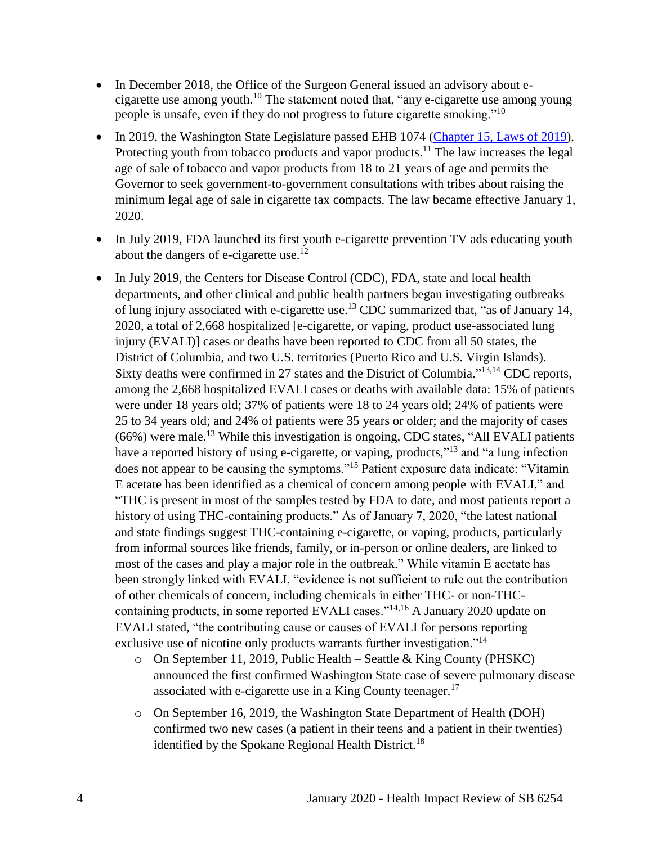- In December 2018, the Office of the Surgeon General issued an advisory about ecigarette use among youth.<sup>10</sup> The statement noted that, "any e-cigarette use among young people is unsafe, even if they do not progress to future cigarette smoking."<sup>10</sup>
- In 2019, the Washington State Legislature passed EHB 1074 [\(Chapter 15, Laws of 2019\)](http://lawfilesext.leg.wa.gov/biennium/2019-20/Pdf/Bills/Session%20Laws/House/1074.SL.pdf), Protecting youth from tobacco products and vapor products.<sup>11</sup> The law increases the legal age of sale of tobacco and vapor products from 18 to 21 years of age and permits the Governor to seek government-to-government consultations with tribes about raising the minimum legal age of sale in cigarette tax compacts. The law became effective January 1, 2020.
- In July 2019, FDA launched its first youth e-cigarette prevention TV ads educating youth about the dangers of e-cigarette use.<sup>12</sup>
- In July 2019, the Centers for Disease Control (CDC), FDA, state and local health departments, and other clinical and public health partners began investigating outbreaks of lung injury associated with e-cigarette use.<sup>13</sup> CDC summarized that, "as of January 14, 2020, a total of 2,668 hospitalized [e-cigarette, or vaping, product use-associated lung injury (EVALI)] cases or deaths have been reported to CDC from all 50 states, the District of Columbia, and two U.S. territories (Puerto Rico and U.S. Virgin Islands). Sixty deaths were confirmed in 27 states and the District of Columbia."<sup>[13,](#page-30-0)[14](#page-31-0)</sup> CDC reports, among the 2,668 hospitalized EVALI cases or deaths with available data: 15% of patients were under 18 years old; 37% of patients were 18 to 24 years old; 24% of patients were 25 to 34 years old; and 24% of patients were 35 years or older; and the majority of cases (66%) were male.<sup>13</sup> While this investigation is ongoing, CDC states, "All EVALI patients have a reported history of using e-cigarette, or vaping, products,"<sup>13</sup> and "a lung infection does not appear to be causing the symptoms."<sup>15</sup> Patient exposure data indicate: "Vitamin" E acetate has been identified as a chemical of concern among people with EVALI," and "THC is present in most of the samples tested by FDA to date, and most patients report a history of using THC-containing products." As of January 7, 2020, "the latest national and state findings suggest THC-containing e-cigarette, or vaping, products, particularly from informal sources like friends, family, or in-person or online dealers, are linked to most of the cases and play a major role in the outbreak." While vitamin E acetate has been strongly linked with EVALI, "evidence is not sufficient to rule out the contribution of other chemicals of concern, including chemicals in either THC- or non-THCcontaining products, in some reported EVALI cases."[14,](#page-31-0)[16](#page-32-0) A January 2020 update on EVALI stated, "the contributing cause or causes of EVALI for persons reporting exclusive use of nicotine only products warrants further investigation."<sup>14</sup>
	- $\circ$  On September 11, 2019, Public Health Seattle & King County (PHSKC) announced the first confirmed Washington State case of severe pulmonary disease associated with e-cigarette use in a King County teenager.<sup>17</sup>
	- o On September 16, 2019, the Washington State Department of Health (DOH) confirmed two new cases (a patient in their teens and a patient in their twenties) identified by the Spokane Regional Health District.<sup>18</sup>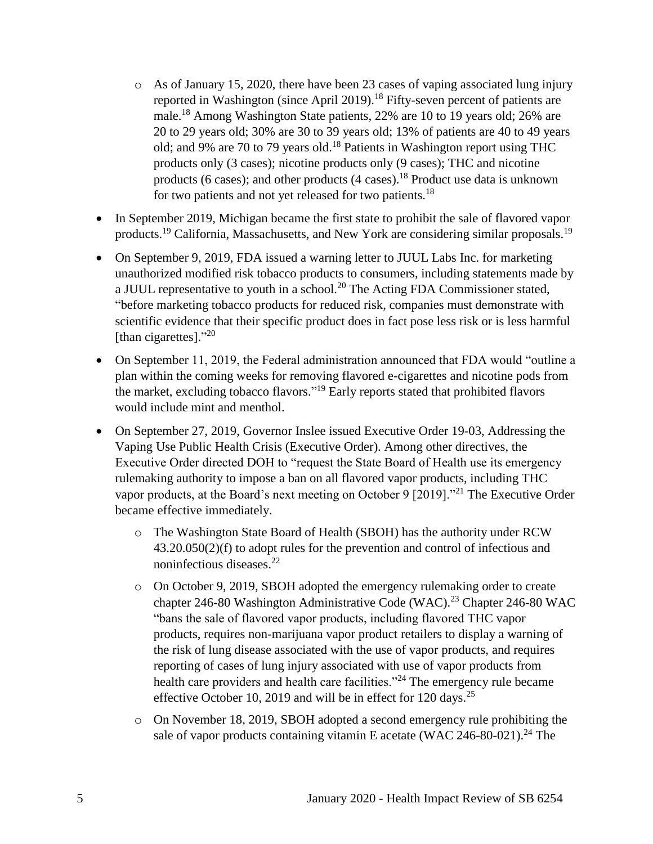- o As of January 15, 2020, there have been 23 cases of vaping associated lung injury reported in Washington (since April 2019).<sup>18</sup> Fifty-seven percent of patients are male.<sup>18</sup> Among Washington State patients, 22% are 10 to 19 years old; 26% are 20 to 29 years old; 30% are 30 to 39 years old; 13% of patients are 40 to 49 years old; and 9% are 70 to 79 years old.<sup>18</sup> Patients in Washington report using THC products only (3 cases); nicotine products only (9 cases); THC and nicotine products (6 cases); and other products (4 cases).<sup>18</sup> Product use data is unknown for two patients and not yet released for two patients.<sup>18</sup>
- In September 2019, Michigan became the first state to prohibit the sale of flavored vapor products.<sup>19</sup> California, Massachusetts, and New York are considering similar proposals.<sup>19</sup>
- On September 9, 2019, FDA issued a warning letter to JUUL Labs Inc. for marketing unauthorized modified risk tobacco products to consumers, including statements made by a JUUL representative to youth in a school.<sup>20</sup> The Acting FDA Commissioner stated, "before marketing tobacco products for reduced risk, companies must demonstrate with scientific evidence that their specific product does in fact pose less risk or is less harmful [than cigarettes]."<sup>20</sup>
- On September 11, 2019, the Federal administration announced that FDA would "outline a plan within the coming weeks for removing flavored e-cigarettes and nicotine pods from the market, excluding tobacco flavors." <sup>19</sup> Early reports stated that prohibited flavors would include mint and menthol.
- On September 27, 2019, Governor Inslee issued Executive Order 19-03, Addressing the Vaping Use Public Health Crisis (Executive Order). Among other directives, the Executive Order directed DOH to "request the State Board of Health use its emergency rulemaking authority to impose a ban on all flavored vapor products, including THC vapor products, at the Board's next meeting on October 9 [2019]."<sup>21</sup> The Executive Order became effective immediately.
	- o The Washington State Board of Health (SBOH) has the authority under RCW 43.20.050(2)(f) to adopt rules for the prevention and control of infectious and noninfectious diseases.<sup>22</sup>
	- o On October 9, 2019, SBOH adopted the emergency rulemaking order to create chapter 246-80 Washington Administrative Code (WAC).<sup>23</sup> Chapter 246-80 WAC "bans the sale of flavored vapor products, including flavored THC vapor products, requires non-marijuana vapor product retailers to display a warning of the risk of lung disease associated with the use of vapor products, and requires reporting of cases of lung injury associated with use of vapor products from health care providers and health care facilities."<sup>24</sup> The emergency rule became effective October 10, 2019 and will be in effect for 120 days.<sup>25</sup>
	- o On November 18, 2019, SBOH adopted a second emergency rule prohibiting the sale of vapor products containing vitamin E acetate (WAC 246-80-021).<sup>24</sup> The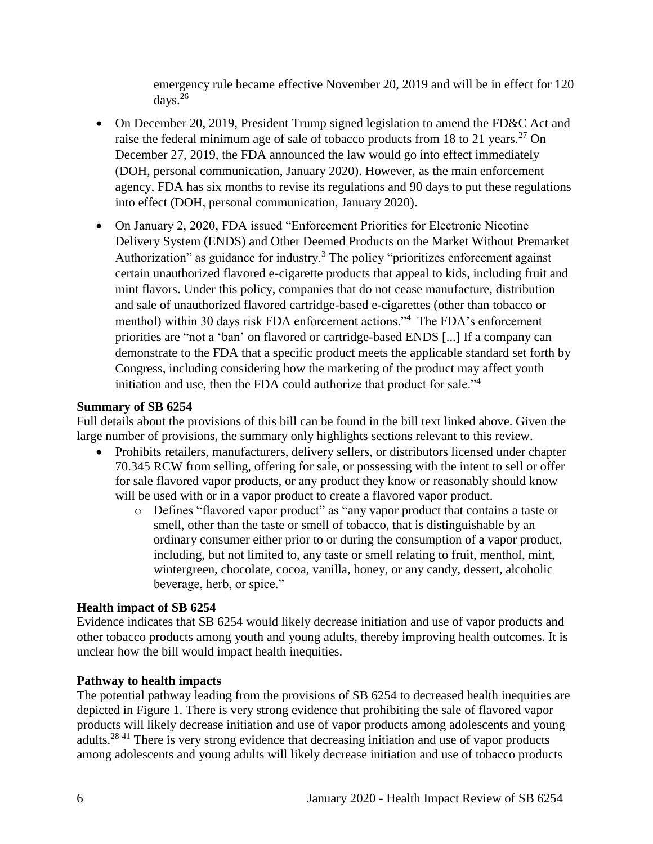emergency rule became effective November 20, 2019 and will be in effect for 120 days.<sup>26</sup>

- On December 20, 2019, President Trump signed legislation to amend the FD&C Act and raise the federal minimum age of sale of tobacco products from 18 to 21 years.<sup>27</sup> On December 27, 2019, the FDA announced the law would go into effect immediately (DOH, personal communication, January 2020). However, as the main enforcement agency, FDA has six months to revise its regulations and 90 days to put these regulations into effect (DOH, personal communication, January 2020).
- On January 2, 2020, FDA issued "Enforcement Priorities for Electronic Nicotine Delivery System (ENDS) and Other Deemed Products on the Market Without Premarket Authorization" as guidance for industry.<sup>3</sup> The policy "prioritizes enforcement against certain unauthorized flavored e-cigarette products that appeal to kids, including fruit and mint flavors. Under this policy, companies that do not cease manufacture, distribution and sale of unauthorized flavored cartridge-based e-cigarettes (other than tobacco or menthol) within 30 days risk FDA enforcement actions."<sup>4</sup> The FDA's enforcement priorities are "not a 'ban' on flavored or cartridge-based ENDS [...] If a company can demonstrate to the FDA that a specific product meets the applicable standard set forth by Congress, including considering how the marketing of the product may affect youth initiation and use, then the FDA could authorize that product for sale."<sup>4</sup>

#### **Summary of SB 6254**

Full details about the provisions of this bill can be found in the bill text linked above. Given the large number of provisions, the summary only highlights sections relevant to this review.

- Prohibits retailers, manufacturers, delivery sellers, or distributors licensed under chapter 70.345 RCW from selling, offering for sale, or possessing with the intent to sell or offer for sale flavored vapor products, or any product they know or reasonably should know will be used with or in a vapor product to create a flavored vapor product.
	- o Defines "flavored vapor product" as "any vapor product that contains a taste or smell, other than the taste or smell of tobacco, that is distinguishable by an ordinary consumer either prior to or during the consumption of a vapor product, including, but not limited to, any taste or smell relating to fruit, menthol, mint, wintergreen, chocolate, cocoa, vanilla, honey, or any candy, dessert, alcoholic beverage, herb, or spice."

# **Health impact of SB 6254**

Evidence indicates that SB 6254 would likely decrease initiation and use of vapor products and other tobacco products among youth and young adults, thereby improving health outcomes. It is unclear how the bill would impact health inequities.

# **Pathway to health impacts**

The potential pathway leading from the provisions of SB 6254 to decreased health inequities are depicted in Figure 1. There is very strong evidence that prohibiting the sale of flavored vapor products will likely decrease initiation and use of vapor products among adolescents and young adults.28-41 There is very strong evidence that decreasing initiation and use of vapor products among adolescents and young adults will likely decrease initiation and use of tobacco products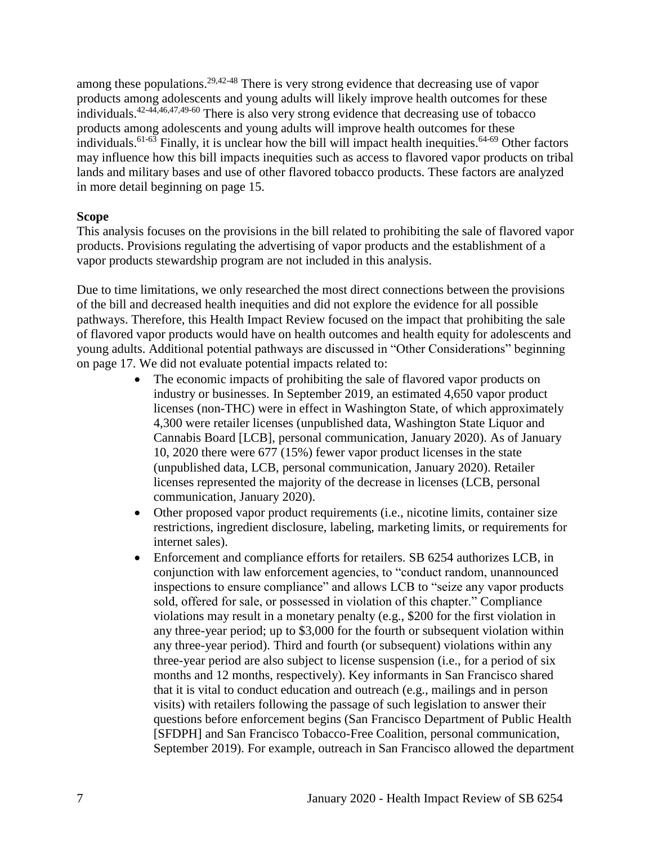among these populations.<sup>[29,](#page-35-0)[42-48](#page-44-0)</sup> There is very strong evidence that decreasing use of vapor products among adolescents and young adults will likely improve health outcomes for these individuals. [42-44](#page-44-0)[,46](#page-46-0)[,47](#page-46-1)[,49-60](#page-47-0) There is also very strong evidence that decreasing use of tobacco products among adolescents and young adults will improve health outcomes for these individuals.<sup>61-63</sup> Finally, it is unclear how the bill will impact health inequities.<sup>64-69</sup> Other factors may influence how this bill impacts inequities such as access to flavored vapor products on tribal lands and military bases and use of other flavored tobacco products. These factors are analyzed in more detail beginning on page 15.

#### **Scope**

This analysis focuses on the provisions in the bill related to prohibiting the sale of flavored vapor products. Provisions regulating the advertising of vapor products and the establishment of a vapor products stewardship program are not included in this analysis.

Due to time limitations, we only researched the most direct connections between the provisions of the bill and decreased health inequities and did not explore the evidence for all possible pathways. Therefore, this Health Impact Review focused on the impact that prohibiting the sale of flavored vapor products would have on health outcomes and health equity for adolescents and young adults. Additional potential pathways are discussed in "Other Considerations" beginning on page 17. We did not evaluate potential impacts related to:

- The economic impacts of prohibiting the sale of flavored vapor products on industry or businesses. In September 2019, an estimated 4,650 vapor product licenses (non-THC) were in effect in Washington State, of which approximately 4,300 were retailer licenses (unpublished data, Washington State Liquor and Cannabis Board [LCB], personal communication, January 2020). As of January 10, 2020 there were 677 (15%) fewer vapor product licenses in the state (unpublished data, LCB, personal communication, January 2020). Retailer licenses represented the majority of the decrease in licenses (LCB, personal communication, January 2020).
- Other proposed vapor product requirements (i.e., nicotine limits, container size restrictions, ingredient disclosure, labeling, marketing limits, or requirements for internet sales).
- Enforcement and compliance efforts for retailers. SB 6254 authorizes LCB, in conjunction with law enforcement agencies, to "conduct random, unannounced inspections to ensure compliance" and allows LCB to "seize any vapor products sold, offered for sale, or possessed in violation of this chapter." Compliance violations may result in a monetary penalty (e.g., \$200 for the first violation in any three-year period; up to \$3,000 for the fourth or subsequent violation within any three-year period). Third and fourth (or subsequent) violations within any three-year period are also subject to license suspension (i.e., for a period of six months and 12 months, respectively). Key informants in San Francisco shared that it is vital to conduct education and outreach (e.g., mailings and in person visits) with retailers following the passage of such legislation to answer their questions before enforcement begins (San Francisco Department of Public Health [SFDPH] and San Francisco Tobacco-Free Coalition, personal communication, September 2019). For example, outreach in San Francisco allowed the department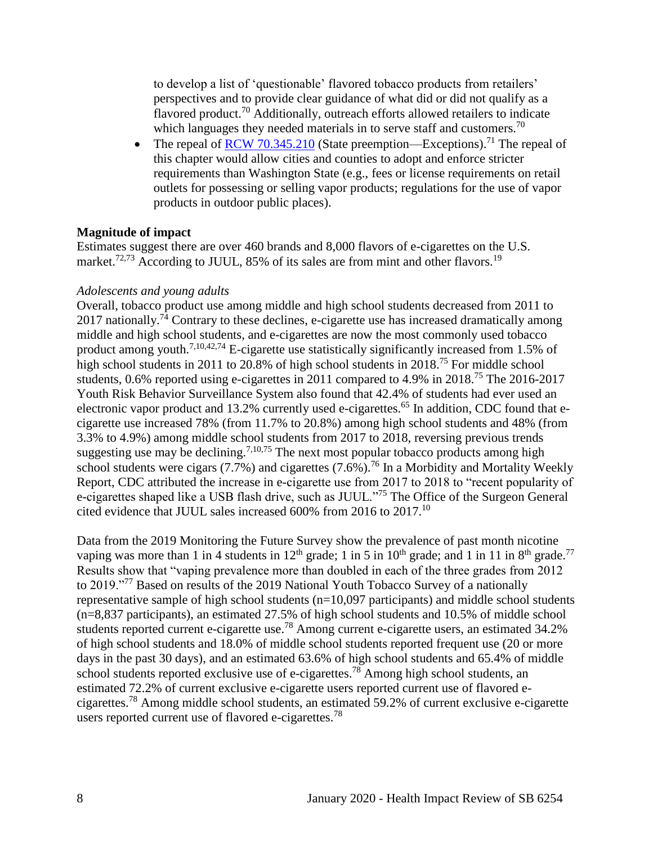to develop a list of 'questionable' flavored tobacco products from retailers' perspectives and to provide clear guidance of what did or did not qualify as a flavored product.<sup>70</sup> Additionally, outreach efforts allowed retailers to indicate which languages they needed materials in to serve staff and customers.<sup>70</sup>

• The repeal of [RCW 70.345.210](https://app.leg.wa.gov/RCW/default.aspx?cite=70.345.210) (State preemption—Exceptions).<sup>71</sup> The repeal of this chapter would allow cities and counties to adopt and enforce stricter requirements than Washington State (e.g., fees or license requirements on retail outlets for possessing or selling vapor products; regulations for the use of vapor products in outdoor public places).

#### **Magnitude of impact**

Estimates suggest there are over 460 brands and 8,000 flavors of e-cigarettes on the U.S. market.<sup>[72,](#page-57-0)[73](#page-58-0)</sup> According to JUUL, 85% of its sales are from mint and other flavors.<sup>19</sup>

#### *Adolescents and young adults*

Overall, tobacco product use among middle and high school students decreased from 2011 to 2017 nationally.<sup>74</sup> Contrary to these declines, e-cigarette use has increased dramatically among middle and high school students, and e-cigarettes are now the most commonly used tobacco product among youth.<sup>[7,](#page-27-0)[10,](#page-29-0)[42,](#page-44-0)[74](#page-58-1)</sup> E-cigarette use statistically significantly increased from 1.5% of high school students in 2011 to 20.8% of high school students in 2018.<sup>75</sup> For middle school students, 0.6% reported using e-cigarettes in 2011 compared to 4.9% in 2018.<sup>75</sup> The 2016-2017 Youth Risk Behavior Surveillance System also found that 42.4% of students had ever used an electronic vapor product and 13.2% currently used e-cigarettes.<sup>65</sup> In addition, CDC found that ecigarette use increased 78% (from 11.7% to 20.8%) among high school students and 48% (from 3.3% to 4.9%) among middle school students from 2017 to 2018, reversing previous trends suggesting use may be declining.<sup>[7](#page-27-0)[,10](#page-29-0)[,75](#page-59-0)</sup> The next most popular tobacco products among high school students were cigars  $(7.7\%)$  and cigarettes  $(7.6\%)$ .<sup>76</sup> In a Morbidity and Mortality Weekly Report, CDC attributed the increase in e-cigarette use from 2017 to 2018 to "recent popularity of e-cigarettes shaped like a USB flash drive, such as JUUL."<sup>75</sup> The Office of the Surgeon General cited evidence that JUUL sales increased 600% from 2016 to 2017.<sup>10</sup>

Data from the 2019 Monitoring the Future Survey show the prevalence of past month nicotine vaping was more than 1 in 4 students in  $12<sup>th</sup>$  grade; 1 in 5 in  $10<sup>th</sup>$  grade; and 1 in 11 in 8<sup>th</sup> grade.<sup>77</sup> Results show that "vaping prevalence more than doubled in each of the three grades from 2012 to 2019."<sup>77</sup> Based on results of the 2019 National Youth Tobacco Survey of a nationally representative sample of high school students (n=10,097 participants) and middle school students (n=8,837 participants), an estimated 27.5% of high school students and 10.5% of middle school students reported current e-cigarette use.<sup>78</sup> Among current e-cigarette users, an estimated 34.2% of high school students and 18.0% of middle school students reported frequent use (20 or more days in the past 30 days), and an estimated 63.6% of high school students and 65.4% of middle school students reported exclusive use of e-cigarettes.<sup>78</sup> Among high school students, an estimated 72.2% of current exclusive e-cigarette users reported current use of flavored ecigarettes.<sup>78</sup> Among middle school students, an estimated 59.2% of current exclusive e-cigarette users reported current use of flavored e-cigarettes.<sup>78</sup>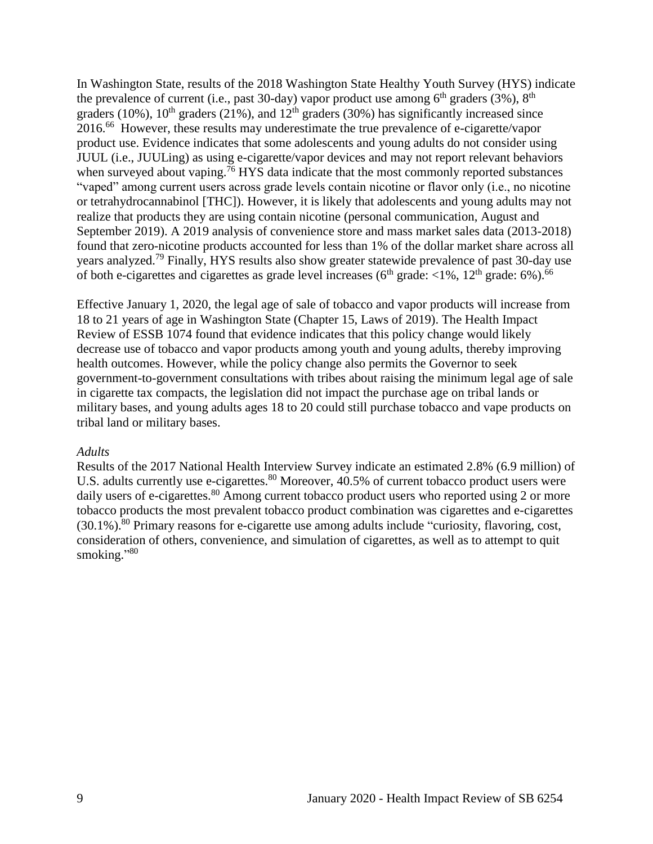In Washington State, results of the 2018 Washington State Healthy Youth Survey (HYS) indicate the prevalence of current (i.e., past 30-day) vapor product use among  $6<sup>th</sup>$  graders (3%),  $8<sup>th</sup>$ graders (10%),  $10^{th}$  graders (21%), and  $12^{th}$  graders (30%) has significantly increased since 2016.<sup>66</sup> However, these results may underestimate the true prevalence of e-cigarette/vapor product use. Evidence indicates that some adolescents and young adults do not consider using JUUL (i.e., JUULing) as using e-cigarette/vapor devices and may not report relevant behaviors when surveyed about vaping.<sup>76</sup> HYS data indicate that the most commonly reported substances "vaped" among current users across grade levels contain nicotine or flavor only (i.e., no nicotine or tetrahydrocannabinol [THC]). However, it is likely that adolescents and young adults may not realize that products they are using contain nicotine (personal communication, August and September 2019). A 2019 analysis of convenience store and mass market sales data (2013-2018) found that zero-nicotine products accounted for less than 1% of the dollar market share across all years analyzed.<sup>79</sup> Finally, HYS results also show greater statewide prevalence of past 30-day use of both e-cigarettes and cigarettes as grade level increases ( $6<sup>th</sup>$  grade:  $<1%$ ,  $12<sup>th</sup>$  grade:  $6%$ ).<sup>66</sup>

Effective January 1, 2020, the legal age of sale of tobacco and vapor products will increase from 18 to 21 years of age in Washington State (Chapter 15, Laws of 2019). The Health Impact Review of ESSB 1074 found that evidence indicates that this policy change would likely decrease use of tobacco and vapor products among youth and young adults, thereby improving health outcomes. However, while the policy change also permits the Governor to seek government-to-government consultations with tribes about raising the minimum legal age of sale in cigarette tax compacts, the legislation did not impact the purchase age on tribal lands or military bases, and young adults ages 18 to 20 could still purchase tobacco and vape products on tribal land or military bases.

#### *Adults*

Results of the 2017 National Health Interview Survey indicate an estimated 2.8% (6.9 million) of U.S. adults currently use e-cigarettes.<sup>80</sup> Moreover, 40.5% of current tobacco product users were daily users of e-cigarettes.<sup>80</sup> Among current tobacco product users who reported using 2 or more tobacco products the most prevalent tobacco product combination was cigarettes and e-cigarettes  $(30.1\%)$ <sup>80</sup> Primary reasons for e-cigarette use among adults include "curiosity, flavoring, cost, consideration of others, convenience, and simulation of cigarettes, as well as to attempt to quit smoking."<sup>80</sup>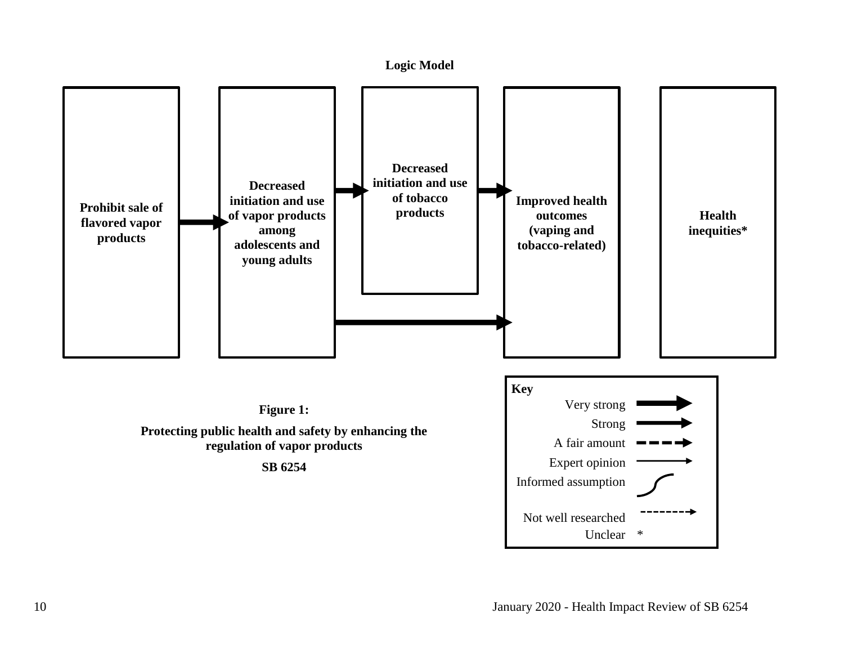<span id="page-11-0"></span>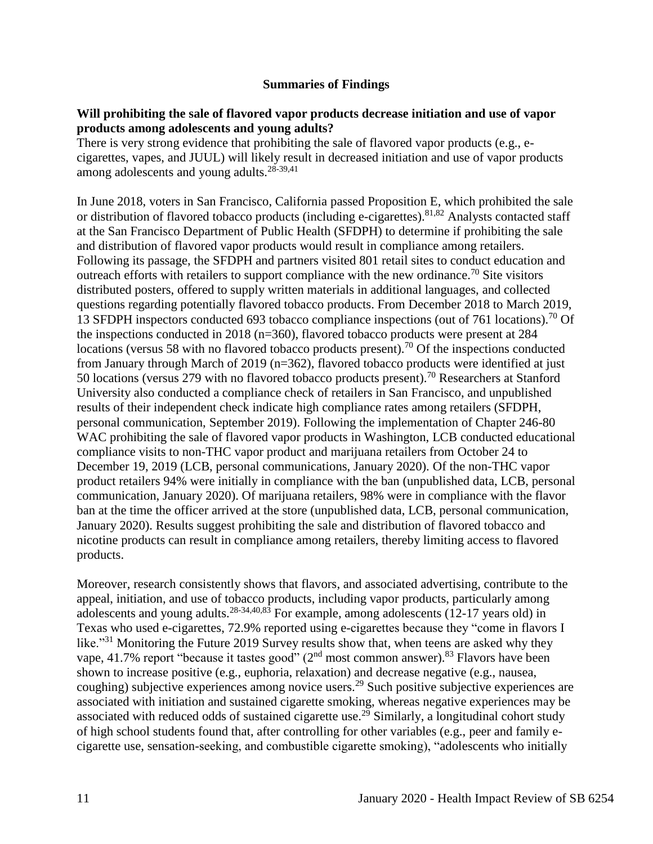#### **Summaries of Findings**

#### <span id="page-12-0"></span>**Will prohibiting the sale of flavored vapor products decrease initiation and use of vapor products among adolescents and young adults?**

There is very strong evidence that prohibiting the sale of flavored vapor products (e.g., ecigarettes, vapes, and JUUL) will likely result in decreased initiation and use of vapor products among adolescents and young adults. $28-39,41$  $28-39,41$ 

In June 2018, voters in San Francisco, California passed Proposition E, which prohibited the sale or distribution of flavored tobacco products (including e-cigarettes).<sup>[81,](#page-62-0)[82](#page-62-1)</sup> Analysts contacted staff at the San Francisco Department of Public Health (SFDPH) to determine if prohibiting the sale and distribution of flavored vapor products would result in compliance among retailers. Following its passage, the SFDPH and partners visited 801 retail sites to conduct education and outreach efforts with retailers to support compliance with the new ordinance.<sup>70</sup> Site visitors distributed posters, offered to supply written materials in additional languages, and collected questions regarding potentially flavored tobacco products. From December 2018 to March 2019, 13 SFDPH inspectors conducted 693 tobacco compliance inspections (out of 761 locations).<sup>70</sup> Of the inspections conducted in 2018 (n=360), flavored tobacco products were present at 284 locations (versus 58 with no flavored tobacco products present).<sup>70</sup> Of the inspections conducted from January through March of 2019 (n=362), flavored tobacco products were identified at just 50 locations (versus 279 with no flavored tobacco products present).<sup>70</sup> Researchers at Stanford University also conducted a compliance check of retailers in San Francisco, and unpublished results of their independent check indicate high compliance rates among retailers (SFDPH, personal communication, September 2019). Following the implementation of Chapter 246-80 WAC prohibiting the sale of flavored vapor products in Washington, LCB conducted educational compliance visits to non-THC vapor product and marijuana retailers from October 24 to December 19, 2019 (LCB, personal communications, January 2020). Of the non-THC vapor product retailers 94% were initially in compliance with the ban (unpublished data, LCB, personal communication, January 2020). Of marijuana retailers, 98% were in compliance with the flavor ban at the time the officer arrived at the store (unpublished data, LCB, personal communication, January 2020). Results suggest prohibiting the sale and distribution of flavored tobacco and nicotine products can result in compliance among retailers, thereby limiting access to flavored products.

Moreover, research consistently shows that flavors, and associated advertising, contribute to the appeal, initiation, and use of tobacco products, including vapor products, particularly among adolescents and young adults.<sup>[28-34](#page-34-0)[,40](#page-42-0)[,83](#page-62-2)</sup> For example, among adolescents (12-17 years old) in Texas who used e-cigarettes, 72.9% reported using e-cigarettes because they "come in flavors I like."<sup>31</sup> Monitoring the Future 2019 Survey results show that, when teens are asked why they vape, 41.7% report "because it tastes good"  $(2<sup>nd</sup>$  most common answer).<sup>83</sup> Flavors have been shown to increase positive (e.g., euphoria, relaxation) and decrease negative (e.g., nausea, coughing) subjective experiences among novice users.<sup>29</sup> Such positive subjective experiences are associated with initiation and sustained cigarette smoking, whereas negative experiences may be associated with reduced odds of sustained cigarette use.<sup>29</sup> Similarly, a longitudinal cohort study of high school students found that, after controlling for other variables (e.g., peer and family ecigarette use, sensation-seeking, and combustible cigarette smoking), "adolescents who initially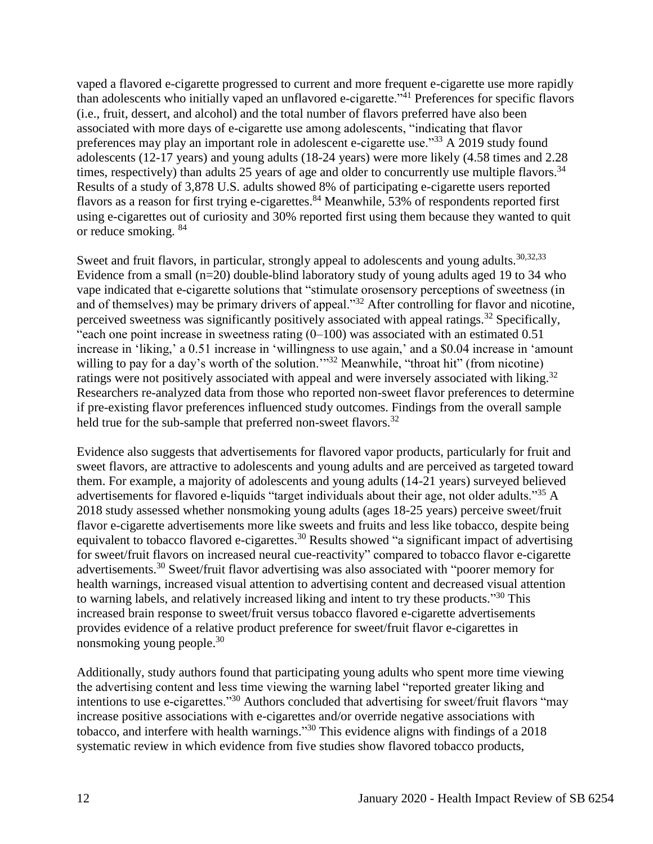vaped a flavored e-cigarette progressed to current and more frequent e-cigarette use more rapidly than adolescents who initially vaped an unflavored e-cigarette."<sup>41</sup> Preferences for specific flavors (i.e., fruit, dessert, and alcohol) and the total number of flavors preferred have also been associated with more days of e-cigarette use among adolescents, "indicating that flavor preferences may play an important role in adolescent e-cigarette use."<sup>33</sup> A 2019 study found adolescents (12-17 years) and young adults (18-24 years) were more likely (4.58 times and 2.28 times, respectively) than adults 25 years of age and older to concurrently use multiple flavors.  $34$ Results of a study of 3,878 U.S. adults showed 8% of participating e-cigarette users reported flavors as a reason for first trying e-cigarettes.<sup>84</sup> Meanwhile, 53% of respondents reported first using e-cigarettes out of curiosity and 30% reported first using them because they wanted to quit or reduce smoking. <sup>84</sup>

Sweet and fruit flavors, in particular, strongly appeal to adolescents and young adults.<sup>[30](#page-36-0)[,32](#page-37-0)[,33](#page-38-0)</sup> Evidence from a small (n=20) double-blind laboratory study of young adults aged 19 to 34 who vape indicated that e-cigarette solutions that "stimulate orosensory perceptions of sweetness (in and of themselves) may be primary drivers of appeal."<sup>32</sup> After controlling for flavor and nicotine, perceived sweetness was significantly positively associated with appeal ratings.<sup>32</sup> Specifically, "each one point increase in sweetness rating  $(0-100)$  was associated with an estimated 0.51 increase in 'liking,' a 0.51 increase in 'willingness to use again,' and a \$0.04 increase in 'amount willing to pay for a day's worth of the solution."<sup>32</sup> Meanwhile, "throat hit" (from nicotine) ratings were not positively associated with appeal and were inversely associated with liking.<sup>32</sup> Researchers re-analyzed data from those who reported non-sweet flavor preferences to determine if pre-existing flavor preferences influenced study outcomes. Findings from the overall sample held true for the sub-sample that preferred non-sweet flavors.<sup>32</sup>

Evidence also suggests that advertisements for flavored vapor products, particularly for fruit and sweet flavors, are attractive to adolescents and young adults and are perceived as targeted toward them. For example, a majority of adolescents and young adults (14-21 years) surveyed believed advertisements for flavored e-liquids "target individuals about their age, not older adults."<sup>35</sup> A 2018 study assessed whether nonsmoking young adults (ages 18-25 years) perceive sweet/fruit flavor e-cigarette advertisements more like sweets and fruits and less like tobacco, despite being equivalent to tobacco flavored e-cigarettes.<sup>30</sup> Results showed "a significant impact of advertising for sweet/fruit flavors on increased neural cue-reactivity" compared to tobacco flavor e-cigarette advertisements.<sup>30</sup> Sweet/fruit flavor advertising was also associated with "poorer memory for health warnings, increased visual attention to advertising content and decreased visual attention to warning labels, and relatively increased liking and intent to try these products."<sup>30</sup> This increased brain response to sweet/fruit versus tobacco flavored e-cigarette advertisements provides evidence of a relative product preference for sweet/fruit flavor e-cigarettes in nonsmoking young people.<sup>30</sup>

Additionally, study authors found that participating young adults who spent more time viewing the advertising content and less time viewing the warning label "reported greater liking and intentions to use e-cigarettes."<sup>30</sup> Authors concluded that advertising for sweet/fruit flavors "may increase positive associations with e-cigarettes and/or override negative associations with tobacco, and interfere with health warnings."<sup>30</sup> This evidence aligns with findings of a 2018 systematic review in which evidence from five studies show flavored tobacco products,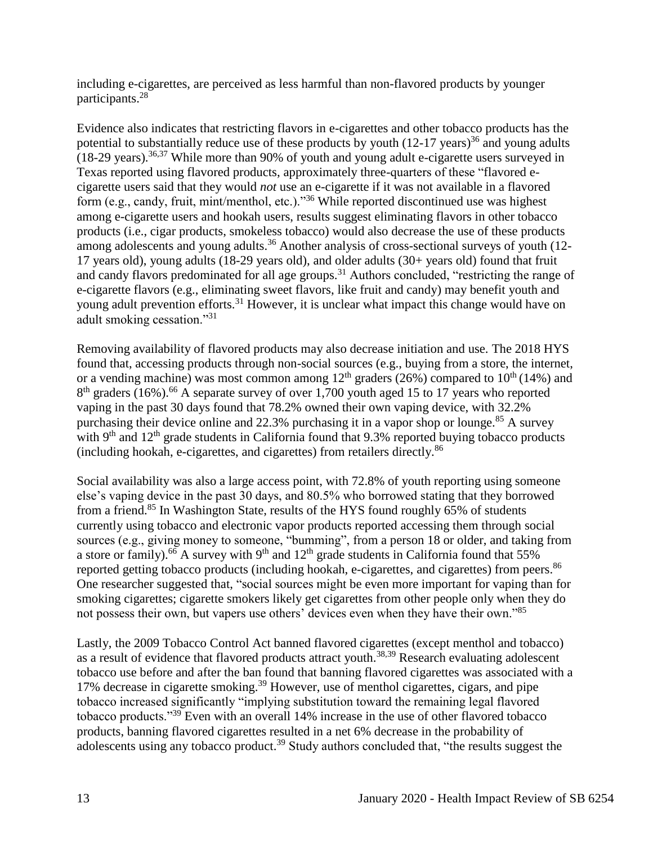including e-cigarettes, are perceived as less harmful than non-flavored products by younger participants.<sup>28</sup>

Evidence also indicates that restricting flavors in e-cigarettes and other tobacco products has the potential to substantially reduce use of these products by youth  $(12-17 \text{ years})^{36}$  and young adults  $(18-29 \text{ years})$ .<sup>[36,](#page-40-0)[37](#page-40-1)</sup> While more than 90% of youth and young adult e-cigarette users surveyed in Texas reported using flavored products, approximately three-quarters of these "flavored ecigarette users said that they would *not* use an e-cigarette if it was not available in a flavored form (e.g., candy, fruit, mint/menthol, etc.)."<sup>36</sup> While reported discontinued use was highest among e-cigarette users and hookah users, results suggest eliminating flavors in other tobacco products (i.e., cigar products, smokeless tobacco) would also decrease the use of these products among adolescents and young adults.<sup>36</sup> Another analysis of cross-sectional surveys of youth (12-17 years old), young adults (18-29 years old), and older adults (30+ years old) found that fruit and candy flavors predominated for all age groups.<sup>31</sup> Authors concluded, "restricting the range of e-cigarette flavors (e.g., eliminating sweet flavors, like fruit and candy) may benefit youth and young adult prevention efforts.<sup>31</sup> However, it is unclear what impact this change would have on adult smoking cessation."<sup>31</sup>

Removing availability of flavored products may also decrease initiation and use. The 2018 HYS found that, accessing products through non-social sources (e.g., buying from a store, the internet, or a vending machine) was most common among  $12<sup>th</sup>$  graders (26%) compared to  $10<sup>th</sup>$  (14%) and 8<sup>th</sup> graders (16%).<sup>66</sup> A separate survey of over 1,700 youth aged 15 to 17 years who reported vaping in the past 30 days found that 78.2% owned their own vaping device, with 32.2% purchasing their device online and 22.3% purchasing it in a vapor shop or lounge.<sup>85</sup> A survey with  $9<sup>th</sup>$  and  $12<sup>th</sup>$  grade students in California found that 9.3% reported buying tobacco products (including hookah, e-cigarettes, and cigarettes) from retailers directly.<sup>86</sup>

Social availability was also a large access point, with 72.8% of youth reporting using someone else's vaping device in the past 30 days, and 80.5% who borrowed stating that they borrowed from a friend.<sup>85</sup> In Washington State, results of the HYS found roughly 65% of students currently using tobacco and electronic vapor products reported accessing them through social sources (e.g., giving money to someone, "bumming", from a person 18 or older, and taking from a store or family).<sup>66</sup> A survey with 9<sup>th</sup> and 12<sup>th</sup> grade students in California found that 55% reported getting tobacco products (including hookah, e-cigarettes, and cigarettes) from peers.<sup>86</sup> One researcher suggested that, "social sources might be even more important for vaping than for smoking cigarettes; cigarette smokers likely get cigarettes from other people only when they do not possess their own, but vapers use others' devices even when they have their own."<sup>85</sup>

Lastly, the 2009 Tobacco Control Act banned flavored cigarettes (except menthol and tobacco) as a result of evidence that flavored products attract youth.<sup>[38](#page-41-0)[,39](#page-41-1)</sup> Research evaluating adolescent tobacco use before and after the ban found that banning flavored cigarettes was associated with a 17% decrease in cigarette smoking.<sup>39</sup> However, use of menthol cigarettes, cigars, and pipe tobacco increased significantly "implying substitution toward the remaining legal flavored tobacco products."<sup>39</sup> Even with an overall 14% increase in the use of other flavored tobacco products, banning flavored cigarettes resulted in a net 6% decrease in the probability of adolescents using any tobacco product.<sup>39</sup> Study authors concluded that, "the results suggest the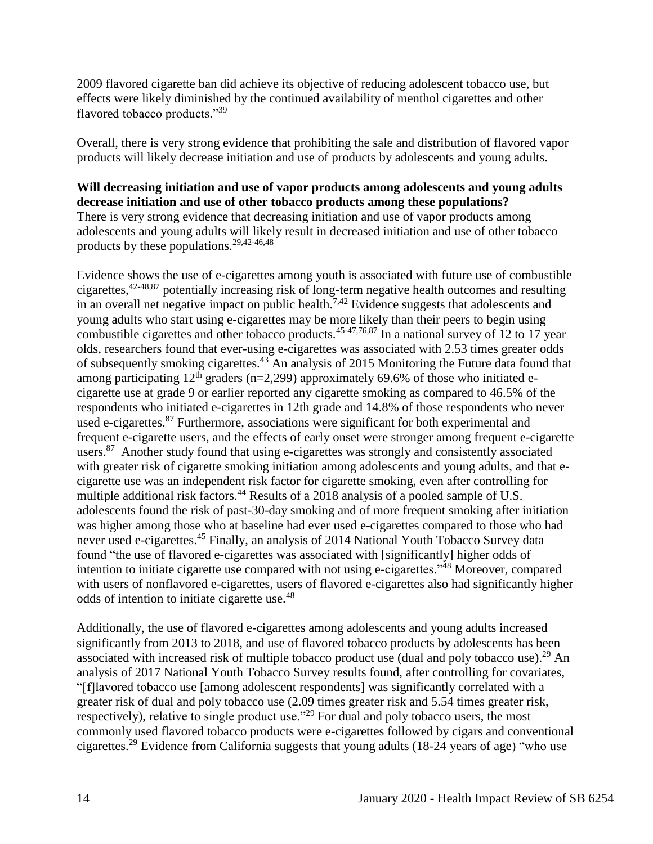2009 flavored cigarette ban did achieve its objective of reducing adolescent tobacco use, but effects were likely diminished by the continued availability of menthol cigarettes and other flavored tobacco products."<sup>39</sup>

Overall, there is very strong evidence that prohibiting the sale and distribution of flavored vapor products will likely decrease initiation and use of products by adolescents and young adults.

# **Will decreasing initiation and use of vapor products among adolescents and young adults decrease initiation and use of other tobacco products among these populations?**  There is very strong evidence that decreasing initiation and use of vapor products among adolescents and young adults will likely result in decreased initiation and use of other tobacco products by these populations.[29](#page-35-0)[,42-46,](#page-44-0)[48](#page-46-2)

Evidence shows the use of e-cigarettes among youth is associated with future use of combustible cigarettes,[42-48,](#page-44-0)[87](#page-64-0) potentially increasing risk of long-term negative health outcomes and resulting in an overall net negative impact on public health.<sup>[7](#page-27-0)[,42](#page-44-0)</sup> Evidence suggests that adolescents and young adults who start using e-cigarettes may be more likely than their peers to begin using combustible cigarettes and other tobacco products.<sup>[45-47](#page-45-0)[,76](#page-59-1)[,87](#page-64-0)</sup> In a national survey of 12 to 17 year olds, researchers found that ever-using e-cigarettes was associated with 2.53 times greater odds of subsequently smoking cigarettes.<sup>43</sup> An analysis of 2015 Monitoring the Future data found that among participating  $12<sup>th</sup>$  graders (n=2,299) approximately 69.6% of those who initiated ecigarette use at grade 9 or earlier reported any cigarette smoking as compared to 46.5% of the respondents who initiated e-cigarettes in 12th grade and 14.8% of those respondents who never used e-cigarettes.<sup>87</sup> Furthermore, associations were significant for both experimental and frequent e-cigarette users, and the effects of early onset were stronger among frequent e-cigarette users.<sup>87</sup> Another study found that using e-cigarettes was strongly and consistently associated with greater risk of cigarette smoking initiation among adolescents and young adults, and that ecigarette use was an independent risk factor for cigarette smoking, even after controlling for multiple additional risk factors.<sup>44</sup> Results of a 2018 analysis of a pooled sample of U.S. adolescents found the risk of past-30-day smoking and of more frequent smoking after initiation was higher among those who at baseline had ever used e-cigarettes compared to those who had never used e-cigarettes.<sup>45</sup> Finally, an analysis of 2014 National Youth Tobacco Survey data found "the use of flavored e-cigarettes was associated with [significantly] higher odds of intention to initiate cigarette use compared with not using e-cigarettes."<sup>48</sup> Moreover, compared with users of nonflavored e-cigarettes, users of flavored e-cigarettes also had significantly higher odds of intention to initiate cigarette use.<sup>48</sup>

Additionally, the use of flavored e-cigarettes among adolescents and young adults increased significantly from 2013 to 2018, and use of flavored tobacco products by adolescents has been associated with increased risk of multiple tobacco product use (dual and poly tobacco use).<sup>29</sup> An analysis of 2017 National Youth Tobacco Survey results found, after controlling for covariates, "[f]lavored tobacco use [among adolescent respondents] was significantly correlated with a greater risk of dual and poly tobacco use (2.09 times greater risk and 5.54 times greater risk, respectively), relative to single product use."<sup>29</sup> For dual and poly tobacco users, the most commonly used flavored tobacco products were e-cigarettes followed by cigars and conventional cigarettes.<sup>29</sup> Evidence from California suggests that young adults (18-24 years of age) "who use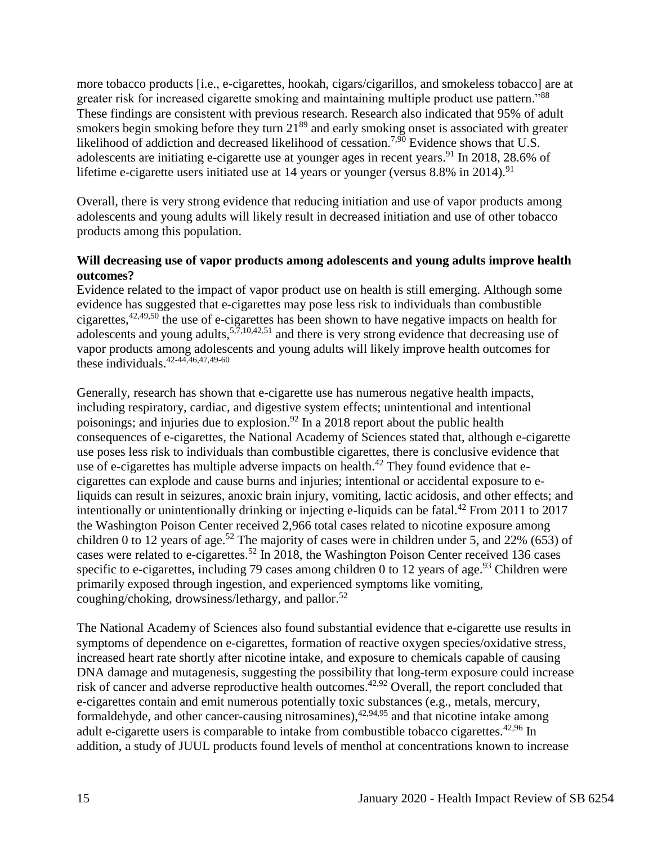more tobacco products [i.e., e-cigarettes, hookah, cigars/cigarillos, and smokeless tobacco] are at greater risk for increased cigarette smoking and maintaining multiple product use pattern."<sup>88</sup> These findings are consistent with previous research. Research also indicated that 95% of adult smokers begin smoking before they turn  $21<sup>89</sup>$  and early smoking onset is associated with greater likelihood of addiction and decreased likelihood of cessation.<sup>[7,](#page-27-0)[90](#page-65-0)</sup> Evidence shows that U.S. adolescents are initiating e-cigarette use at younger ages in recent years.<sup>91</sup> In 2018, 28.6% of lifetime e-cigarette users initiated use at 14 years or younger (versus  $8.8\%$  in 2014).<sup>91</sup>

Overall, there is very strong evidence that reducing initiation and use of vapor products among adolescents and young adults will likely result in decreased initiation and use of other tobacco products among this population.

#### **Will decreasing use of vapor products among adolescents and young adults improve health outcomes?**

Evidence related to the impact of vapor product use on health is still emerging. Although some evidence has suggested that e-cigarettes may pose less risk to individuals than combustible cigarettes,  $42,49,50$  $42,49,50$  $42,49,50$  the use of e-cigarettes has been shown to have negative impacts on health for adolescents and young adults,  $5,7,10,42,51$  $5,7,10,42,51$  $5,7,10,42,51$  $5,7,10,42,51$  $5,7,10,42,51$  and there is very strong evidence that decreasing use of vapor products among adolescents and young adults will likely improve health outcomes for these individuals.  $42-44,46,47,49-60$  $42-44,46,47,49-60$  $42-44,46,47,49-60$  $42-44,46,47,49-60$ 

Generally, research has shown that e-cigarette use has numerous negative health impacts, including respiratory, cardiac, and digestive system effects; unintentional and intentional poisonings; and injuries due to explosion.<sup>92</sup> In a 2018 report about the public health consequences of e-cigarettes, the National Academy of Sciences stated that, although e-cigarette use poses less risk to individuals than combustible cigarettes, there is conclusive evidence that use of e-cigarettes has multiple adverse impacts on health.<sup>42</sup> They found evidence that ecigarettes can explode and cause burns and injuries; intentional or accidental exposure to eliquids can result in seizures, anoxic brain injury, vomiting, lactic acidosis, and other effects; and intentionally or unintentionally drinking or injecting e-liquids can be fatal.<sup>42</sup> From 2011 to 2017 the Washington Poison Center received 2,966 total cases related to nicotine exposure among children 0 to 12 years of age.<sup>52</sup> The majority of cases were in children under 5, and 22% (653) of cases were related to e-cigarettes.<sup>52</sup> In 2018, the Washington Poison Center received 136 cases specific to e-cigarettes, including 79 cases among children 0 to 12 years of age.<sup>93</sup> Children were primarily exposed through ingestion, and experienced symptoms like vomiting, coughing/choking, drowsiness/lethargy, and pallor.<sup>52</sup>

The National Academy of Sciences also found substantial evidence that e-cigarette use results in symptoms of dependence on e-cigarettes, formation of reactive oxygen species/oxidative stress, increased heart rate shortly after nicotine intake, and exposure to chemicals capable of causing DNA damage and mutagenesis, suggesting the possibility that long-term exposure could increase risk of cancer and adverse reproductive health outcomes.<sup>[42](#page-44-0)[,92](#page-66-0)</sup> Overall, the report concluded that e-cigarettes contain and emit numerous potentially toxic substances (e.g., metals, mercury, formaldehyde, and other cancer-causing nitrosamines),<sup>[42,](#page-44-0)[94,](#page-67-0)[95](#page-68-0)</sup> and that nicotine intake among adult e-cigarette users is comparable to intake from combustible tobacco cigarettes.<sup>[42](#page-44-0)[,96](#page-68-1)</sup> In addition, a study of JUUL products found levels of menthol at concentrations known to increase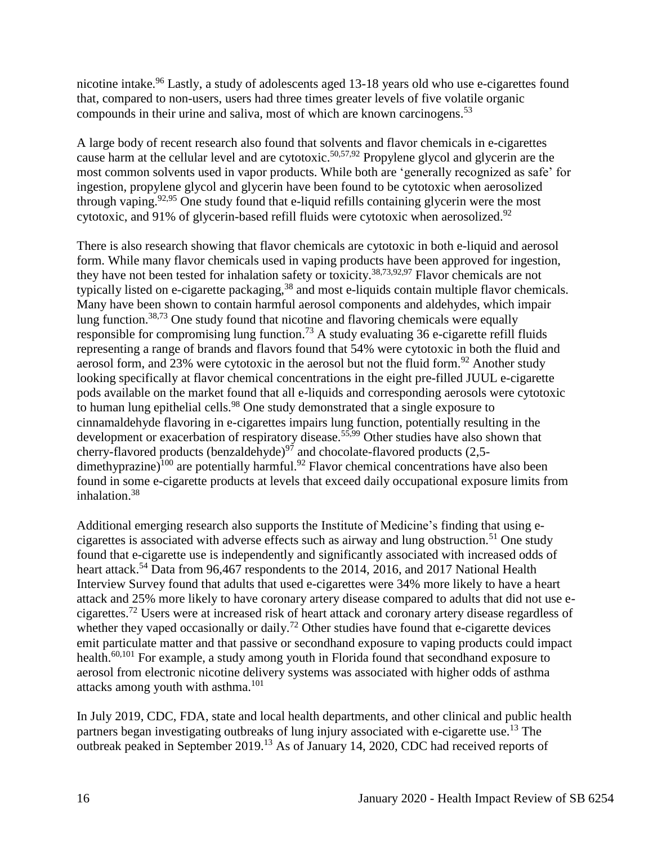nicotine intake.<sup>96</sup> Lastly, a study of adolescents aged 13-18 years old who use e-cigarettes found that, compared to non-users, users had three times greater levels of five volatile organic compounds in their urine and saliva, most of which are known carcinogens.<sup>53</sup>

A large body of recent research also found that solvents and flavor chemicals in e-cigarettes cause harm at the cellular level and are cytotoxic.<sup>[50,](#page-47-1)[57,9](#page-50-0)2</sup> Propylene glycol and glycerin are the most common solvents used in vapor products. While both are 'generally recognized as safe' for ingestion, propylene glycol and glycerin have been found to be cytotoxic when aerosolized through vaping.<sup>[92](#page-66-0)[,95](#page-68-0)</sup> One study found that e-liquid refills containing glycerin were the most cytotoxic, and 91% of glycerin-based refill fluids were cytotoxic when aerosolized. $92$ 

There is also research showing that flavor chemicals are cytotoxic in both e-liquid and aerosol form. While many flavor chemicals used in vaping products have been approved for ingestion, they have not been tested for inhalation safety or toxicity.<sup>[38,](#page-41-0)[73,](#page-58-0)[92,](#page-66-0)[97](#page-69-0)</sup> Flavor chemicals are not typically listed on e-cigarette packaging,<sup>38</sup> and most e-liquids contain multiple flavor chemicals. Many have been shown to contain harmful aerosol components and aldehydes, which impair lung function.<sup>[38,](#page-41-0)[73](#page-58-0)</sup> One study found that nicotine and flavoring chemicals were equally responsible for compromising lung function.<sup>73</sup> A study evaluating 36 e-cigarette refill fluids representing a range of brands and flavors found that 54% were cytotoxic in both the fluid and aerosol form, and 23% were cytotoxic in the aerosol but not the fluid form.<sup>92</sup> Another study looking specifically at flavor chemical concentrations in the eight pre-filled JUUL e-cigarette pods available on the market found that all e-liquids and corresponding aerosols were cytotoxic to human lung epithelial cells.<sup>98</sup> One study demonstrated that a single exposure to cinnamaldehyde flavoring in e-cigarettes impairs lung function, potentially resulting in the development or exacerbation of respiratory disease.<sup>[55](#page-50-1)[,99](#page-70-0)</sup> Other studies have also shown that cherry-flavored products (benzaldehyde)<sup>97</sup> and chocolate-flavored products (2,5dimethyprazine)<sup>100</sup> are potentially harmful.<sup>92</sup> Flavor chemical concentrations have also been found in some e-cigarette products at levels that exceed daily occupational exposure limits from inhalation.<sup>38</sup>

Additional emerging research also supports the Institute of Medicine's finding that using ecigarettes is associated with adverse effects such as airway and lung obstruction.<sup>51</sup> One study found that e-cigarette use is independently and significantly associated with increased odds of heart attack.<sup>54</sup> Data from 96,467 respondents to the 2014, 2016, and 2017 National Health Interview Survey found that adults that used e-cigarettes were 34% more likely to have a heart attack and 25% more likely to have coronary artery disease compared to adults that did not use ecigarettes.<sup>72</sup> Users were at increased risk of heart attack and coronary artery disease regardless of whether they vaped occasionally or daily.<sup>72</sup> Other studies have found that e-cigarette devices emit particulate matter and that passive or secondhand exposure to vaping products could impact health.<sup>[60,](#page-52-0)[101](#page-70-1)</sup> For example, a study among youth in Florida found that secondhand exposure to aerosol from electronic nicotine delivery systems was associated with higher odds of asthma attacks among youth with asthma.<sup>101</sup>

In July 2019, CDC, FDA, state and local health departments, and other clinical and public health partners began investigating outbreaks of lung injury associated with e-cigarette use.<sup>13</sup> The outbreak peaked in September 2019.<sup>13</sup> As of January 14, 2020, CDC had received reports of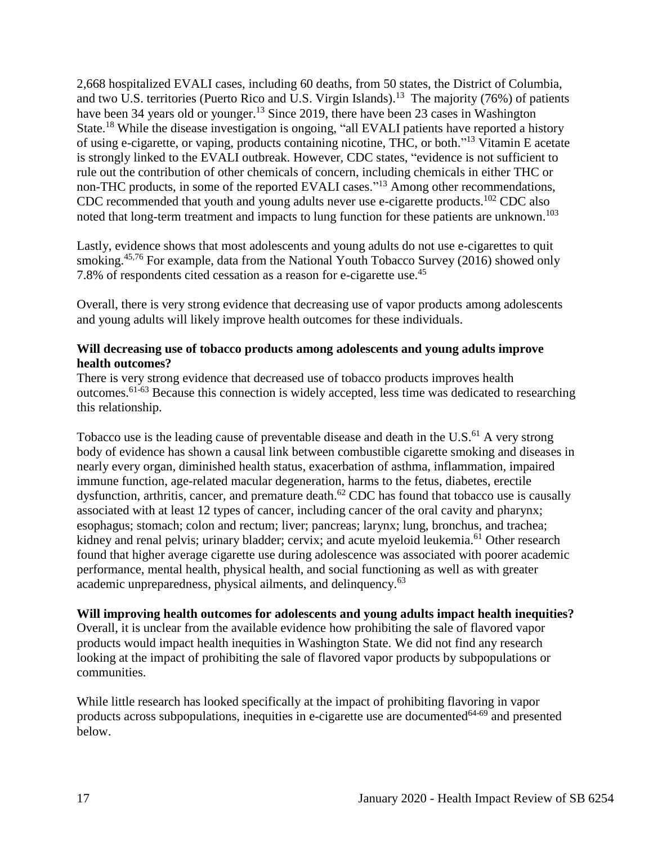2,668 hospitalized EVALI cases, including 60 deaths, from 50 states, the District of Columbia, and two U.S. territories (Puerto Rico and U.S. Virgin Islands).<sup>13</sup> The majority (76%) of patients have been 34 years old or younger.<sup>13</sup> Since 2019, there have been 23 cases in Washington State.<sup>18</sup> While the disease investigation is ongoing, "all EVALI patients have reported a history of using e-cigarette, or vaping, products containing nicotine, THC, or both."<sup>13</sup> Vitamin E acetate is strongly linked to the EVALI outbreak. However, CDC states, "evidence is not sufficient to rule out the contribution of other chemicals of concern, including chemicals in either THC or non-THC products, in some of the reported EVALI cases."<sup>13</sup> Among other recommendations, CDC recommended that youth and young adults never use e-cigarette products.<sup>102</sup> CDC also noted that long-term treatment and impacts to lung function for these patients are unknown.<sup>103</sup>

Lastly, evidence shows that most adolescents and young adults do not use e-cigarettes to quit smoking.<sup>[45,](#page-45-0)[76](#page-59-1)</sup> For example, data from the National Youth Tobacco Survey (2016) showed only 7.8% of respondents cited cessation as a reason for e-cigarette use.<sup>45</sup>

Overall, there is very strong evidence that decreasing use of vapor products among adolescents and young adults will likely improve health outcomes for these individuals.

#### **Will decreasing use of tobacco products among adolescents and young adults improve health outcomes?**

There is very strong evidence that decreased use of tobacco products improves health outcomes.61-63 Because this connection is widely accepted, less time was dedicated to researching this relationship.

Tobacco use is the leading cause of preventable disease and death in the U.S. $^{61}$  A very strong body of evidence has shown a causal link between combustible cigarette smoking and diseases in nearly every organ, diminished health status, exacerbation of asthma, inflammation, impaired immune function, age-related macular degeneration, harms to the fetus, diabetes, erectile dysfunction, arthritis, cancer, and premature death. $62$  CDC has found that tobacco use is causally associated with at least 12 types of cancer, including cancer of the oral cavity and pharynx; esophagus; stomach; colon and rectum; liver; pancreas; larynx; lung, bronchus, and trachea; kidney and renal pelvis; urinary bladder; cervix; and acute myeloid leukemia.<sup>61</sup> Other research found that higher average cigarette use during adolescence was associated with poorer academic performance, mental health, physical health, and social functioning as well as with greater academic unpreparedness, physical ailments, and delinquency.<sup>63</sup>

#### **Will improving health outcomes for adolescents and young adults impact health inequities?**

Overall, it is unclear from the available evidence how prohibiting the sale of flavored vapor products would impact health inequities in Washington State. We did not find any research looking at the impact of prohibiting the sale of flavored vapor products by subpopulations or communities.

While little research has looked specifically at the impact of prohibiting flavoring in vapor products across subpopulations, inequities in e-cigarette use are documented $64-69$  and presented below.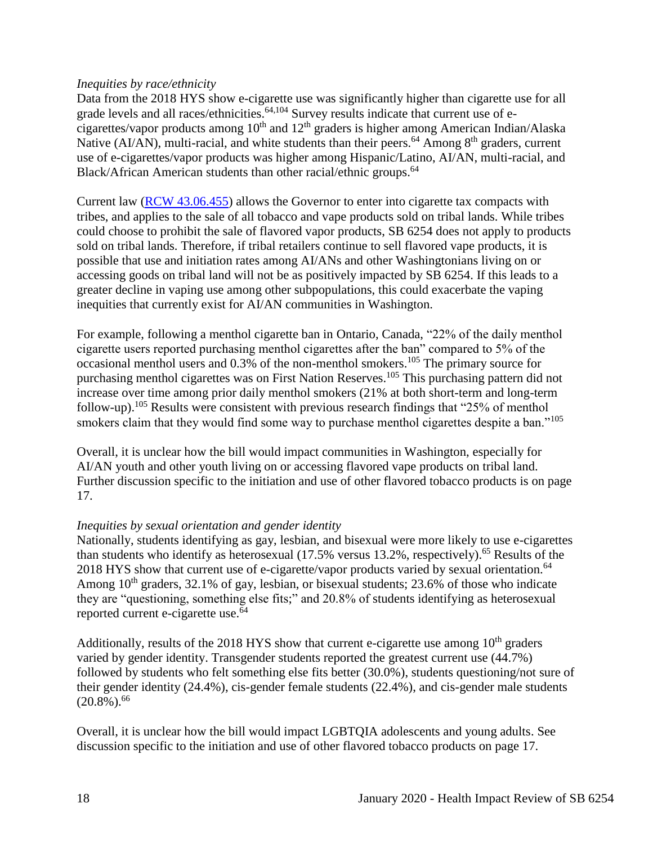#### *Inequities by race/ethnicity*

Data from the 2018 HYS show e-cigarette use was significantly higher than cigarette use for all grade levels and all races/ethnicities.<sup>[64,](#page-53-0)[104](#page-71-0)</sup> Survey results indicate that current use of ecigarettes/vapor products among  $10<sup>th</sup>$  and  $12<sup>th</sup>$  graders is higher among American Indian/Alaska Native (AI/AN), multi-racial, and white students than their peers.<sup>64</sup> Among  $8<sup>th</sup>$  graders, current use of e-cigarettes/vapor products was higher among Hispanic/Latino, AI/AN, multi-racial, and Black/African American students than other racial/ethnic groups.<sup>64</sup>

Current law [\(RCW 43.06.455\)](http://apps.leg.wa.gov/rcw/default.aspx?cite=43.06.455) allows the Governor to enter into cigarette tax compacts with tribes, and applies to the sale of all tobacco and vape products sold on tribal lands. While tribes could choose to prohibit the sale of flavored vapor products, SB 6254 does not apply to products sold on tribal lands. Therefore, if tribal retailers continue to sell flavored vape products, it is possible that use and initiation rates among AI/ANs and other Washingtonians living on or accessing goods on tribal land will not be as positively impacted by SB 6254. If this leads to a greater decline in vaping use among other subpopulations, this could exacerbate the vaping inequities that currently exist for AI/AN communities in Washington.

For example, following a menthol cigarette ban in Ontario, Canada, "22% of the daily menthol cigarette users reported purchasing menthol cigarettes after the ban" compared to 5% of the occasional menthol users and 0.3% of the non-menthol smokers.<sup>105</sup> The primary source for purchasing menthol cigarettes was on First Nation Reserves.<sup>105</sup> This purchasing pattern did not increase over time among prior daily menthol smokers (21% at both short-term and long-term follow-up).<sup>105</sup> Results were consistent with previous research findings that "25% of menthol smokers claim that they would find some way to purchase menthol cigarettes despite a ban."<sup>105</sup>

Overall, it is unclear how the bill would impact communities in Washington, especially for AI/AN youth and other youth living on or accessing flavored vape products on tribal land. Further discussion specific to the initiation and use of other flavored tobacco products is on page 17.

# *Inequities by sexual orientation and gender identity*

Nationally, students identifying as gay, lesbian, and bisexual were more likely to use e-cigarettes than students who identify as heterosexual (17.5% versus 13.2%, respectively).<sup>65</sup> Results of the 2018 HYS show that current use of e-cigarette/vapor products varied by sexual orientation.<sup>64</sup> Among  $10<sup>th</sup>$  graders, 32.1% of gay, lesbian, or bisexual students; 23.6% of those who indicate they are "questioning, something else fits;" and 20.8% of students identifying as heterosexual reported current e-cigarette use.<sup>64</sup>

Additionally, results of the 2018 HYS show that current e-cigarette use among  $10<sup>th</sup>$  graders varied by gender identity. Transgender students reported the greatest current use (44.7%) followed by students who felt something else fits better (30.0%), students questioning/not sure of their gender identity (24.4%), cis-gender female students (22.4%), and cis-gender male students  $(20.8\%)$ <sup>66</sup>

Overall, it is unclear how the bill would impact LGBTQIA adolescents and young adults. See discussion specific to the initiation and use of other flavored tobacco products on page 17.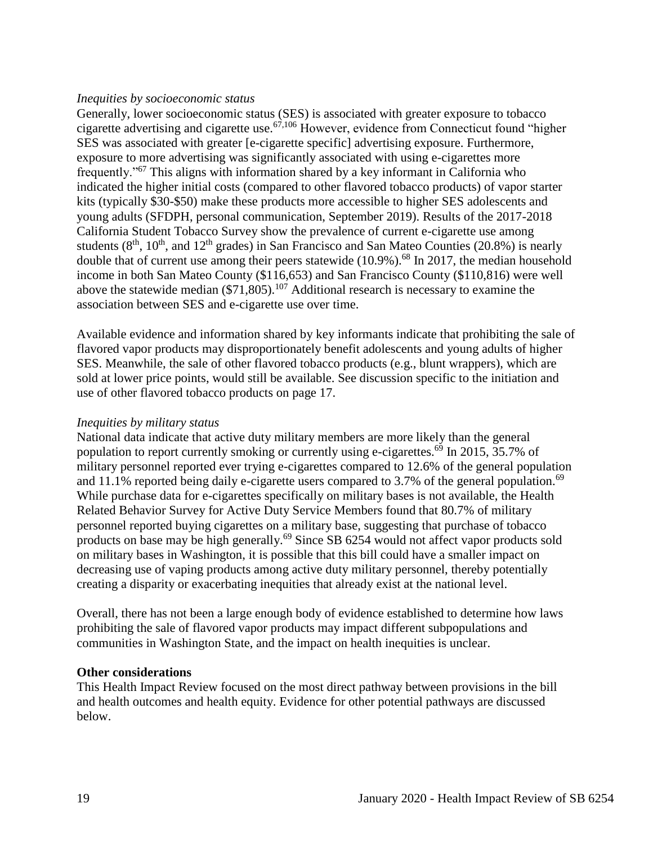#### *Inequities by socioeconomic status*

Generally, lower socioeconomic status (SES) is associated with greater exposure to tobacco cigarette advertising and cigarette use.<sup>[67](#page-55-0)[,106](#page-74-0)</sup> However, evidence from Connecticut found "higher" SES was associated with greater [e-cigarette specific] advertising exposure. Furthermore, exposure to more advertising was significantly associated with using e-cigarettes more frequently."<sup>67</sup> This aligns with information shared by a key informant in California who indicated the higher initial costs (compared to other flavored tobacco products) of vapor starter kits (typically \$30-\$50) make these products more accessible to higher SES adolescents and young adults (SFDPH, personal communication, September 2019). Results of the 2017-2018 California Student Tobacco Survey show the prevalence of current e-cigarette use among students  $(8<sup>th</sup>, 10<sup>th</sup>, and 12<sup>th</sup> grades)$  in San Francisco and San Mateo Counties (20.8%) is nearly double that of current use among their peers statewide  $(10.9\%)$ .<sup>68</sup> In 2017, the median household income in both San Mateo County (\$116,653) and San Francisco County (\$110,816) were well above the statewide median  $(\$71,805)$ .<sup>107</sup> Additional research is necessary to examine the association between SES and e-cigarette use over time.

Available evidence and information shared by key informants indicate that prohibiting the sale of flavored vapor products may disproportionately benefit adolescents and young adults of higher SES. Meanwhile, the sale of other flavored tobacco products (e.g., blunt wrappers), which are sold at lower price points, would still be available. See discussion specific to the initiation and use of other flavored tobacco products on page 17.

#### *Inequities by military status*

National data indicate that active duty military members are more likely than the general population to report currently smoking or currently using e-cigarettes.<sup>69</sup> In 2015, 35.7% of military personnel reported ever trying e-cigarettes compared to 12.6% of the general population and 11.1% reported being daily e-cigarette users compared to 3.7% of the general population.<sup>69</sup> While purchase data for e-cigarettes specifically on military bases is not available, the Health Related Behavior Survey for Active Duty Service Members found that 80.7% of military personnel reported buying cigarettes on a military base, suggesting that purchase of tobacco products on base may be high generally.<sup>69</sup> Since SB 6254 would not affect vapor products sold on military bases in Washington, it is possible that this bill could have a smaller impact on decreasing use of vaping products among active duty military personnel, thereby potentially creating a disparity or exacerbating inequities that already exist at the national level.

Overall, there has not been a large enough body of evidence established to determine how laws prohibiting the sale of flavored vapor products may impact different subpopulations and communities in Washington State, and the impact on health inequities is unclear.

#### **Other considerations**

This Health Impact Review focused on the most direct pathway between provisions in the bill and health outcomes and health equity. Evidence for other potential pathways are discussed below.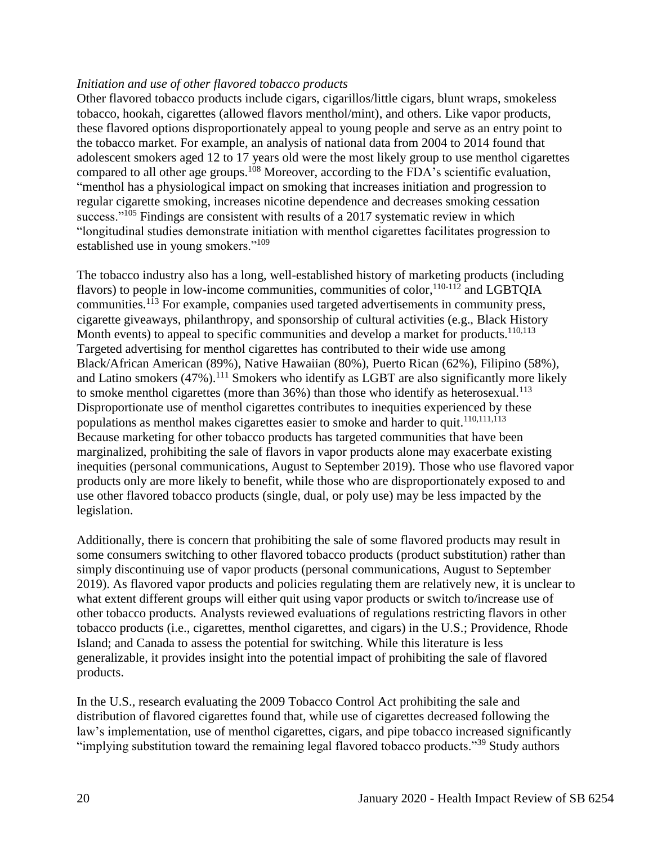#### *Initiation and use of other flavored tobacco products*

Other flavored tobacco products include cigars, cigarillos/little cigars, blunt wraps, smokeless tobacco, hookah, cigarettes (allowed flavors menthol/mint), and others. Like vapor products, these flavored options disproportionately appeal to young people and serve as an entry point to the tobacco market. For example, an analysis of national data from 2004 to 2014 found that adolescent smokers aged 12 to 17 years old were the most likely group to use menthol cigarettes compared to all other age groups.<sup>108</sup> Moreover, according to the FDA's scientific evaluation, "menthol has a physiological impact on smoking that increases initiation and progression to regular cigarette smoking, increases nicotine dependence and decreases smoking cessation success."<sup>105</sup> Findings are consistent with results of a 2017 systematic review in which "longitudinal studies demonstrate initiation with menthol cigarettes facilitates progression to established use in young smokers."<sup>109</sup>

The tobacco industry also has a long, well-established history of marketing products (including flavors) to people in low-income communities, communities of color,  $110-112$  and LGBTOIA communities.<sup>113</sup> For example, companies used targeted advertisements in community press, cigarette giveaways, philanthropy, and sponsorship of cultural activities (e.g., Black History Month events) to appeal to specific communities and develop a market for products.<sup>[110](#page-75-0)[,113](#page-76-0)</sup> Targeted advertising for menthol cigarettes has contributed to their wide use among Black/African American (89%), Native Hawaiian (80%), Puerto Rican (62%), Filipino (58%), and Latino smokers (47%).<sup>111</sup> Smokers who identify as LGBT are also significantly more likely to smoke menthol cigarettes (more than  $36\%$ ) than those who identify as heterosexual.<sup>113</sup> Disproportionate use of menthol cigarettes contributes to inequities experienced by these populations as menthol makes cigarettes easier to smoke and harder to quit.<sup>[110,](#page-75-0)[111,](#page-75-1)[113](#page-76-0)</sup> Because marketing for other tobacco products has targeted communities that have been marginalized, prohibiting the sale of flavors in vapor products alone may exacerbate existing inequities (personal communications, August to September 2019). Those who use flavored vapor products only are more likely to benefit, while those who are disproportionately exposed to and use other flavored tobacco products (single, dual, or poly use) may be less impacted by the legislation.

Additionally, there is concern that prohibiting the sale of some flavored products may result in some consumers switching to other flavored tobacco products (product substitution) rather than simply discontinuing use of vapor products (personal communications, August to September 2019). As flavored vapor products and policies regulating them are relatively new, it is unclear to what extent different groups will either quit using vapor products or switch to/increase use of other tobacco products. Analysts reviewed evaluations of regulations restricting flavors in other tobacco products (i.e., cigarettes, menthol cigarettes, and cigars) in the U.S.; Providence, Rhode Island; and Canada to assess the potential for switching. While this literature is less generalizable, it provides insight into the potential impact of prohibiting the sale of flavored products.

In the U.S., research evaluating the 2009 Tobacco Control Act prohibiting the sale and distribution of flavored cigarettes found that, while use of cigarettes decreased following the law's implementation, use of menthol cigarettes, cigars, and pipe tobacco increased significantly "implying substitution toward the remaining legal flavored tobacco products."<sup>39</sup> Study authors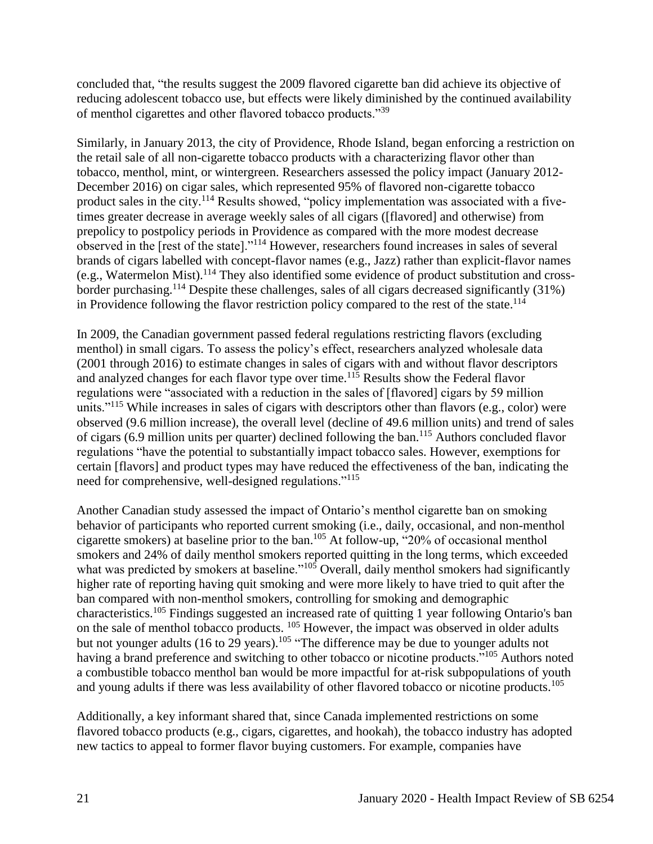concluded that, "the results suggest the 2009 flavored cigarette ban did achieve its objective of reducing adolescent tobacco use, but effects were likely diminished by the continued availability of menthol cigarettes and other flavored tobacco products."<sup>39</sup>

Similarly, in January 2013, the city of Providence, Rhode Island, began enforcing a restriction on the retail sale of all non-cigarette tobacco products with a characterizing flavor other than tobacco, menthol, mint, or wintergreen. Researchers assessed the policy impact (January 2012- December 2016) on cigar sales, which represented 95% of flavored non-cigarette tobacco product sales in the city.<sup>114</sup> Results showed, "policy implementation was associated with a fivetimes greater decrease in average weekly sales of all cigars ([flavored] and otherwise) from prepolicy to postpolicy periods in Providence as compared with the more modest decrease observed in the [rest of the state]."<sup>114</sup> However, researchers found increases in sales of several brands of cigars labelled with concept-flavor names (e.g., Jazz) rather than explicit-flavor names (e.g., Watermelon Mist).<sup>114</sup> They also identified some evidence of product substitution and crossborder purchasing.<sup>114</sup> Despite these challenges, sales of all cigars decreased significantly (31%) in Providence following the flavor restriction policy compared to the rest of the state. 114

In 2009, the Canadian government passed federal regulations restricting flavors (excluding menthol) in small cigars. To assess the policy's effect, researchers analyzed wholesale data (2001 through 2016) to estimate changes in sales of cigars with and without flavor descriptors and analyzed changes for each flavor type over time.<sup>115</sup> Results show the Federal flavor regulations were "associated with a reduction in the sales of [flavored] cigars by 59 million units."<sup>115</sup> While increases in sales of cigars with descriptors other than flavors (e.g., color) were observed (9.6 million increase), the overall level (decline of 49.6 million units) and trend of sales of cigars (6.9 million units per quarter) declined following the ban.<sup>115</sup> Authors concluded flavor regulations "have the potential to substantially impact tobacco sales. However, exemptions for certain [flavors] and product types may have reduced the effectiveness of the ban, indicating the need for comprehensive, well-designed regulations."<sup>115</sup>

Another Canadian study assessed the impact of Ontario's menthol cigarette ban on smoking behavior of participants who reported current smoking (i.e., daily, occasional, and non-menthol cigarette smokers) at baseline prior to the ban. <sup>105</sup> At follow-up, "20% of occasional menthol smokers and 24% of daily menthol smokers reported quitting in the long terms, which exceeded what was predicted by smokers at baseline."<sup>105</sup> Overall, daily menthol smokers had significantly higher rate of reporting having quit smoking and were more likely to have tried to quit after the ban compared with non-menthol smokers, controlling for smoking and demographic characteristics.<sup>105</sup> Findings suggested an increased rate of quitting 1 year following Ontario's ban on the sale of menthol tobacco products. <sup>105</sup> However, the impact was observed in older adults but not younger adults (16 to  $29$  years).<sup>105</sup> "The difference may be due to younger adults not having a brand preference and switching to other tobacco or nicotine products."<sup>105</sup> Authors noted a combustible tobacco menthol ban would be more impactful for at-risk subpopulations of youth and young adults if there was less availability of other flavored tobacco or nicotine products.<sup>105</sup>

Additionally, a key informant shared that, since Canada implemented restrictions on some flavored tobacco products (e.g., cigars, cigarettes, and hookah), the tobacco industry has adopted new tactics to appeal to former flavor buying customers. For example, companies have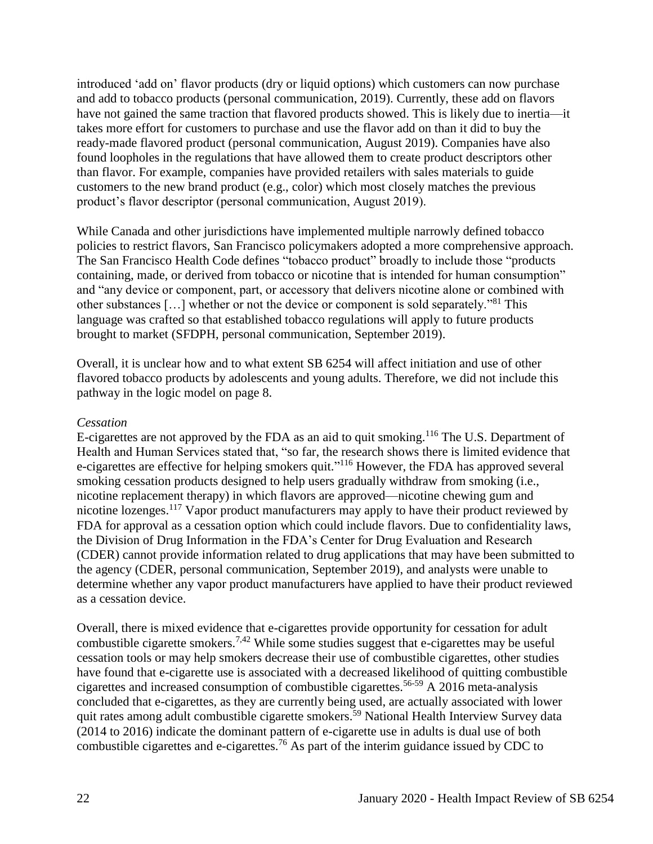introduced 'add on' flavor products (dry or liquid options) which customers can now purchase and add to tobacco products (personal communication, 2019). Currently, these add on flavors have not gained the same traction that flavored products showed. This is likely due to inertia—it takes more effort for customers to purchase and use the flavor add on than it did to buy the ready-made flavored product (personal communication, August 2019). Companies have also found loopholes in the regulations that have allowed them to create product descriptors other than flavor. For example, companies have provided retailers with sales materials to guide customers to the new brand product (e.g., color) which most closely matches the previous product's flavor descriptor (personal communication, August 2019).

While Canada and other jurisdictions have implemented multiple narrowly defined tobacco policies to restrict flavors, San Francisco policymakers adopted a more comprehensive approach. The San Francisco Health Code defines "tobacco product" broadly to include those "products containing, made, or derived from tobacco or nicotine that is intended for human consumption" and "any device or component, part, or accessory that delivers nicotine alone or combined with other substances […] whether or not the device or component is sold separately."<sup>81</sup> This language was crafted so that established tobacco regulations will apply to future products brought to market (SFDPH, personal communication, September 2019).

Overall, it is unclear how and to what extent SB 6254 will affect initiation and use of other flavored tobacco products by adolescents and young adults. Therefore, we did not include this pathway in the logic model on page 8.

#### *Cessation*

E-cigarettes are not approved by the FDA as an aid to quit smoking.<sup>116</sup> The U.S. Department of Health and Human Services stated that, "so far, the research shows there is limited evidence that e-cigarettes are effective for helping smokers quit."<sup>116</sup> However, the FDA has approved several smoking cessation products designed to help users gradually withdraw from smoking (i.e., nicotine replacement therapy) in which flavors are approved—nicotine chewing gum and nicotine lozenges.<sup>117</sup> Vapor product manufacturers may apply to have their product reviewed by FDA for approval as a cessation option which could include flavors. Due to confidentiality laws, the Division of Drug Information in the FDA's Center for Drug Evaluation and Research (CDER) cannot provide information related to drug applications that may have been submitted to the agency (CDER, personal communication, September 2019), and analysts were unable to determine whether any vapor product manufacturers have applied to have their product reviewed as a cessation device.

Overall, there is mixed evidence that e-cigarettes provide opportunity for cessation for adult combustible cigarette smokers.<sup>[7](#page-27-0)[,42](#page-44-0)</sup> While some studies suggest that e-cigarettes may be useful cessation tools or may help smokers decrease their use of combustible cigarettes, other studies have found that e-cigarette use is associated with a decreased likelihood of quitting combustible cigarettes and increased consumption of combustible cigarettes.56-59 A 2016 meta-analysis concluded that e-cigarettes, as they are currently being used, are actually associated with lower quit rates among adult combustible cigarette smokers.<sup>59</sup> National Health Interview Survey data (2014 to 2016) indicate the dominant pattern of e-cigarette use in adults is dual use of both combustible cigarettes and e-cigarettes.<sup>76</sup> As part of the interim guidance issued by CDC to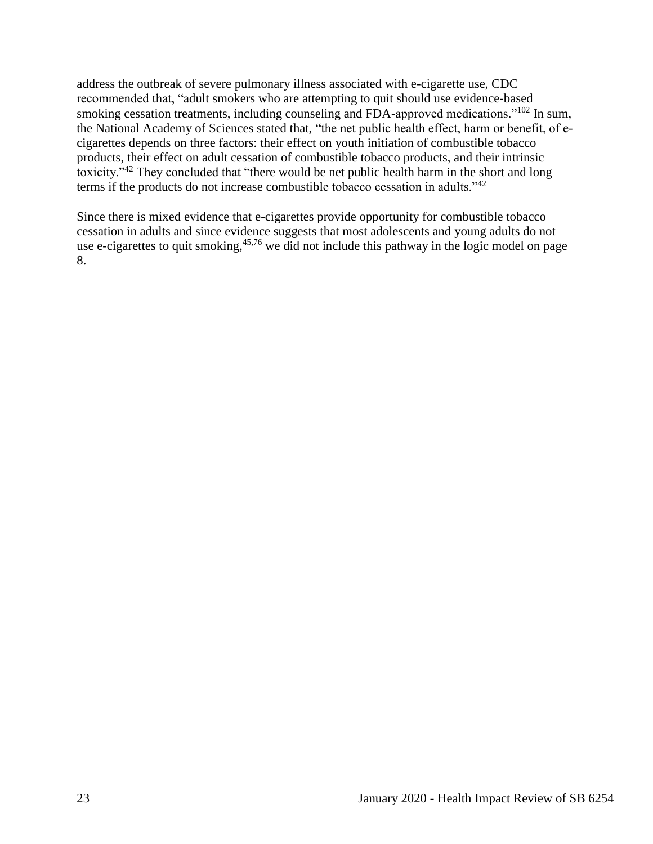address the outbreak of severe pulmonary illness associated with e-cigarette use, CDC recommended that, "adult smokers who are attempting to quit should use evidence-based smoking cessation treatments, including counseling and FDA-approved medications."<sup>102</sup> In sum, the National Academy of Sciences stated that, "the net public health effect, harm or benefit, of ecigarettes depends on three factors: their effect on youth initiation of combustible tobacco products, their effect on adult cessation of combustible tobacco products, and their intrinsic toxicity."<sup>42</sup> They concluded that "there would be net public health harm in the short and long terms if the products do not increase combustible tobacco cessation in adults."<sup>42</sup>

<span id="page-24-0"></span>Since there is mixed evidence that e-cigarettes provide opportunity for combustible tobacco cessation in adults and since evidence suggests that most adolescents and young adults do not use e-cigarettes to quit smoking,  $45.76$  $45.76$  we did not include this pathway in the logic model on page 8.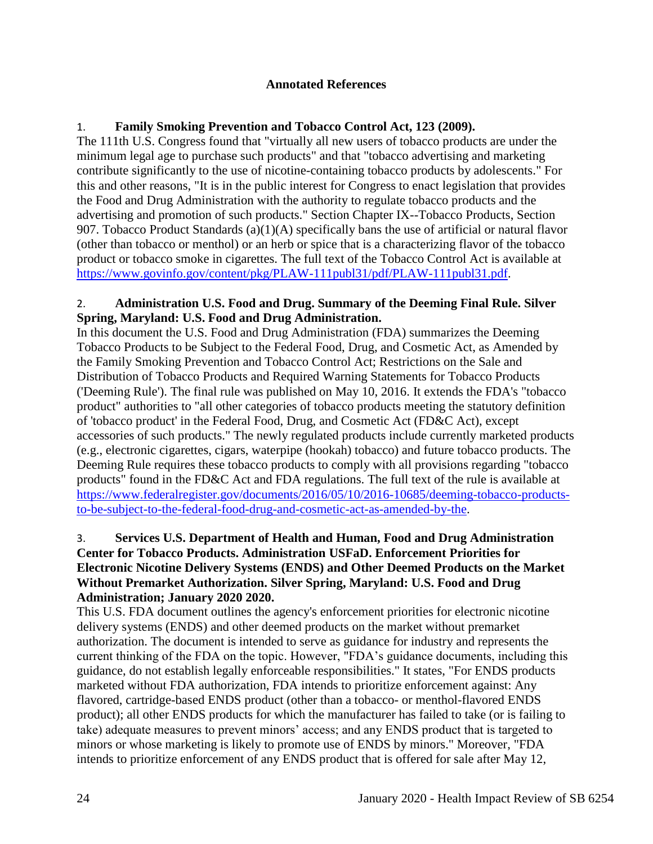#### **Annotated References**

# 1. **Family Smoking Prevention and Tobacco Control Act, 123 (2009).**

The 111th U.S. Congress found that "virtually all new users of tobacco products are under the minimum legal age to purchase such products" and that "tobacco advertising and marketing contribute significantly to the use of nicotine-containing tobacco products by adolescents." For this and other reasons, "It is in the public interest for Congress to enact legislation that provides the Food and Drug Administration with the authority to regulate tobacco products and the advertising and promotion of such products." Section Chapter IX--Tobacco Products, Section 907. Tobacco Product Standards  $(a)(1)(A)$  specifically bans the use of artificial or natural flavor (other than tobacco or menthol) or an herb or spice that is a characterizing flavor of the tobacco product or tobacco smoke in cigarettes. The full text of the Tobacco Control Act is available at [https://www.govinfo.gov/content/pkg/PLAW-111publ31/pdf/PLAW-111publ31.pdf.](https://www.govinfo.gov/content/pkg/PLAW-111publ31/pdf/PLAW-111publ31.pdf)

# 2. **Administration U.S. Food and Drug. Summary of the Deeming Final Rule. Silver Spring, Maryland: U.S. Food and Drug Administration.**

In this document the U.S. Food and Drug Administration (FDA) summarizes the Deeming Tobacco Products to be Subject to the Federal Food, Drug, and Cosmetic Act, as Amended by the Family Smoking Prevention and Tobacco Control Act; Restrictions on the Sale and Distribution of Tobacco Products and Required Warning Statements for Tobacco Products ('Deeming Rule'). The final rule was published on May 10, 2016. It extends the FDA's "tobacco product" authorities to "all other categories of tobacco products meeting the statutory definition of 'tobacco product' in the Federal Food, Drug, and Cosmetic Act (FD&C Act), except accessories of such products." The newly regulated products include currently marketed products (e.g., electronic cigarettes, cigars, waterpipe (hookah) tobacco) and future tobacco products. The Deeming Rule requires these tobacco products to comply with all provisions regarding "tobacco products" found in the FD&C Act and FDA regulations. The full text of the rule is available at [https://www.federalregister.gov/documents/2016/05/10/2016-10685/deeming-tobacco-products](https://www.federalregister.gov/documents/2016/05/10/2016-10685/deeming-tobacco-products-to-be-subject-to-the-federal-food-drug-and-cosmetic-act-as-amended-by-the)[to-be-subject-to-the-federal-food-drug-and-cosmetic-act-as-amended-by-the.](https://www.federalregister.gov/documents/2016/05/10/2016-10685/deeming-tobacco-products-to-be-subject-to-the-federal-food-drug-and-cosmetic-act-as-amended-by-the)

## 3. **Services U.S. Department of Health and Human, Food and Drug Administration Center for Tobacco Products. Administration USFaD. Enforcement Priorities for Electronic Nicotine Delivery Systems (ENDS) and Other Deemed Products on the Market Without Premarket Authorization. Silver Spring, Maryland: U.S. Food and Drug Administration; January 2020 2020.**

This U.S. FDA document outlines the agency's enforcement priorities for electronic nicotine delivery systems (ENDS) and other deemed products on the market without premarket authorization. The document is intended to serve as guidance for industry and represents the current thinking of the FDA on the topic. However, "FDA's guidance documents, including this guidance, do not establish legally enforceable responsibilities." It states, "For ENDS products marketed without FDA authorization, FDA intends to prioritize enforcement against: Any flavored, cartridge-based ENDS product (other than a tobacco- or menthol-flavored ENDS product); all other ENDS products for which the manufacturer has failed to take (or is failing to take) adequate measures to prevent minors' access; and any ENDS product that is targeted to minors or whose marketing is likely to promote use of ENDS by minors." Moreover, "FDA intends to prioritize enforcement of any ENDS product that is offered for sale after May 12,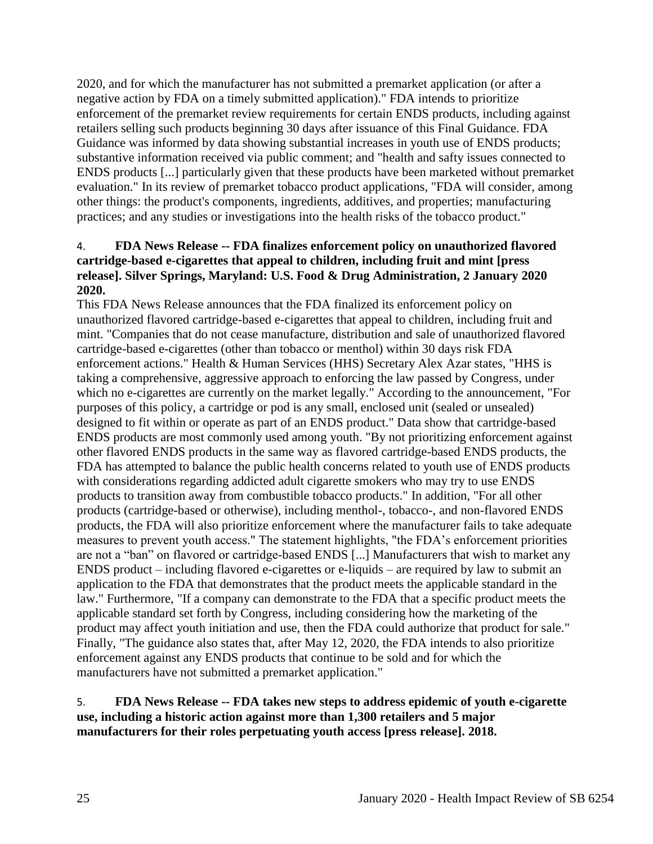2020, and for which the manufacturer has not submitted a premarket application (or after a negative action by FDA on a timely submitted application)." FDA intends to prioritize enforcement of the premarket review requirements for certain ENDS products, including against retailers selling such products beginning 30 days after issuance of this Final Guidance. FDA Guidance was informed by data showing substantial increases in youth use of ENDS products; substantive information received via public comment; and "health and safty issues connected to ENDS products [...] particularly given that these products have been marketed without premarket evaluation." In its review of premarket tobacco product applications, "FDA will consider, among other things: the product's components, ingredients, additives, and properties; manufacturing practices; and any studies or investigations into the health risks of the tobacco product."

#### 4. **FDA News Release -- FDA finalizes enforcement policy on unauthorized flavored cartridge-based e-cigarettes that appeal to children, including fruit and mint [press release]. Silver Springs, Maryland: U.S. Food & Drug Administration, 2 January 2020 2020.**

This FDA News Release announces that the FDA finalized its enforcement policy on unauthorized flavored cartridge-based e-cigarettes that appeal to children, including fruit and mint. "Companies that do not cease manufacture, distribution and sale of unauthorized flavored cartridge-based e-cigarettes (other than tobacco or menthol) within 30 days risk FDA enforcement actions." Health & Human Services (HHS) Secretary Alex Azar states, "HHS is taking a comprehensive, aggressive approach to enforcing the law passed by Congress, under which no e-cigarettes are currently on the market legally." According to the announcement, "For purposes of this policy, a cartridge or pod is any small, enclosed unit (sealed or unsealed) designed to fit within or operate as part of an ENDS product." Data show that cartridge-based ENDS products are most commonly used among youth. "By not prioritizing enforcement against other flavored ENDS products in the same way as flavored cartridge-based ENDS products, the FDA has attempted to balance the public health concerns related to youth use of ENDS products with considerations regarding addicted adult cigarette smokers who may try to use ENDS products to transition away from combustible tobacco products." In addition, "For all other products (cartridge-based or otherwise), including menthol-, tobacco-, and non-flavored ENDS products, the FDA will also prioritize enforcement where the manufacturer fails to take adequate measures to prevent youth access." The statement highlights, "the FDA's enforcement priorities are not a "ban" on flavored or cartridge-based ENDS [...] Manufacturers that wish to market any ENDS product – including flavored e-cigarettes or e-liquids – are required by law to submit an application to the FDA that demonstrates that the product meets the applicable standard in the law." Furthermore, "If a company can demonstrate to the FDA that a specific product meets the applicable standard set forth by Congress, including considering how the marketing of the product may affect youth initiation and use, then the FDA could authorize that product for sale." Finally, "The guidance also states that, after May 12, 2020, the FDA intends to also prioritize enforcement against any ENDS products that continue to be sold and for which the manufacturers have not submitted a premarket application."

### <span id="page-26-0"></span>5. **FDA News Release -- FDA takes new steps to address epidemic of youth e-cigarette use, including a historic action against more than 1,300 retailers and 5 major manufacturers for their roles perpetuating youth access [press release]. 2018.**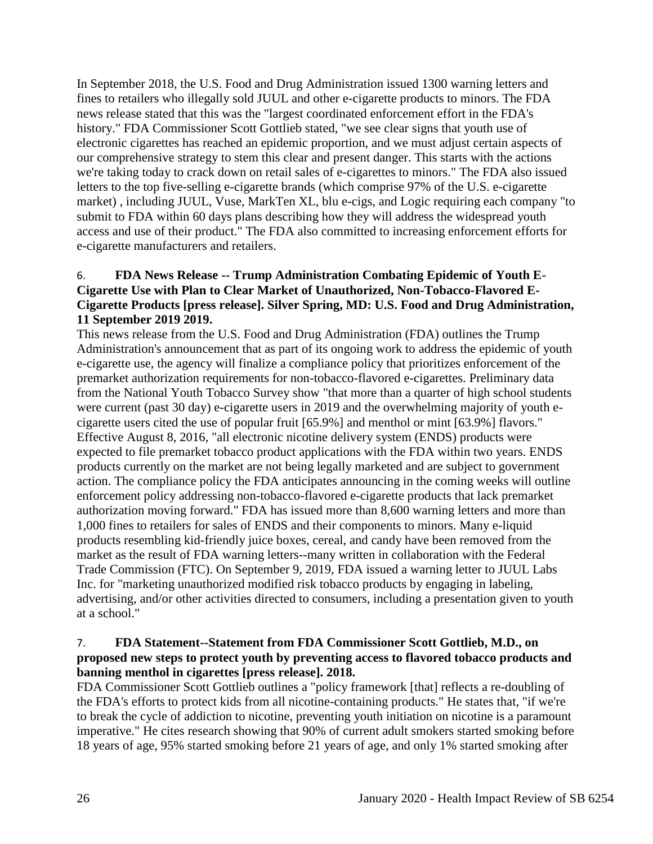In September 2018, the U.S. Food and Drug Administration issued 1300 warning letters and fines to retailers who illegally sold JUUL and other e-cigarette products to minors. The FDA news release stated that this was the "largest coordinated enforcement effort in the FDA's history." FDA Commissioner Scott Gottlieb stated, "we see clear signs that youth use of electronic cigarettes has reached an epidemic proportion, and we must adjust certain aspects of our comprehensive strategy to stem this clear and present danger. This starts with the actions we're taking today to crack down on retail sales of e-cigarettes to minors." The FDA also issued letters to the top five-selling e-cigarette brands (which comprise 97% of the U.S. e-cigarette market) , including JUUL, Vuse, MarkTen XL, blu e-cigs, and Logic requiring each company "to submit to FDA within 60 days plans describing how they will address the widespread youth access and use of their product." The FDA also committed to increasing enforcement efforts for e-cigarette manufacturers and retailers.

# 6. **FDA News Release -- Trump Administration Combating Epidemic of Youth E-Cigarette Use with Plan to Clear Market of Unauthorized, Non-Tobacco-Flavored E-Cigarette Products [press release]. Silver Spring, MD: U.S. Food and Drug Administration, 11 September 2019 2019.**

This news release from the U.S. Food and Drug Administration (FDA) outlines the Trump Administration's announcement that as part of its ongoing work to address the epidemic of youth e-cigarette use, the agency will finalize a compliance policy that prioritizes enforcement of the premarket authorization requirements for non-tobacco-flavored e-cigarettes. Preliminary data from the National Youth Tobacco Survey show "that more than a quarter of high school students were current (past 30 day) e-cigarette users in 2019 and the overwhelming majority of youth ecigarette users cited the use of popular fruit [65.9%] and menthol or mint [63.9%] flavors." Effective August 8, 2016, "all electronic nicotine delivery system (ENDS) products were expected to file premarket tobacco product applications with the FDA within two years. ENDS products currently on the market are not being legally marketed and are subject to government action. The compliance policy the FDA anticipates announcing in the coming weeks will outline enforcement policy addressing non-tobacco-flavored e-cigarette products that lack premarket authorization moving forward." FDA has issued more than 8,600 warning letters and more than 1,000 fines to retailers for sales of ENDS and their components to minors. Many e-liquid products resembling kid-friendly juice boxes, cereal, and candy have been removed from the market as the result of FDA warning letters--many written in collaboration with the Federal Trade Commission (FTC). On September 9, 2019, FDA issued a warning letter to JUUL Labs Inc. for "marketing unauthorized modified risk tobacco products by engaging in labeling, advertising, and/or other activities directed to consumers, including a presentation given to youth at a school."

# <span id="page-27-0"></span>7. **FDA Statement--Statement from FDA Commissioner Scott Gottlieb, M.D., on proposed new steps to protect youth by preventing access to flavored tobacco products and banning menthol in cigarettes [press release]. 2018.**

FDA Commissioner Scott Gottlieb outlines a "policy framework [that] reflects a re-doubling of the FDA's efforts to protect kids from all nicotine-containing products." He states that, "if we're to break the cycle of addiction to nicotine, preventing youth initiation on nicotine is a paramount imperative." He cites research showing that 90% of current adult smokers started smoking before 18 years of age, 95% started smoking before 21 years of age, and only 1% started smoking after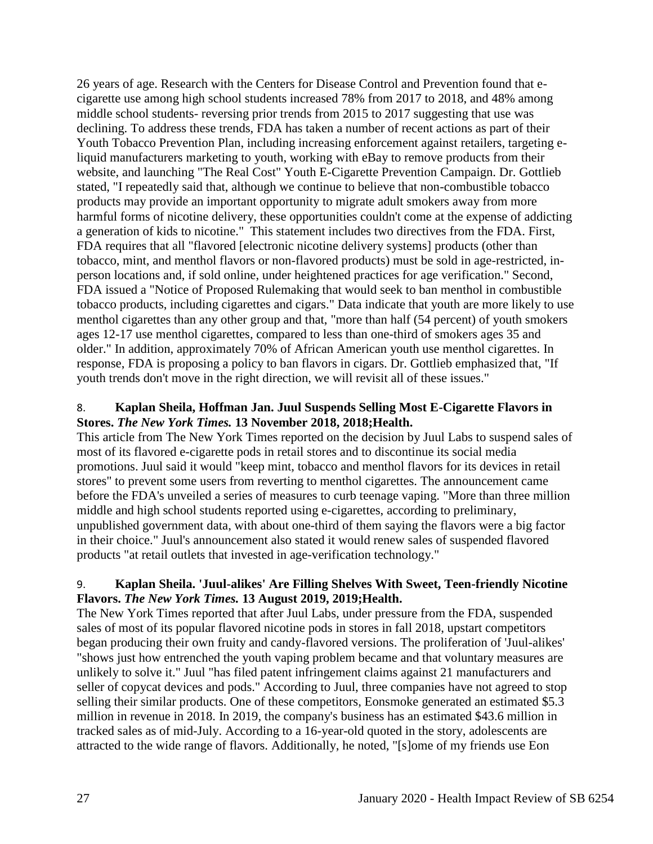26 years of age. Research with the Centers for Disease Control and Prevention found that ecigarette use among high school students increased 78% from 2017 to 2018, and 48% among middle school students- reversing prior trends from 2015 to 2017 suggesting that use was declining. To address these trends, FDA has taken a number of recent actions as part of their Youth Tobacco Prevention Plan, including increasing enforcement against retailers, targeting eliquid manufacturers marketing to youth, working with eBay to remove products from their website, and launching "The Real Cost" Youth E-Cigarette Prevention Campaign. Dr. Gottlieb stated, "I repeatedly said that, although we continue to believe that non-combustible tobacco products may provide an important opportunity to migrate adult smokers away from more harmful forms of nicotine delivery, these opportunities couldn't come at the expense of addicting a generation of kids to nicotine." This statement includes two directives from the FDA. First, FDA requires that all "flavored [electronic nicotine delivery systems] products (other than tobacco, mint, and menthol flavors or non-flavored products) must be sold in age-restricted, inperson locations and, if sold online, under heightened practices for age verification." Second, FDA issued a "Notice of Proposed Rulemaking that would seek to ban menthol in combustible tobacco products, including cigarettes and cigars." Data indicate that youth are more likely to use menthol cigarettes than any other group and that, "more than half (54 percent) of youth smokers ages 12-17 use menthol cigarettes, compared to less than one-third of smokers ages 35 and older." In addition, approximately 70% of African American youth use menthol cigarettes. In response, FDA is proposing a policy to ban flavors in cigars. Dr. Gottlieb emphasized that, "If youth trends don't move in the right direction, we will revisit all of these issues."

# 8. **Kaplan Sheila, Hoffman Jan. Juul Suspends Selling Most E-Cigarette Flavors in Stores.** *The New York Times.* **13 November 2018, 2018;Health.**

This article from The New York Times reported on the decision by Juul Labs to suspend sales of most of its flavored e-cigarette pods in retail stores and to discontinue its social media promotions. Juul said it would "keep mint, tobacco and menthol flavors for its devices in retail stores" to prevent some users from reverting to menthol cigarettes. The announcement came before the FDA's unveiled a series of measures to curb teenage vaping. "More than three million middle and high school students reported using e-cigarettes, according to preliminary, unpublished government data, with about one-third of them saying the flavors were a big factor in their choice." Juul's announcement also stated it would renew sales of suspended flavored products "at retail outlets that invested in age-verification technology."

# 9. **Kaplan Sheila. 'Juul-alikes' Are Filling Shelves With Sweet, Teen-friendly Nicotine Flavors.** *The New York Times.* **13 August 2019, 2019;Health.**

The New York Times reported that after Juul Labs, under pressure from the FDA, suspended sales of most of its popular flavored nicotine pods in stores in fall 2018, upstart competitors began producing their own fruity and candy-flavored versions. The proliferation of 'Juul-alikes' "shows just how entrenched the youth vaping problem became and that voluntary measures are unlikely to solve it." Juul "has filed patent infringement claims against 21 manufacturers and seller of copycat devices and pods." According to Juul, three companies have not agreed to stop selling their similar products. One of these competitors, Eonsmoke generated an estimated \$5.3 million in revenue in 2018. In 2019, the company's business has an estimated \$43.6 million in tracked sales as of mid-July. According to a 16-year-old quoted in the story, adolescents are attracted to the wide range of flavors. Additionally, he noted, "[s]ome of my friends use Eon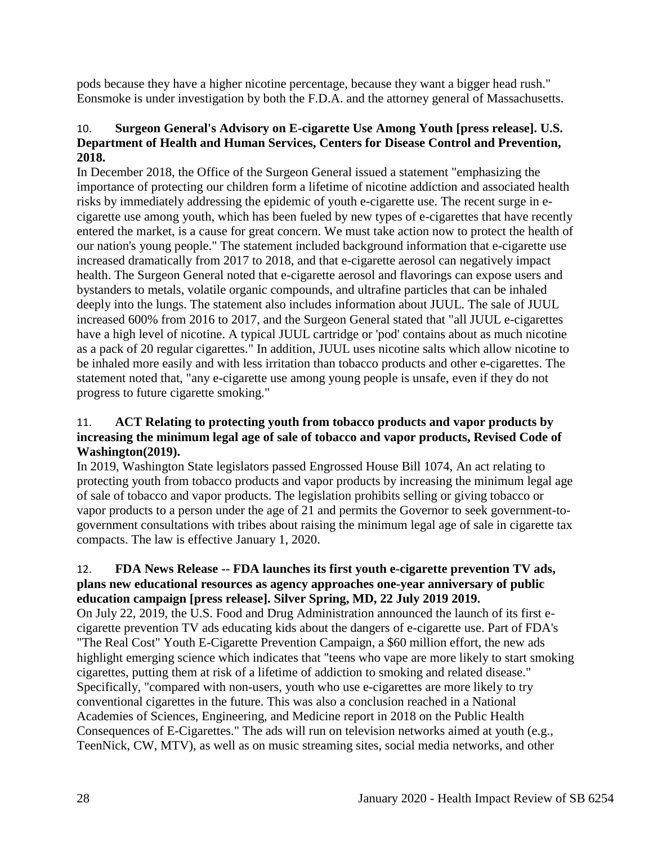pods because they have a higher nicotine percentage, because they want a bigger head rush." Eonsmoke is under investigation by both the F.D.A. and the attorney general of Massachusetts.

# <span id="page-29-0"></span>10. **Surgeon General's Advisory on E-cigarette Use Among Youth [press release]. U.S. Department of Health and Human Services, Centers for Disease Control and Prevention, 2018.**

In December 2018, the Office of the Surgeon General issued a statement "emphasizing the importance of protecting our children form a lifetime of nicotine addiction and associated health risks by immediately addressing the epidemic of youth e-cigarette use. The recent surge in ecigarette use among youth, which has been fueled by new types of e-cigarettes that have recently entered the market, is a cause for great concern. We must take action now to protect the health of our nation's young people." The statement included background information that e-cigarette use increased dramatically from 2017 to 2018, and that e-cigarette aerosol can negatively impact health. The Surgeon General noted that e-cigarette aerosol and flavorings can expose users and bystanders to metals, volatile organic compounds, and ultrafine particles that can be inhaled deeply into the lungs. The statement also includes information about JUUL. The sale of JUUL increased 600% from 2016 to 2017, and the Surgeon General stated that "all JUUL e-cigarettes have a high level of nicotine. A typical JUUL cartridge or 'pod' contains about as much nicotine as a pack of 20 regular cigarettes." In addition, JUUL uses nicotine salts which allow nicotine to be inhaled more easily and with less irritation than tobacco products and other e-cigarettes. The statement noted that, "any e-cigarette use among young people is unsafe, even if they do not progress to future cigarette smoking."

# 11. **ACT Relating to protecting youth from tobacco products and vapor products by increasing the minimum legal age of sale of tobacco and vapor products, Revised Code of Washington(2019).**

In 2019, Washington State legislators passed Engrossed House Bill 1074, An act relating to protecting youth from tobacco products and vapor products by increasing the minimum legal age of sale of tobacco and vapor products. The legislation prohibits selling or giving tobacco or vapor products to a person under the age of 21 and permits the Governor to seek government-togovernment consultations with tribes about raising the minimum legal age of sale in cigarette tax compacts. The law is effective January 1, 2020.

# 12. **FDA News Release -- FDA launches its first youth e-cigarette prevention TV ads, plans new educational resources as agency approaches one-year anniversary of public education campaign [press release]. Silver Spring, MD, 22 July 2019 2019.**

On July 22, 2019, the U.S. Food and Drug Administration announced the launch of its first ecigarette prevention TV ads educating kids about the dangers of e-cigarette use. Part of FDA's "The Real Cost" Youth E-Cigarette Prevention Campaign, a \$60 million effort, the new ads highlight emerging science which indicates that "teens who vape are more likely to start smoking cigarettes, putting them at risk of a lifetime of addiction to smoking and related disease." Specifically, "compared with non-users, youth who use e-cigarettes are more likely to try conventional cigarettes in the future. This was also a conclusion reached in a National Academies of Sciences, Engineering, and Medicine report in 2018 on the Public Health Consequences of E-Cigarettes." The ads will run on television networks aimed at youth (e.g., TeenNick, CW, MTV), as well as on music streaming sites, social media networks, and other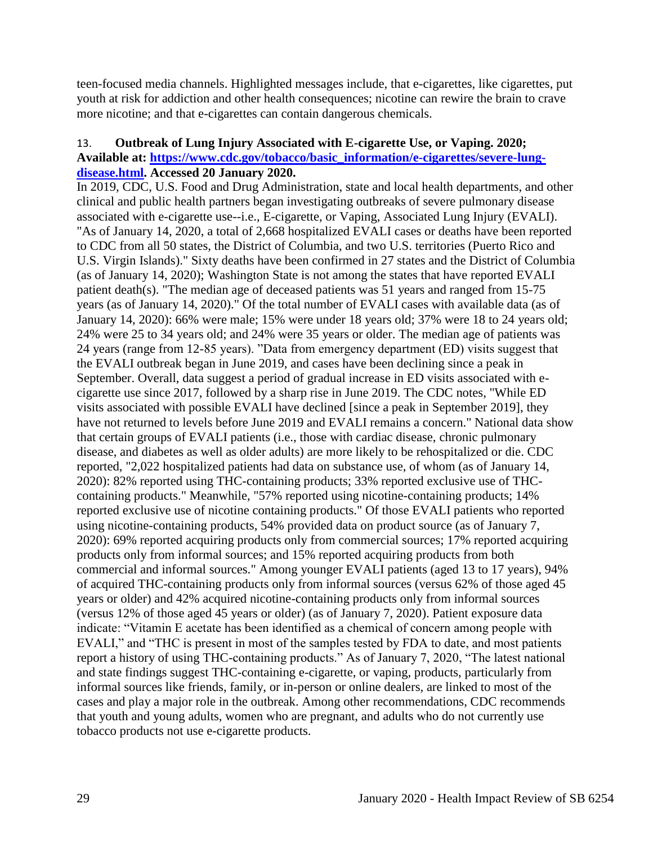teen-focused media channels. Highlighted messages include, that e-cigarettes, like cigarettes, put youth at risk for addiction and other health consequences; nicotine can rewire the brain to crave more nicotine; and that e-cigarettes can contain dangerous chemicals.

### <span id="page-30-0"></span>13. **Outbreak of Lung Injury Associated with E-cigarette Use, or Vaping. 2020; Available at: [https://www.cdc.gov/tobacco/basic\\_information/e-cigarettes/severe-lung](https://www.cdc.gov/tobacco/basic_information/e-cigarettes/severe-lung-disease.html)[disease.html.](https://www.cdc.gov/tobacco/basic_information/e-cigarettes/severe-lung-disease.html) Accessed 20 January 2020.**

In 2019, CDC, U.S. Food and Drug Administration, state and local health departments, and other clinical and public health partners began investigating outbreaks of severe pulmonary disease associated with e-cigarette use--i.e., E-cigarette, or Vaping, Associated Lung Injury (EVALI). "As of January 14, 2020, a total of 2,668 hospitalized EVALI cases or deaths have been reported to CDC from all 50 states, the District of Columbia, and two U.S. territories (Puerto Rico and U.S. Virgin Islands)." Sixty deaths have been confirmed in 27 states and the District of Columbia (as of January 14, 2020); Washington State is not among the states that have reported EVALI patient death(s). "The median age of deceased patients was 51 years and ranged from 15-75 years (as of January 14, 2020)." Of the total number of EVALI cases with available data (as of January 14, 2020): 66% were male; 15% were under 18 years old; 37% were 18 to 24 years old; 24% were 25 to 34 years old; and 24% were 35 years or older. The median age of patients was 24 years (range from 12-85 years). "Data from emergency department (ED) visits suggest that the EVALI outbreak began in June 2019, and cases have been declining since a peak in September. Overall, data suggest a period of gradual increase in ED visits associated with ecigarette use since 2017, followed by a sharp rise in June 2019. The CDC notes, "While ED visits associated with possible EVALI have declined [since a peak in September 2019], they have not returned to levels before June 2019 and EVALI remains a concern." National data show that certain groups of EVALI patients (i.e., those with cardiac disease, chronic pulmonary disease, and diabetes as well as older adults) are more likely to be rehospitalized or die. CDC reported, "2,022 hospitalized patients had data on substance use, of whom (as of January 14, 2020): 82% reported using THC-containing products; 33% reported exclusive use of THCcontaining products." Meanwhile, "57% reported using nicotine-containing products; 14% reported exclusive use of nicotine containing products." Of those EVALI patients who reported using nicotine-containing products, 54% provided data on product source (as of January 7, 2020): 69% reported acquiring products only from commercial sources; 17% reported acquiring products only from informal sources; and 15% reported acquiring products from both commercial and informal sources." Among younger EVALI patients (aged 13 to 17 years), 94% of acquired THC-containing products only from informal sources (versus 62% of those aged 45 years or older) and 42% acquired nicotine-containing products only from informal sources (versus 12% of those aged 45 years or older) (as of January 7, 2020). Patient exposure data indicate: "Vitamin E acetate has been identified as a chemical of concern among people with EVALI," and "THC is present in most of the samples tested by FDA to date, and most patients report a history of using THC-containing products." As of January 7, 2020, "The latest national and state findings suggest THC-containing e-cigarette, or vaping, products, particularly from informal sources like friends, family, or in-person or online dealers, are linked to most of the cases and play a major role in the outbreak. Among other recommendations, CDC recommends that youth and young adults, women who are pregnant, and adults who do not currently use tobacco products not use e-cigarette products.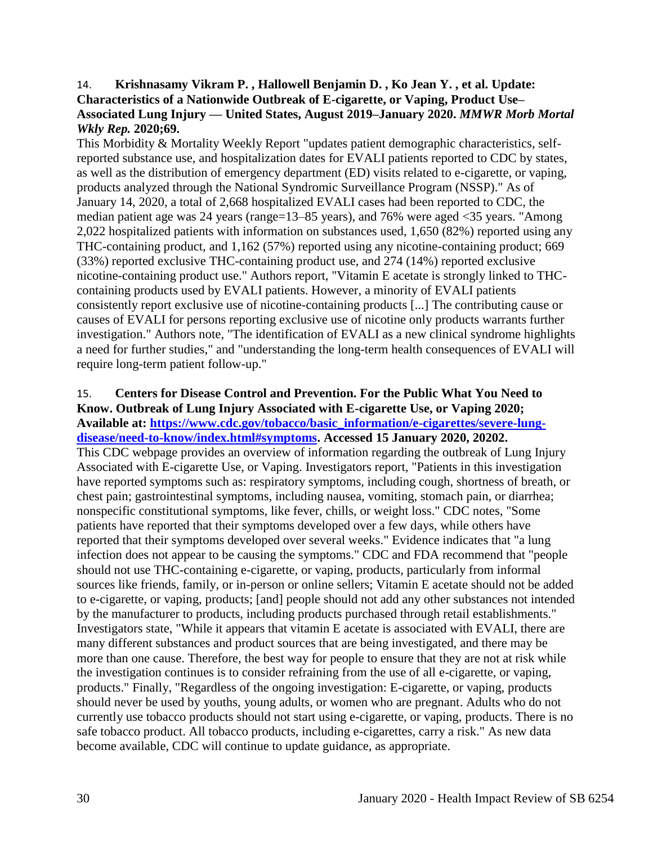## <span id="page-31-0"></span>14. **Krishnasamy Vikram P. , Hallowell Benjamin D. , Ko Jean Y. , et al. Update: Characteristics of a Nationwide Outbreak of E-cigarette, or Vaping, Product Use– Associated Lung Injury — United States, August 2019–January 2020.** *MMWR Morb Mortal Wkly Rep.* **2020;69.**

This Morbidity & Mortality Weekly Report "updates patient demographic characteristics, selfreported substance use, and hospitalization dates for EVALI patients reported to CDC by states, as well as the distribution of emergency department (ED) visits related to e-cigarette, or vaping, products analyzed through the National Syndromic Surveillance Program (NSSP)." As of January 14, 2020, a total of 2,668 hospitalized EVALI cases had been reported to CDC, the median patient age was 24 years (range=13–85 years), and 76% were aged <35 years. "Among 2,022 hospitalized patients with information on substances used, 1,650 (82%) reported using any THC-containing product, and 1,162 (57%) reported using any nicotine-containing product; 669 (33%) reported exclusive THC-containing product use, and 274 (14%) reported exclusive nicotine-containing product use." Authors report, "Vitamin E acetate is strongly linked to THCcontaining products used by EVALI patients. However, a minority of EVALI patients consistently report exclusive use of nicotine-containing products [...] The contributing cause or causes of EVALI for persons reporting exclusive use of nicotine only products warrants further investigation." Authors note, "The identification of EVALI as a new clinical syndrome highlights a need for further studies," and "understanding the long-term health consequences of EVALI will require long-term patient follow-up."

# 15. **Centers for Disease Control and Prevention. For the Public What You Need to Know. Outbreak of Lung Injury Associated with E-cigarette Use, or Vaping 2020; Available at: [https://www.cdc.gov/tobacco/basic\\_information/e-cigarettes/severe-lung-](https://www.cdc.gov/tobacco/basic_information/e-cigarettes/severe-lung-disease/need-to-know/index.html#symptoms)**

**[disease/need-to-know/index.html#symptoms.](https://www.cdc.gov/tobacco/basic_information/e-cigarettes/severe-lung-disease/need-to-know/index.html#symptoms) Accessed 15 January 2020, 20202.** This CDC webpage provides an overview of information regarding the outbreak of Lung Injury Associated with E-cigarette Use, or Vaping. Investigators report, "Patients in this investigation have reported symptoms such as: respiratory symptoms, including cough, shortness of breath, or chest pain; gastrointestinal symptoms, including nausea, vomiting, stomach pain, or diarrhea; nonspecific constitutional symptoms, like fever, chills, or weight loss." CDC notes, "Some patients have reported that their symptoms developed over a few days, while others have reported that their symptoms developed over several weeks." Evidence indicates that "a lung infection does not appear to be causing the symptoms." CDC and FDA recommend that "people should not use THC-containing e-cigarette, or vaping, products, particularly from informal sources like friends, family, or in-person or online sellers; Vitamin E acetate should not be added to e-cigarette, or vaping, products; [and] people should not add any other substances not intended by the manufacturer to products, including products purchased through retail establishments." Investigators state, "While it appears that vitamin E acetate is associated with EVALI, there are many different substances and product sources that are being investigated, and there may be more than one cause. Therefore, the best way for people to ensure that they are not at risk while the investigation continues is to consider refraining from the use of all e-cigarette, or vaping, products." Finally, "Regardless of the ongoing investigation: E-cigarette, or vaping, products should never be used by youths, young adults, or women who are pregnant. Adults who do not currently use tobacco products should not start using e-cigarette, or vaping, products. There is no safe tobacco product. All tobacco products, including e-cigarettes, carry a risk." As new data become available, CDC will continue to update guidance, as appropriate.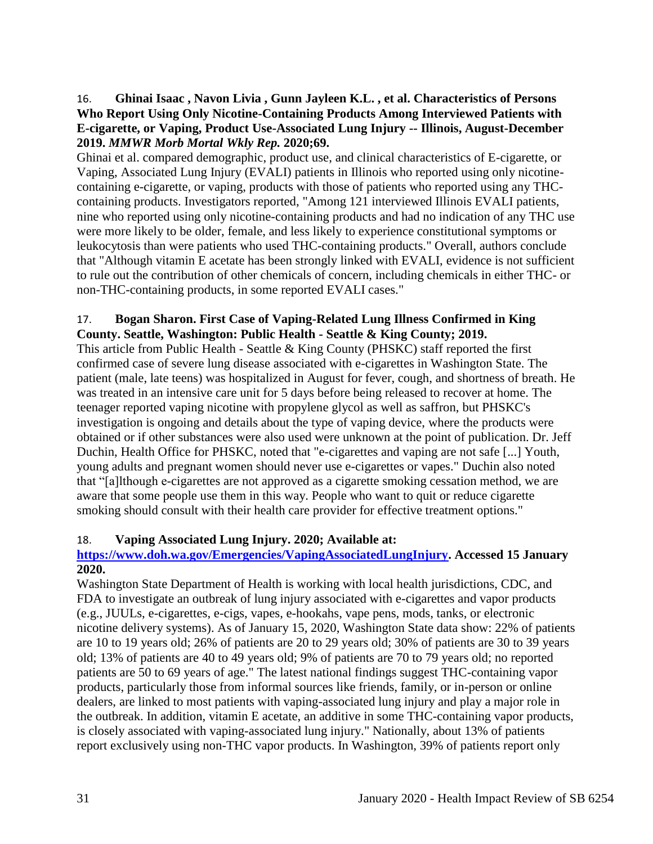# <span id="page-32-0"></span>16. **Ghinai Isaac , Navon Livia , Gunn Jayleen K.L. , et al. Characteristics of Persons Who Report Using Only Nicotine-Containing Products Among Interviewed Patients with E-cigarette, or Vaping, Product Use-Associated Lung Injury -- Illinois, August-December 2019.** *MMWR Morb Mortal Wkly Rep.* **2020;69.**

Ghinai et al. compared demographic, product use, and clinical characteristics of E-cigarette, or Vaping, Associated Lung Injury (EVALI) patients in Illinois who reported using only nicotinecontaining e-cigarette, or vaping, products with those of patients who reported using any THCcontaining products. Investigators reported, "Among 121 interviewed Illinois EVALI patients, nine who reported using only nicotine-containing products and had no indication of any THC use were more likely to be older, female, and less likely to experience constitutional symptoms or leukocytosis than were patients who used THC-containing products." Overall, authors conclude that "Although vitamin E acetate has been strongly linked with EVALI, evidence is not sufficient to rule out the contribution of other chemicals of concern, including chemicals in either THC- or non-THC-containing products, in some reported EVALI cases."

# 17. **Bogan Sharon. First Case of Vaping-Related Lung Illness Confirmed in King County. Seattle, Washington: Public Health - Seattle & King County; 2019.**

This article from Public Health - Seattle & King County (PHSKC) staff reported the first confirmed case of severe lung disease associated with e-cigarettes in Washington State. The patient (male, late teens) was hospitalized in August for fever, cough, and shortness of breath. He was treated in an intensive care unit for 5 days before being released to recover at home. The teenager reported vaping nicotine with propylene glycol as well as saffron, but PHSKC's investigation is ongoing and details about the type of vaping device, where the products were obtained or if other substances were also used were unknown at the point of publication. Dr. Jeff Duchin, Health Office for PHSKC, noted that "e-cigarettes and vaping are not safe [...] Youth, young adults and pregnant women should never use e-cigarettes or vapes." Duchin also noted that "[a]lthough e-cigarettes are not approved as a cigarette smoking cessation method, we are aware that some people use them in this way. People who want to quit or reduce cigarette smoking should consult with their health care provider for effective treatment options."

# 18. **Vaping Associated Lung Injury. 2020; Available at:**

# **[https://www.doh.wa.gov/Emergencies/VapingAssociatedLungInjury.](https://www.doh.wa.gov/Emergencies/VapingAssociatedLungInjury) Accessed 15 January 2020.**

Washington State Department of Health is working with local health jurisdictions, CDC, and FDA to investigate an outbreak of lung injury associated with e-cigarettes and vapor products (e.g., JUULs, e-cigarettes, e-cigs, vapes, e-hookahs, vape pens, mods, tanks, or electronic nicotine delivery systems). As of January 15, 2020, Washington State data show: 22% of patients are 10 to 19 years old; 26% of patients are 20 to 29 years old; 30% of patients are 30 to 39 years old; 13% of patients are 40 to 49 years old; 9% of patients are 70 to 79 years old; no reported patients are 50 to 69 years of age." The latest national findings suggest THC-containing vapor products, particularly those from informal sources like friends, family, or in-person or online dealers, are linked to most patients with vaping-associated lung injury and play a major role in the outbreak. In addition, vitamin E acetate, an additive in some THC-containing vapor products, is closely associated with vaping-associated lung injury." Nationally, about 13% of patients report exclusively using non-THC vapor products. In Washington, 39% of patients report only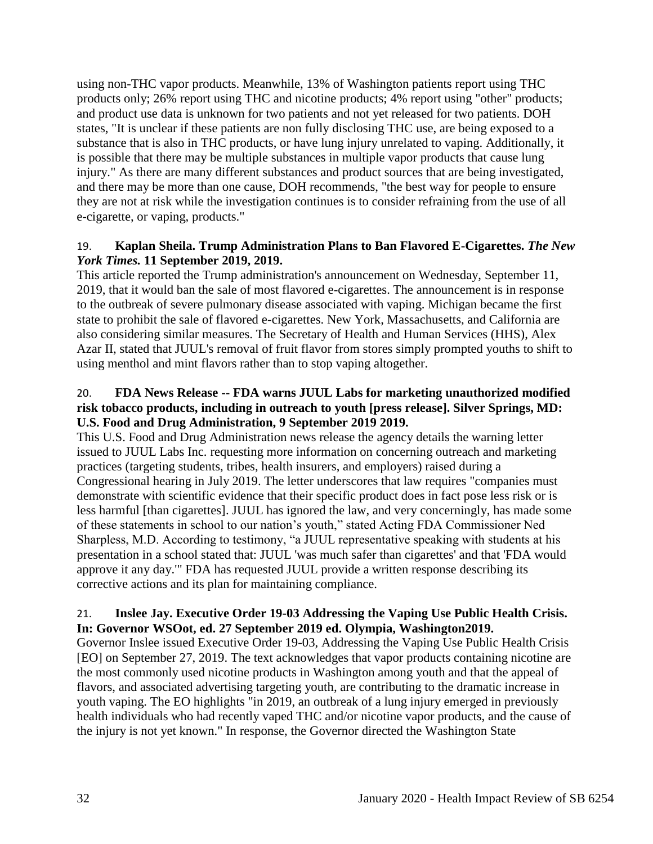using non-THC vapor products. Meanwhile, 13% of Washington patients report using THC products only; 26% report using THC and nicotine products; 4% report using "other" products; and product use data is unknown for two patients and not yet released for two patients. DOH states, "It is unclear if these patients are non fully disclosing THC use, are being exposed to a substance that is also in THC products, or have lung injury unrelated to vaping. Additionally, it is possible that there may be multiple substances in multiple vapor products that cause lung injury." As there are many different substances and product sources that are being investigated, and there may be more than one cause, DOH recommends, "the best way for people to ensure they are not at risk while the investigation continues is to consider refraining from the use of all e-cigarette, or vaping, products."

# 19. **Kaplan Sheila. Trump Administration Plans to Ban Flavored E-Cigarettes.** *The New York Times.* **11 September 2019, 2019.**

This article reported the Trump administration's announcement on Wednesday, September 11, 2019, that it would ban the sale of most flavored e-cigarettes. The announcement is in response to the outbreak of severe pulmonary disease associated with vaping. Michigan became the first state to prohibit the sale of flavored e-cigarettes. New York, Massachusetts, and California are also considering similar measures. The Secretary of Health and Human Services (HHS), Alex Azar II, stated that JUUL's removal of fruit flavor from stores simply prompted youths to shift to using menthol and mint flavors rather than to stop vaping altogether.

# 20. **FDA News Release -- FDA warns JUUL Labs for marketing unauthorized modified risk tobacco products, including in outreach to youth [press release]. Silver Springs, MD: U.S. Food and Drug Administration, 9 September 2019 2019.**

This U.S. Food and Drug Administration news release the agency details the warning letter issued to JUUL Labs Inc. requesting more information on concerning outreach and marketing practices (targeting students, tribes, health insurers, and employers) raised during a Congressional hearing in July 2019. The letter underscores that law requires "companies must demonstrate with scientific evidence that their specific product does in fact pose less risk or is less harmful [than cigarettes]. JUUL has ignored the law, and very concerningly, has made some of these statements in school to our nation's youth," stated Acting FDA Commissioner Ned Sharpless, M.D. According to testimony, "a JUUL representative speaking with students at his presentation in a school stated that: JUUL 'was much safer than cigarettes' and that 'FDA would approve it any day.'" FDA has requested JUUL provide a written response describing its corrective actions and its plan for maintaining compliance.

# 21. **Inslee Jay. Executive Order 19-03 Addressing the Vaping Use Public Health Crisis. In: Governor WSOot, ed. 27 September 2019 ed. Olympia, Washington2019.**

Governor Inslee issued Executive Order 19-03, Addressing the Vaping Use Public Health Crisis [EO] on September 27, 2019. The text acknowledges that vapor products containing nicotine are the most commonly used nicotine products in Washington among youth and that the appeal of flavors, and associated advertising targeting youth, are contributing to the dramatic increase in youth vaping. The EO highlights "in 2019, an outbreak of a lung injury emerged in previously health individuals who had recently vaped THC and/or nicotine vapor products, and the cause of the injury is not yet known." In response, the Governor directed the Washington State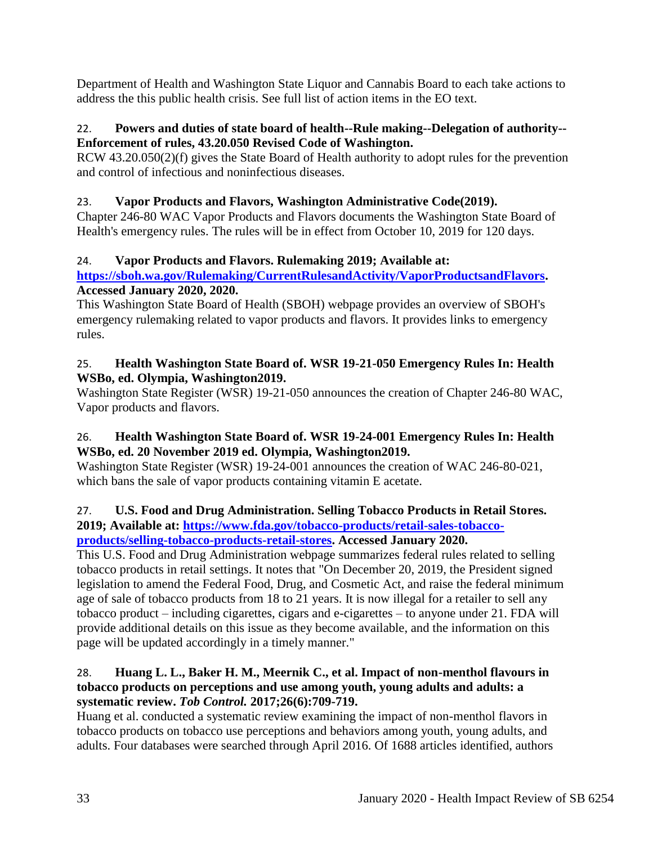Department of Health and Washington State Liquor and Cannabis Board to each take actions to address the this public health crisis. See full list of action items in the EO text.

# 22. **Powers and duties of state board of health--Rule making--Delegation of authority-- Enforcement of rules, 43.20.050 Revised Code of Washington.**

RCW 43.20.050(2)(f) gives the State Board of Health authority to adopt rules for the prevention and control of infectious and noninfectious diseases.

# 23. **Vapor Products and Flavors, Washington Administrative Code(2019).**

Chapter 246-80 WAC Vapor Products and Flavors documents the Washington State Board of Health's emergency rules. The rules will be in effect from October 10, 2019 for 120 days.

# 24. **Vapor Products and Flavors. Rulemaking 2019; Available at:**

# **[https://sboh.wa.gov/Rulemaking/CurrentRulesandActivity/VaporProductsandFlavors.](https://sboh.wa.gov/Rulemaking/CurrentRulesandActivity/VaporProductsandFlavors) Accessed January 2020, 2020.**

This Washington State Board of Health (SBOH) webpage provides an overview of SBOH's emergency rulemaking related to vapor products and flavors. It provides links to emergency rules.

# 25. **Health Washington State Board of. WSR 19-21-050 Emergency Rules In: Health WSBo, ed. Olympia, Washington2019.**

Washington State Register (WSR) 19-21-050 announces the creation of Chapter 246-80 WAC, Vapor products and flavors.

# 26. **Health Washington State Board of. WSR 19-24-001 Emergency Rules In: Health WSBo, ed. 20 November 2019 ed. Olympia, Washington2019.**

Washington State Register (WSR) 19-24-001 announces the creation of WAC 246-80-021, which bans the sale of vapor products containing vitamin E acetate.

#### 27. **U.S. Food and Drug Administration. Selling Tobacco Products in Retail Stores. 2019; Available at: [https://www.fda.gov/tobacco-products/retail-sales-tobacco](https://www.fda.gov/tobacco-products/retail-sales-tobacco-products/selling-tobacco-products-retail-stores)[products/selling-tobacco-products-retail-stores.](https://www.fda.gov/tobacco-products/retail-sales-tobacco-products/selling-tobacco-products-retail-stores) Accessed January 2020.**

This U.S. Food and Drug Administration webpage summarizes federal rules related to selling tobacco products in retail settings. It notes that "On December 20, 2019, the President signed legislation to amend the Federal Food, Drug, and Cosmetic Act, and raise the federal minimum age of sale of tobacco products from 18 to 21 years. It is now illegal for a retailer to sell any tobacco product – including cigarettes, cigars and e-cigarettes – to anyone under 21. FDA will provide additional details on this issue as they become available, and the information on this page will be updated accordingly in a timely manner."

# <span id="page-34-0"></span>28. **Huang L. L., Baker H. M., Meernik C., et al. Impact of non-menthol flavours in tobacco products on perceptions and use among youth, young adults and adults: a systematic review.** *Tob Control.* **2017;26(6):709-719.**

Huang et al. conducted a systematic review examining the impact of non-menthol flavors in tobacco products on tobacco use perceptions and behaviors among youth, young adults, and adults. Four databases were searched through April 2016. Of 1688 articles identified, authors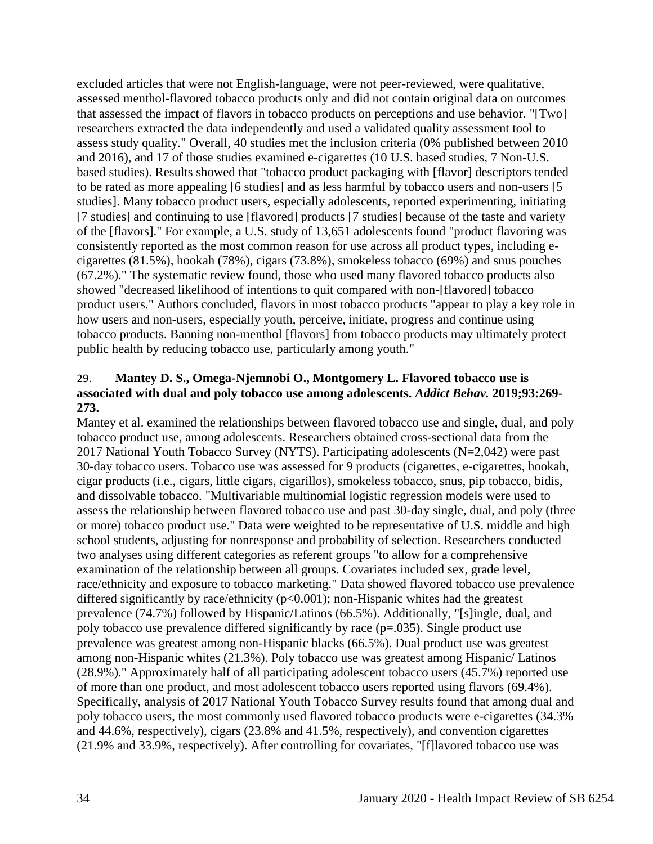excluded articles that were not English-language, were not peer-reviewed, were qualitative, assessed menthol-flavored tobacco products only and did not contain original data on outcomes that assessed the impact of flavors in tobacco products on perceptions and use behavior. "[Two] researchers extracted the data independently and used a validated quality assessment tool to assess study quality." Overall, 40 studies met the inclusion criteria (0% published between 2010 and 2016), and 17 of those studies examined e-cigarettes (10 U.S. based studies, 7 Non-U.S. based studies). Results showed that "tobacco product packaging with [flavor] descriptors tended to be rated as more appealing [6 studies] and as less harmful by tobacco users and non-users [5 studies]. Many tobacco product users, especially adolescents, reported experimenting, initiating [7 studies] and continuing to use [flavored] products [7 studies] because of the taste and variety of the [flavors]." For example, a U.S. study of 13,651 adolescents found "product flavoring was consistently reported as the most common reason for use across all product types, including ecigarettes (81.5%), hookah (78%), cigars (73.8%), smokeless tobacco (69%) and snus pouches (67.2%)." The systematic review found, those who used many flavored tobacco products also showed "decreased likelihood of intentions to quit compared with non-[flavored] tobacco product users." Authors concluded, flavors in most tobacco products "appear to play a key role in how users and non-users, especially youth, perceive, initiate, progress and continue using tobacco products. Banning non-menthol [flavors] from tobacco products may ultimately protect public health by reducing tobacco use, particularly among youth."

# <span id="page-35-0"></span>29. **Mantey D. S., Omega-Njemnobi O., Montgomery L. Flavored tobacco use is associated with dual and poly tobacco use among adolescents.** *Addict Behav.* **2019;93:269- 273.**

Mantey et al. examined the relationships between flavored tobacco use and single, dual, and poly tobacco product use, among adolescents. Researchers obtained cross-sectional data from the 2017 National Youth Tobacco Survey (NYTS). Participating adolescents (N=2,042) were past 30-day tobacco users. Tobacco use was assessed for 9 products (cigarettes, e-cigarettes, hookah, cigar products (i.e., cigars, little cigars, cigarillos), smokeless tobacco, snus, pip tobacco, bidis, and dissolvable tobacco. "Multivariable multinomial logistic regression models were used to assess the relationship between flavored tobacco use and past 30-day single, dual, and poly (three or more) tobacco product use." Data were weighted to be representative of U.S. middle and high school students, adjusting for nonresponse and probability of selection. Researchers conducted two analyses using different categories as referent groups "to allow for a comprehensive examination of the relationship between all groups. Covariates included sex, grade level, race/ethnicity and exposure to tobacco marketing." Data showed flavored tobacco use prevalence differed significantly by race/ethnicity ( $p<0.001$ ); non-Hispanic whites had the greatest prevalence (74.7%) followed by Hispanic/Latinos (66.5%). Additionally, "[s]ingle, dual, and poly tobacco use prevalence differed significantly by race (p=.035). Single product use prevalence was greatest among non-Hispanic blacks (66.5%). Dual product use was greatest among non-Hispanic whites (21.3%). Poly tobacco use was greatest among Hispanic/ Latinos (28.9%)." Approximately half of all participating adolescent tobacco users (45.7%) reported use of more than one product, and most adolescent tobacco users reported using flavors (69.4%). Specifically, analysis of 2017 National Youth Tobacco Survey results found that among dual and poly tobacco users, the most commonly used flavored tobacco products were e-cigarettes (34.3% and 44.6%, respectively), cigars (23.8% and 41.5%, respectively), and convention cigarettes (21.9% and 33.9%, respectively). After controlling for covariates, "[f]lavored tobacco use was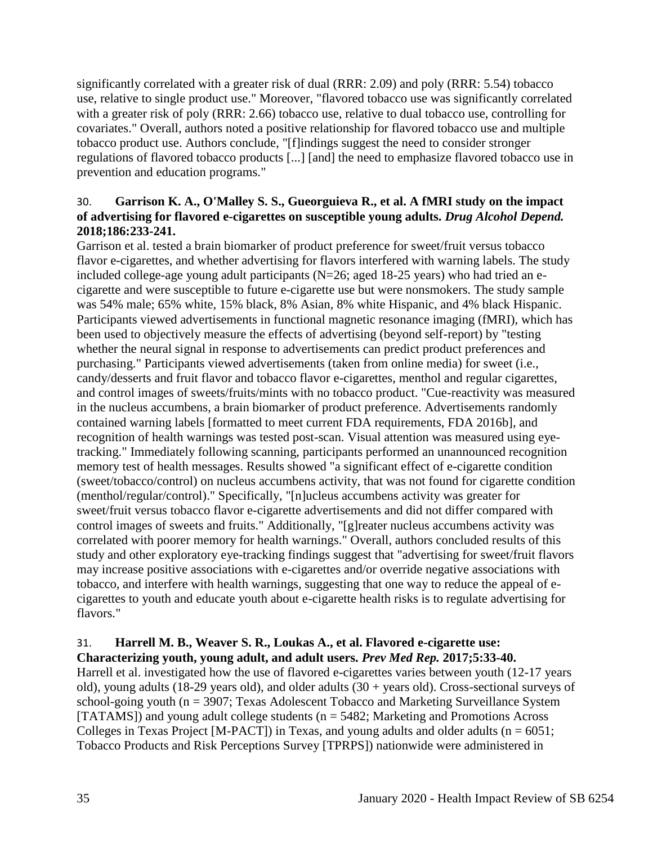significantly correlated with a greater risk of dual (RRR: 2.09) and poly (RRR: 5.54) tobacco use, relative to single product use." Moreover, "flavored tobacco use was significantly correlated with a greater risk of poly (RRR: 2.66) tobacco use, relative to dual tobacco use, controlling for covariates." Overall, authors noted a positive relationship for flavored tobacco use and multiple tobacco product use. Authors conclude, "[f]indings suggest the need to consider stronger regulations of flavored tobacco products [...] [and] the need to emphasize flavored tobacco use in prevention and education programs."

## 30. **Garrison K. A., O'Malley S. S., Gueorguieva R., et al. A fMRI study on the impact of advertising for flavored e-cigarettes on susceptible young adults.** *Drug Alcohol Depend.*  **2018;186:233-241.**

Garrison et al. tested a brain biomarker of product preference for sweet/fruit versus tobacco flavor e-cigarettes, and whether advertising for flavors interfered with warning labels. The study included college-age young adult participants (N=26; aged 18-25 years) who had tried an ecigarette and were susceptible to future e-cigarette use but were nonsmokers. The study sample was 54% male; 65% white, 15% black, 8% Asian, 8% white Hispanic, and 4% black Hispanic. Participants viewed advertisements in functional magnetic resonance imaging (fMRI), which has been used to objectively measure the effects of advertising (beyond self-report) by "testing whether the neural signal in response to advertisements can predict product preferences and purchasing." Participants viewed advertisements (taken from online media) for sweet (i.e., candy/desserts and fruit flavor and tobacco flavor e-cigarettes, menthol and regular cigarettes, and control images of sweets/fruits/mints with no tobacco product. "Cue-reactivity was measured in the nucleus accumbens, a brain biomarker of product preference. Advertisements randomly contained warning labels [formatted to meet current FDA requirements, FDA 2016b], and recognition of health warnings was tested post-scan. Visual attention was measured using eyetracking." Immediately following scanning, participants performed an unannounced recognition memory test of health messages. Results showed "a significant effect of e-cigarette condition (sweet/tobacco/control) on nucleus accumbens activity, that was not found for cigarette condition (menthol/regular/control)." Specifically, "[n]ucleus accumbens activity was greater for sweet/fruit versus tobacco flavor e-cigarette advertisements and did not differ compared with control images of sweets and fruits." Additionally, "[g]reater nucleus accumbens activity was correlated with poorer memory for health warnings." Overall, authors concluded results of this study and other exploratory eye-tracking findings suggest that "advertising for sweet/fruit flavors may increase positive associations with e-cigarettes and/or override negative associations with tobacco, and interfere with health warnings, suggesting that one way to reduce the appeal of ecigarettes to youth and educate youth about e-cigarette health risks is to regulate advertising for flavors."

# 31. **Harrell M. B., Weaver S. R., Loukas A., et al. Flavored e-cigarette use: Characterizing youth, young adult, and adult users.** *Prev Med Rep.* **2017;5:33-40.**

Harrell et al. investigated how the use of flavored e-cigarettes varies between youth (12-17 years old), young adults (18-29 years old), and older adults (30 + years old). Cross-sectional surveys of school-going youth (n = 3907; Texas Adolescent Tobacco and Marketing Surveillance System [TATAMS]) and young adult college students ( $n = 5482$ ; Marketing and Promotions Across Colleges in Texas Project [M-PACT]) in Texas, and young adults and older adults ( $n = 6051$ ; Tobacco Products and Risk Perceptions Survey [TPRPS]) nationwide were administered in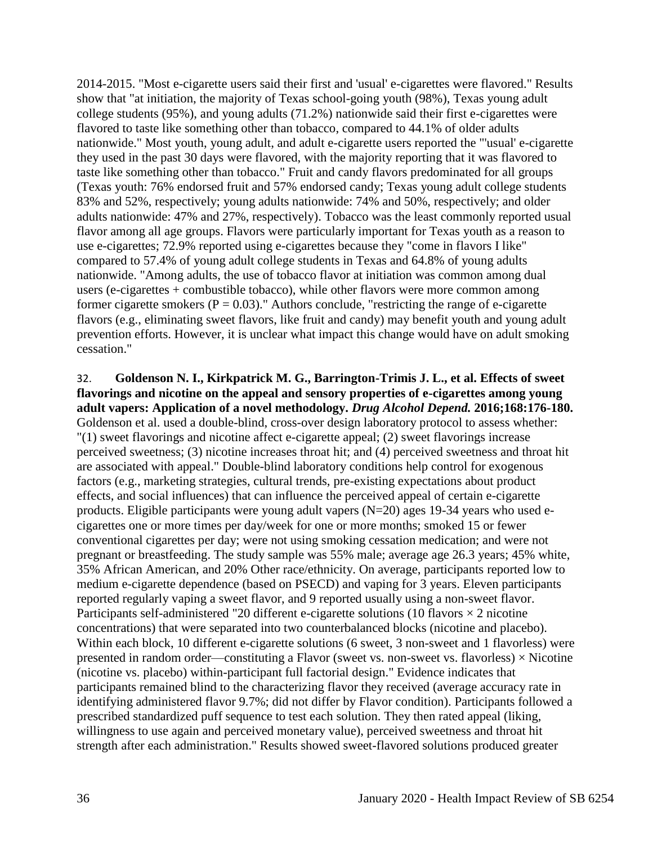2014-2015. "Most e-cigarette users said their first and 'usual' e-cigarettes were flavored." Results show that "at initiation, the majority of Texas school-going youth (98%), Texas young adult college students (95%), and young adults (71.2%) nationwide said their first e-cigarettes were flavored to taste like something other than tobacco, compared to 44.1% of older adults nationwide." Most youth, young adult, and adult e-cigarette users reported the "'usual' e-cigarette they used in the past 30 days were flavored, with the majority reporting that it was flavored to taste like something other than tobacco." Fruit and candy flavors predominated for all groups (Texas youth: 76% endorsed fruit and 57% endorsed candy; Texas young adult college students 83% and 52%, respectively; young adults nationwide: 74% and 50%, respectively; and older adults nationwide: 47% and 27%, respectively). Tobacco was the least commonly reported usual flavor among all age groups. Flavors were particularly important for Texas youth as a reason to use e-cigarettes; 72.9% reported using e-cigarettes because they "come in flavors I like" compared to 57.4% of young adult college students in Texas and 64.8% of young adults nationwide. "Among adults, the use of tobacco flavor at initiation was common among dual users (e-cigarettes + combustible tobacco), while other flavors were more common among former cigarette smokers ( $P = 0.03$ )." Authors conclude, "restricting the range of e-cigarette flavors (e.g., eliminating sweet flavors, like fruit and candy) may benefit youth and young adult prevention efforts. However, it is unclear what impact this change would have on adult smoking cessation."

# 32. **Goldenson N. I., Kirkpatrick M. G., Barrington-Trimis J. L., et al. Effects of sweet flavorings and nicotine on the appeal and sensory properties of e-cigarettes among young adult vapers: Application of a novel methodology.** *Drug Alcohol Depend.* **2016;168:176-180.** Goldenson et al. used a double-blind, cross-over design laboratory protocol to assess whether: "(1) sweet flavorings and nicotine affect e-cigarette appeal; (2) sweet flavorings increase

perceived sweetness; (3) nicotine increases throat hit; and (4) perceived sweetness and throat hit are associated with appeal." Double-blind laboratory conditions help control for exogenous factors (e.g., marketing strategies, cultural trends, pre-existing expectations about product effects, and social influences) that can influence the perceived appeal of certain e-cigarette products. Eligible participants were young adult vapers (N=20) ages 19-34 years who used ecigarettes one or more times per day/week for one or more months; smoked 15 or fewer conventional cigarettes per day; were not using smoking cessation medication; and were not pregnant or breastfeeding. The study sample was 55% male; average age 26.3 years; 45% white, 35% African American, and 20% Other race/ethnicity. On average, participants reported low to medium e-cigarette dependence (based on PSECD) and vaping for 3 years. Eleven participants reported regularly vaping a sweet flavor, and 9 reported usually using a non-sweet flavor. Participants self-administered "20 different e-cigarette solutions (10 flavors  $\times$  2 nicotine concentrations) that were separated into two counterbalanced blocks (nicotine and placebo). Within each block, 10 different e-cigarette solutions (6 sweet, 3 non-sweet and 1 flavorless) were presented in random order—constituting a Flavor (sweet vs. non-sweet vs. flavorless)  $\times$  Nicotine (nicotine vs. placebo) within-participant full factorial design." Evidence indicates that participants remained blind to the characterizing flavor they received (average accuracy rate in identifying administered flavor 9.7%; did not differ by Flavor condition). Participants followed a prescribed standardized puff sequence to test each solution. They then rated appeal (liking, willingness to use again and perceived monetary value), perceived sweetness and throat hit strength after each administration." Results showed sweet-flavored solutions produced greater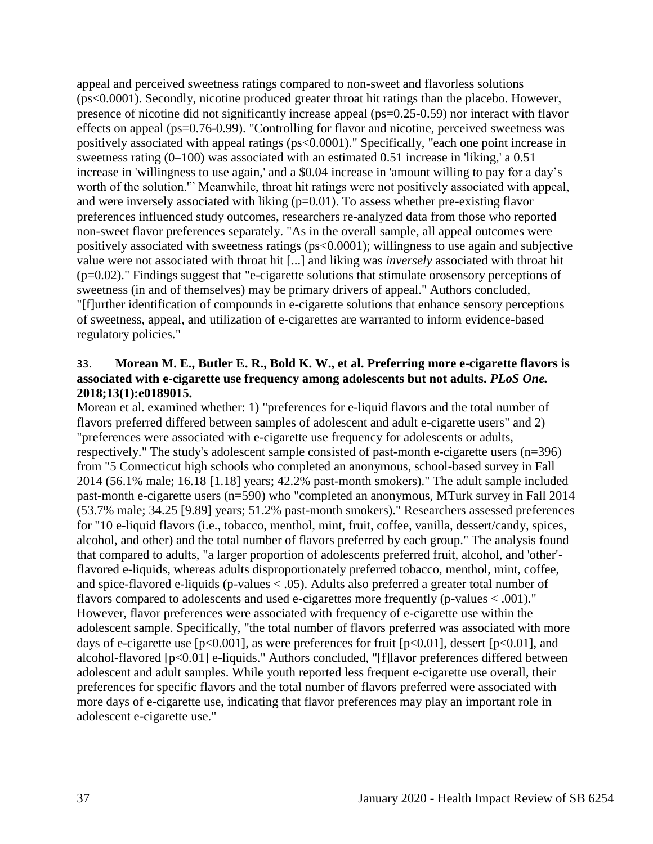appeal and perceived sweetness ratings compared to non-sweet and flavorless solutions (ps<0.0001). Secondly, nicotine produced greater throat hit ratings than the placebo. However, presence of nicotine did not significantly increase appeal (ps=0.25-0.59) nor interact with flavor effects on appeal (ps=0.76-0.99). "Controlling for flavor and nicotine, perceived sweetness was positively associated with appeal ratings (ps<0.0001)." Specifically, "each one point increase in sweetness rating (0–100) was associated with an estimated 0.51 increase in 'liking,' a 0.51 increase in 'willingness to use again,' and a \$0.04 increase in 'amount willing to pay for a day's worth of the solution.'" Meanwhile, throat hit ratings were not positively associated with appeal, and were inversely associated with liking (p=0.01). To assess whether pre-existing flavor preferences influenced study outcomes, researchers re-analyzed data from those who reported non-sweet flavor preferences separately. "As in the overall sample, all appeal outcomes were positively associated with sweetness ratings (ps<0.0001); willingness to use again and subjective value were not associated with throat hit [...] and liking was *inversely* associated with throat hit (p=0.02)." Findings suggest that "e-cigarette solutions that stimulate orosensory perceptions of sweetness (in and of themselves) may be primary drivers of appeal." Authors concluded, "[f]urther identification of compounds in e-cigarette solutions that enhance sensory perceptions of sweetness, appeal, and utilization of e-cigarettes are warranted to inform evidence-based regulatory policies."

### 33. **Morean M. E., Butler E. R., Bold K. W., et al. Preferring more e-cigarette flavors is associated with e-cigarette use frequency among adolescents but not adults.** *PLoS One.*  **2018;13(1):e0189015.**

Morean et al. examined whether: 1) "preferences for e-liquid flavors and the total number of flavors preferred differed between samples of adolescent and adult e-cigarette users" and 2) "preferences were associated with e-cigarette use frequency for adolescents or adults, respectively." The study's adolescent sample consisted of past-month e-cigarette users (n=396) from "5 Connecticut high schools who completed an anonymous, school-based survey in Fall 2014 (56.1% male; 16.18 [1.18] years; 42.2% past-month smokers)." The adult sample included past-month e-cigarette users (n=590) who "completed an anonymous, MTurk survey in Fall 2014 (53.7% male; 34.25 [9.89] years; 51.2% past-month smokers)." Researchers assessed preferences for "10 e-liquid flavors (i.e., tobacco, menthol, mint, fruit, coffee, vanilla, dessert/candy, spices, alcohol, and other) and the total number of flavors preferred by each group." The analysis found that compared to adults, "a larger proportion of adolescents preferred fruit, alcohol, and 'other' flavored e-liquids, whereas adults disproportionately preferred tobacco, menthol, mint, coffee, and spice-flavored e-liquids (p-values < .05). Adults also preferred a greater total number of flavors compared to adolescents and used e-cigarettes more frequently (p-values < .001)." However, flavor preferences were associated with frequency of e-cigarette use within the adolescent sample. Specifically, "the total number of flavors preferred was associated with more days of e-cigarette use  $[p<0.001]$ , as were preferences for fruit  $[p<0.01]$ , dessert  $[p<0.01]$ , and alcohol-flavored [p<0.01] e-liquids." Authors concluded, "[f]lavor preferences differed between adolescent and adult samples. While youth reported less frequent e-cigarette use overall, their preferences for specific flavors and the total number of flavors preferred were associated with more days of e-cigarette use, indicating that flavor preferences may play an important role in adolescent e-cigarette use."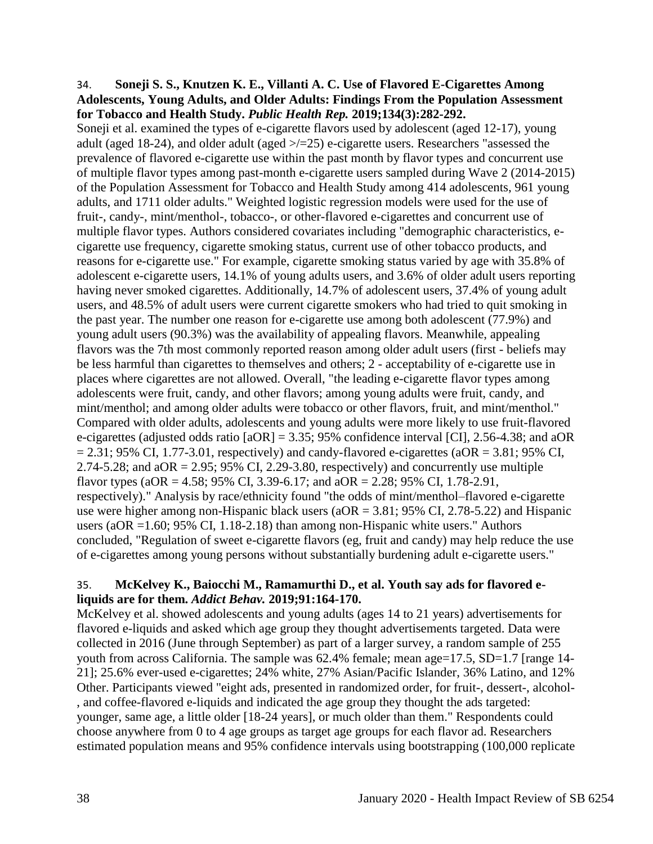#### 34. **Soneji S. S., Knutzen K. E., Villanti A. C. Use of Flavored E-Cigarettes Among Adolescents, Young Adults, and Older Adults: Findings From the Population Assessment for Tobacco and Health Study.** *Public Health Rep.* **2019;134(3):282-292.**

Soneji et al. examined the types of e-cigarette flavors used by adolescent (aged 12-17), young adult (aged 18-24), and older adult (aged >/=25) e-cigarette users. Researchers "assessed the prevalence of flavored e-cigarette use within the past month by flavor types and concurrent use of multiple flavor types among past-month e-cigarette users sampled during Wave 2 (2014-2015) of the Population Assessment for Tobacco and Health Study among 414 adolescents, 961 young adults, and 1711 older adults." Weighted logistic regression models were used for the use of fruit-, candy-, mint/menthol-, tobacco-, or other-flavored e-cigarettes and concurrent use of multiple flavor types. Authors considered covariates including "demographic characteristics, ecigarette use frequency, cigarette smoking status, current use of other tobacco products, and reasons for e-cigarette use." For example, cigarette smoking status varied by age with 35.8% of adolescent e-cigarette users, 14.1% of young adults users, and 3.6% of older adult users reporting having never smoked cigarettes. Additionally, 14.7% of adolescent users, 37.4% of young adult users, and 48.5% of adult users were current cigarette smokers who had tried to quit smoking in the past year. The number one reason for e-cigarette use among both adolescent (77.9%) and young adult users (90.3%) was the availability of appealing flavors. Meanwhile, appealing flavors was the 7th most commonly reported reason among older adult users (first - beliefs may be less harmful than cigarettes to themselves and others; 2 - acceptability of e-cigarette use in places where cigarettes are not allowed. Overall, "the leading e-cigarette flavor types among adolescents were fruit, candy, and other flavors; among young adults were fruit, candy, and mint/menthol; and among older adults were tobacco or other flavors, fruit, and mint/menthol." Compared with older adults, adolescents and young adults were more likely to use fruit-flavored e-cigarettes (adjusted odds ratio [aOR] = 3.35; 95% confidence interval [CI], 2.56-4.38; and aOR  $= 2.31$ ; 95% CI, 1.77-3.01, respectively) and candy-flavored e-cigarettes (aOR = 3.81; 95% CI, 2.74-5.28; and  $aOR = 2.95$ ; 95% CI, 2.29-3.80, respectively) and concurrently use multiple flavor types (aOR = 4.58; 95% CI, 3.39-6.17; and aOR = 2.28; 95% CI, 1.78-2.91, respectively)." Analysis by race/ethnicity found "the odds of mint/menthol–flavored e-cigarette use were higher among non-Hispanic black users ( $aOR = 3.81$ ; 95% CI, 2.78-5.22) and Hispanic users (aOR =1.60; 95% CI, 1.18-2.18) than among non-Hispanic white users." Authors concluded, "Regulation of sweet e-cigarette flavors (eg, fruit and candy) may help reduce the use of e-cigarettes among young persons without substantially burdening adult e-cigarette users."

## 35. **McKelvey K., Baiocchi M., Ramamurthi D., et al. Youth say ads for flavored eliquids are for them.** *Addict Behav.* **2019;91:164-170.**

McKelvey et al. showed adolescents and young adults (ages 14 to 21 years) advertisements for flavored e-liquids and asked which age group they thought advertisements targeted. Data were collected in 2016 (June through September) as part of a larger survey, a random sample of 255 youth from across California. The sample was 62.4% female; mean age=17.5, SD=1.7 [range 14-21]; 25.6% ever-used e-cigarettes; 24% white, 27% Asian/Pacific Islander, 36% Latino, and 12% Other. Participants viewed "eight ads, presented in randomized order, for fruit-, dessert-, alcohol- , and coffee-flavored e-liquids and indicated the age group they thought the ads targeted: younger, same age, a little older [18-24 years], or much older than them." Respondents could choose anywhere from 0 to 4 age groups as target age groups for each flavor ad. Researchers estimated population means and 95% confidence intervals using bootstrapping (100,000 replicate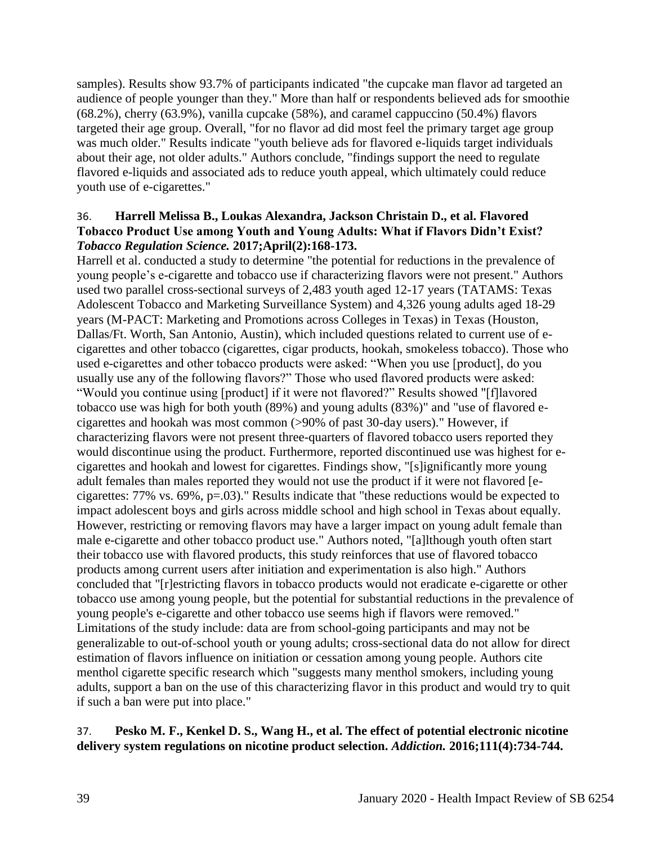samples). Results show 93.7% of participants indicated "the cupcake man flavor ad targeted an audience of people younger than they." More than half or respondents believed ads for smoothie (68.2%), cherry (63.9%), vanilla cupcake (58%), and caramel cappuccino (50.4%) flavors targeted their age group. Overall, "for no flavor ad did most feel the primary target age group was much older." Results indicate "youth believe ads for flavored e-liquids target individuals about their age, not older adults." Authors conclude, "findings support the need to regulate flavored e-liquids and associated ads to reduce youth appeal, which ultimately could reduce youth use of e-cigarettes."

### 36. **Harrell Melissa B., Loukas Alexandra, Jackson Christain D., et al. Flavored Tobacco Product Use among Youth and Young Adults: What if Flavors Didn't Exist?**  *Tobacco Regulation Science.* **2017;April(2):168-173.**

Harrell et al. conducted a study to determine "the potential for reductions in the prevalence of young people's e-cigarette and tobacco use if characterizing flavors were not present." Authors used two parallel cross-sectional surveys of 2,483 youth aged 12-17 years (TATAMS: Texas Adolescent Tobacco and Marketing Surveillance System) and 4,326 young adults aged 18-29 years (M-PACT: Marketing and Promotions across Colleges in Texas) in Texas (Houston, Dallas/Ft. Worth, San Antonio, Austin), which included questions related to current use of ecigarettes and other tobacco (cigarettes, cigar products, hookah, smokeless tobacco). Those who used e-cigarettes and other tobacco products were asked: "When you use [product], do you usually use any of the following flavors?" Those who used flavored products were asked: "Would you continue using [product] if it were not flavored?" Results showed "[f]lavored tobacco use was high for both youth (89%) and young adults (83%)" and "use of flavored ecigarettes and hookah was most common (>90% of past 30-day users)." However, if characterizing flavors were not present three-quarters of flavored tobacco users reported they would discontinue using the product. Furthermore, reported discontinued use was highest for ecigarettes and hookah and lowest for cigarettes. Findings show, "[s]ignificantly more young adult females than males reported they would not use the product if it were not flavored [ecigarettes: 77% vs. 69%, p=.03)." Results indicate that "these reductions would be expected to impact adolescent boys and girls across middle school and high school in Texas about equally. However, restricting or removing flavors may have a larger impact on young adult female than male e-cigarette and other tobacco product use." Authors noted, "[a]lthough youth often start their tobacco use with flavored products, this study reinforces that use of flavored tobacco products among current users after initiation and experimentation is also high." Authors concluded that "[r]estricting flavors in tobacco products would not eradicate e-cigarette or other tobacco use among young people, but the potential for substantial reductions in the prevalence of young people's e-cigarette and other tobacco use seems high if flavors were removed." Limitations of the study include: data are from school-going participants and may not be generalizable to out-of-school youth or young adults; cross-sectional data do not allow for direct estimation of flavors influence on initiation or cessation among young people. Authors cite menthol cigarette specific research which "suggests many menthol smokers, including young adults, support a ban on the use of this characterizing flavor in this product and would try to quit if such a ban were put into place."

## 37. **Pesko M. F., Kenkel D. S., Wang H., et al. The effect of potential electronic nicotine delivery system regulations on nicotine product selection.** *Addiction.* **2016;111(4):734-744.**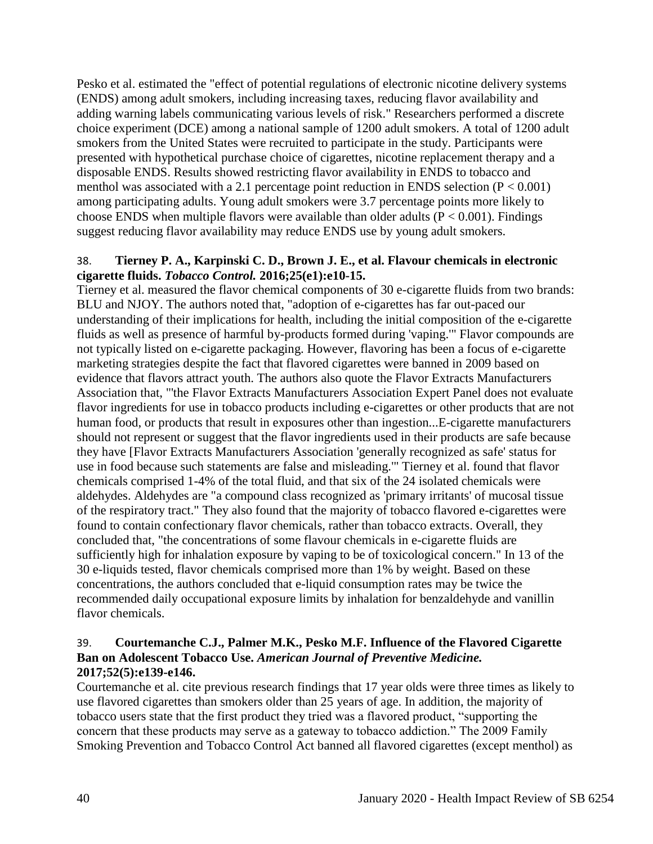Pesko et al. estimated the "effect of potential regulations of electronic nicotine delivery systems (ENDS) among adult smokers, including increasing taxes, reducing flavor availability and adding warning labels communicating various levels of risk." Researchers performed a discrete choice experiment (DCE) among a national sample of 1200 adult smokers. A total of 1200 adult smokers from the United States were recruited to participate in the study. Participants were presented with hypothetical purchase choice of cigarettes, nicotine replacement therapy and a disposable ENDS. Results showed restricting flavor availability in ENDS to tobacco and menthol was associated with a 2.1 percentage point reduction in ENDS selection  $(P < 0.001)$ among participating adults. Young adult smokers were 3.7 percentage points more likely to choose ENDS when multiple flavors were available than older adults ( $P < 0.001$ ). Findings suggest reducing flavor availability may reduce ENDS use by young adult smokers.

## 38. **Tierney P. A., Karpinski C. D., Brown J. E., et al. Flavour chemicals in electronic cigarette fluids.** *Tobacco Control.* **2016;25(e1):e10-15.**

Tierney et al. measured the flavor chemical components of 30 e-cigarette fluids from two brands: BLU and NJOY. The authors noted that, "adoption of e-cigarettes has far out-paced our understanding of their implications for health, including the initial composition of the e-cigarette fluids as well as presence of harmful by-products formed during 'vaping.'" Flavor compounds are not typically listed on e-cigarette packaging. However, flavoring has been a focus of e-cigarette marketing strategies despite the fact that flavored cigarettes were banned in 2009 based on evidence that flavors attract youth. The authors also quote the Flavor Extracts Manufacturers Association that, "'the Flavor Extracts Manufacturers Association Expert Panel does not evaluate flavor ingredients for use in tobacco products including e-cigarettes or other products that are not human food, or products that result in exposures other than ingestion...E-cigarette manufacturers should not represent or suggest that the flavor ingredients used in their products are safe because they have [Flavor Extracts Manufacturers Association 'generally recognized as safe' status for use in food because such statements are false and misleading.'" Tierney et al. found that flavor chemicals comprised 1-4% of the total fluid, and that six of the 24 isolated chemicals were aldehydes. Aldehydes are "a compound class recognized as 'primary irritants' of mucosal tissue of the respiratory tract." They also found that the majority of tobacco flavored e-cigarettes were found to contain confectionary flavor chemicals, rather than tobacco extracts. Overall, they concluded that, "the concentrations of some flavour chemicals in e-cigarette fluids are sufficiently high for inhalation exposure by vaping to be of toxicological concern." In 13 of the 30 e-liquids tested, flavor chemicals comprised more than 1% by weight. Based on these concentrations, the authors concluded that e-liquid consumption rates may be twice the recommended daily occupational exposure limits by inhalation for benzaldehyde and vanillin flavor chemicals.

## 39. **Courtemanche C.J., Palmer M.K., Pesko M.F. Influence of the Flavored Cigarette Ban on Adolescent Tobacco Use.** *American Journal of Preventive Medicine.*  **2017;52(5):e139-e146.**

Courtemanche et al. cite previous research findings that 17 year olds were three times as likely to use flavored cigarettes than smokers older than 25 years of age. In addition, the majority of tobacco users state that the first product they tried was a flavored product, "supporting the concern that these products may serve as a gateway to tobacco addiction." The 2009 Family Smoking Prevention and Tobacco Control Act banned all flavored cigarettes (except menthol) as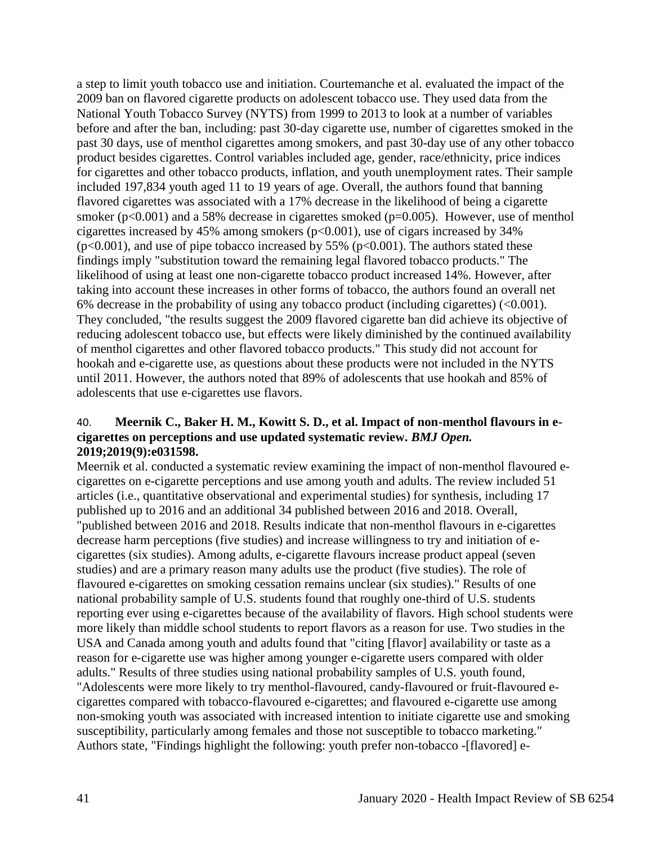a step to limit youth tobacco use and initiation. Courtemanche et al. evaluated the impact of the 2009 ban on flavored cigarette products on adolescent tobacco use. They used data from the National Youth Tobacco Survey (NYTS) from 1999 to 2013 to look at a number of variables before and after the ban, including: past 30-day cigarette use, number of cigarettes smoked in the past 30 days, use of menthol cigarettes among smokers, and past 30-day use of any other tobacco product besides cigarettes. Control variables included age, gender, race/ethnicity, price indices for cigarettes and other tobacco products, inflation, and youth unemployment rates. Their sample included 197,834 youth aged 11 to 19 years of age. Overall, the authors found that banning flavored cigarettes was associated with a 17% decrease in the likelihood of being a cigarette smoker (p<0.001) and a 58% decrease in cigarettes smoked (p=0.005). However, use of menthol cigarettes increased by 45% among smokers (p<0.001), use of cigars increased by 34%  $(p<0.001)$ , and use of pipe tobacco increased by 55% ( $p<0.001$ ). The authors stated these findings imply "substitution toward the remaining legal flavored tobacco products." The likelihood of using at least one non-cigarette tobacco product increased 14%. However, after taking into account these increases in other forms of tobacco, the authors found an overall net 6% decrease in the probability of using any tobacco product (including cigarettes) (<0.001). They concluded, "the results suggest the 2009 flavored cigarette ban did achieve its objective of reducing adolescent tobacco use, but effects were likely diminished by the continued availability of menthol cigarettes and other flavored tobacco products." This study did not account for hookah and e-cigarette use, as questions about these products were not included in the NYTS until 2011. However, the authors noted that 89% of adolescents that use hookah and 85% of adolescents that use e-cigarettes use flavors.

#### 40. **Meernik C., Baker H. M., Kowitt S. D., et al. Impact of non-menthol flavours in ecigarettes on perceptions and use updated systematic review.** *BMJ Open.*  **2019;2019(9):e031598.**

Meernik et al. conducted a systematic review examining the impact of non-menthol flavoured ecigarettes on e-cigarette perceptions and use among youth and adults. The review included 51 articles (i.e., quantitative observational and experimental studies) for synthesis, including 17 published up to 2016 and an additional 34 published between 2016 and 2018. Overall, "published between 2016 and 2018. Results indicate that non-menthol flavours in e-cigarettes decrease harm perceptions (five studies) and increase willingness to try and initiation of ecigarettes (six studies). Among adults, e-cigarette flavours increase product appeal (seven studies) and are a primary reason many adults use the product (five studies). The role of flavoured e-cigarettes on smoking cessation remains unclear (six studies)." Results of one national probability sample of U.S. students found that roughly one-third of U.S. students reporting ever using e-cigarettes because of the availability of flavors. High school students were more likely than middle school students to report flavors as a reason for use. Two studies in the USA and Canada among youth and adults found that "citing [flavor] availability or taste as a reason for e-cigarette use was higher among younger e-cigarette users compared with older adults." Results of three studies using national probability samples of U.S. youth found, "Adolescents were more likely to try menthol-flavoured, candy-flavoured or fruit-flavoured ecigarettes compared with tobacco-flavoured e-cigarettes; and flavoured e-cigarette use among non-smoking youth was associated with increased intention to initiate cigarette use and smoking susceptibility, particularly among females and those not susceptible to tobacco marketing." Authors state, "Findings highlight the following: youth prefer non-tobacco -[flavored] e-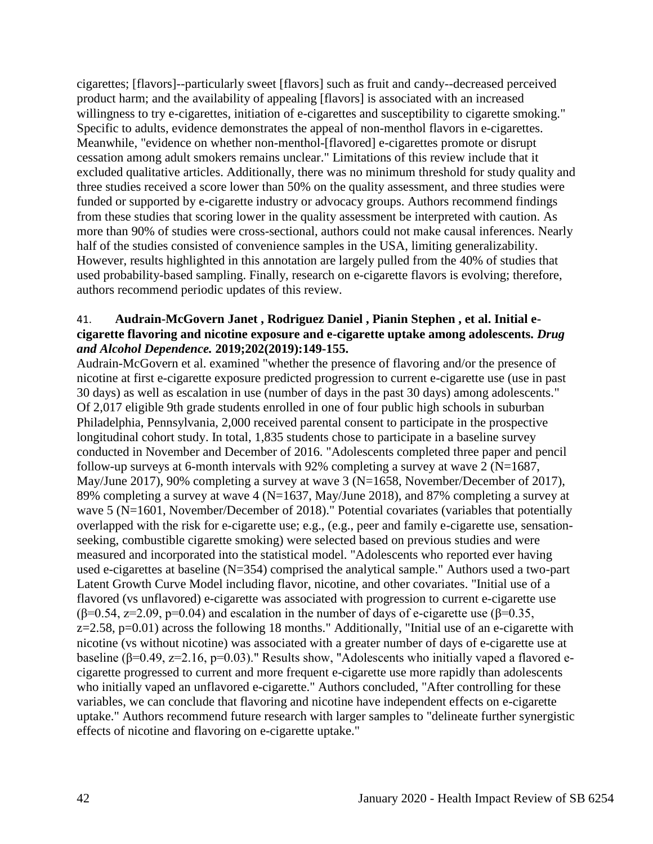cigarettes; [flavors]--particularly sweet [flavors] such as fruit and candy--decreased perceived product harm; and the availability of appealing [flavors] is associated with an increased willingness to try e-cigarettes, initiation of e-cigarettes and susceptibility to cigarette smoking." Specific to adults, evidence demonstrates the appeal of non-menthol flavors in e-cigarettes. Meanwhile, "evidence on whether non-menthol-[flavored] e-cigarettes promote or disrupt cessation among adult smokers remains unclear." Limitations of this review include that it excluded qualitative articles. Additionally, there was no minimum threshold for study quality and three studies received a score lower than 50% on the quality assessment, and three studies were funded or supported by e-cigarette industry or advocacy groups. Authors recommend findings from these studies that scoring lower in the quality assessment be interpreted with caution. As more than 90% of studies were cross-sectional, authors could not make causal inferences. Nearly half of the studies consisted of convenience samples in the USA, limiting generalizability. However, results highlighted in this annotation are largely pulled from the 40% of studies that used probability-based sampling. Finally, research on e-cigarette flavors is evolving; therefore, authors recommend periodic updates of this review.

#### 41. **Audrain-McGovern Janet , Rodriguez Daniel , Pianin Stephen , et al. Initial ecigarette flavoring and nicotine exposure and e-cigarette uptake among adolescents.** *Drug and Alcohol Dependence.* **2019;202(2019):149-155.**

Audrain-McGovern et al. examined "whether the presence of flavoring and/or the presence of nicotine at first e-cigarette exposure predicted progression to current e-cigarette use (use in past 30 days) as well as escalation in use (number of days in the past 30 days) among adolescents." Of 2,017 eligible 9th grade students enrolled in one of four public high schools in suburban Philadelphia, Pennsylvania, 2,000 received parental consent to participate in the prospective longitudinal cohort study. In total, 1,835 students chose to participate in a baseline survey conducted in November and December of 2016. "Adolescents completed three paper and pencil follow-up surveys at 6-month intervals with 92% completing a survey at wave 2 ( $N=1687$ , May/June 2017), 90% completing a survey at wave 3 (N=1658, November/December of 2017), 89% completing a survey at wave 4 (N=1637, May/June 2018), and 87% completing a survey at wave 5 (N=1601, November/December of 2018)." Potential covariates (variables that potentially overlapped with the risk for e-cigarette use; e.g., (e.g., peer and family e-cigarette use, sensationseeking, combustible cigarette smoking) were selected based on previous studies and were measured and incorporated into the statistical model. "Adolescents who reported ever having used e-cigarettes at baseline (N=354) comprised the analytical sample." Authors used a two-part Latent Growth Curve Model including flavor, nicotine, and other covariates. "Initial use of a flavored (vs unflavored) e-cigarette was associated with progression to current e-cigarette use ( $\beta$ =0.54, z=2.09, p=0.04) and escalation in the number of days of e-cigarette use ( $\beta$ =0.35,  $z=2.58$ ,  $p=0.01$ ) across the following 18 months." Additionally, "Initial use of an e-cigarette with nicotine (vs without nicotine) was associated with a greater number of days of e-cigarette use at baseline ( $\beta$ =0.49, z=2.16, p=0.03)." Results show, "Adolescents who initially vaped a flavored ecigarette progressed to current and more frequent e-cigarette use more rapidly than adolescents who initially vaped an unflavored e-cigarette." Authors concluded, "After controlling for these variables, we can conclude that flavoring and nicotine have independent effects on e-cigarette uptake." Authors recommend future research with larger samples to "delineate further synergistic effects of nicotine and flavoring on e-cigarette uptake."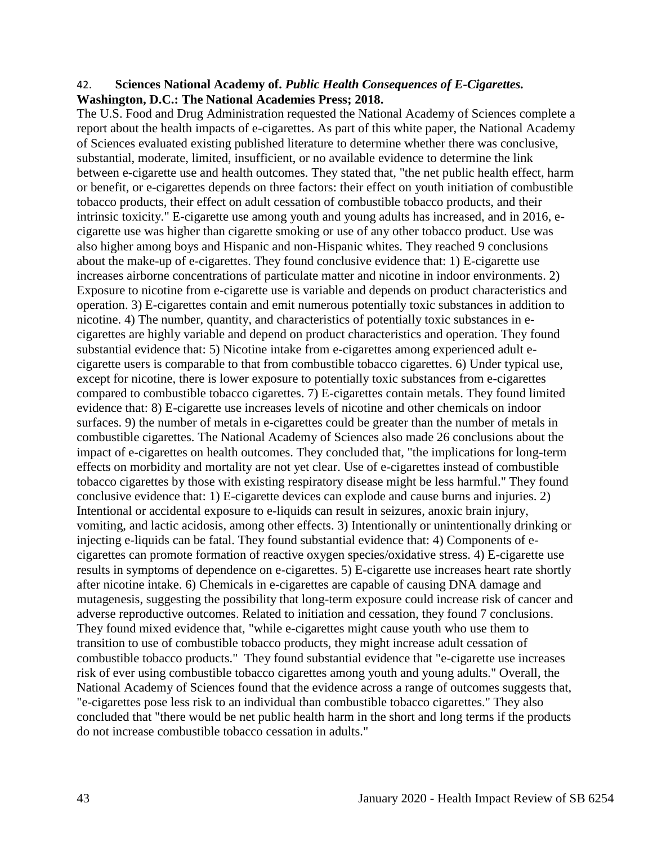#### 42. **Sciences National Academy of.** *Public Health Consequences of E-Cigarettes.* **Washington, D.C.: The National Academies Press; 2018.**

The U.S. Food and Drug Administration requested the National Academy of Sciences complete a report about the health impacts of e-cigarettes. As part of this white paper, the National Academy of Sciences evaluated existing published literature to determine whether there was conclusive, substantial, moderate, limited, insufficient, or no available evidence to determine the link between e-cigarette use and health outcomes. They stated that, "the net public health effect, harm or benefit, or e-cigarettes depends on three factors: their effect on youth initiation of combustible tobacco products, their effect on adult cessation of combustible tobacco products, and their intrinsic toxicity." E-cigarette use among youth and young adults has increased, and in 2016, ecigarette use was higher than cigarette smoking or use of any other tobacco product. Use was also higher among boys and Hispanic and non-Hispanic whites. They reached 9 conclusions about the make-up of e-cigarettes. They found conclusive evidence that: 1) E-cigarette use increases airborne concentrations of particulate matter and nicotine in indoor environments. 2) Exposure to nicotine from e-cigarette use is variable and depends on product characteristics and operation. 3) E-cigarettes contain and emit numerous potentially toxic substances in addition to nicotine. 4) The number, quantity, and characteristics of potentially toxic substances in ecigarettes are highly variable and depend on product characteristics and operation. They found substantial evidence that: 5) Nicotine intake from e-cigarettes among experienced adult ecigarette users is comparable to that from combustible tobacco cigarettes. 6) Under typical use, except for nicotine, there is lower exposure to potentially toxic substances from e-cigarettes compared to combustible tobacco cigarettes. 7) E-cigarettes contain metals. They found limited evidence that: 8) E-cigarette use increases levels of nicotine and other chemicals on indoor surfaces. 9) the number of metals in e-cigarettes could be greater than the number of metals in combustible cigarettes. The National Academy of Sciences also made 26 conclusions about the impact of e-cigarettes on health outcomes. They concluded that, "the implications for long-term effects on morbidity and mortality are not yet clear. Use of e-cigarettes instead of combustible tobacco cigarettes by those with existing respiratory disease might be less harmful." They found conclusive evidence that: 1) E-cigarette devices can explode and cause burns and injuries. 2) Intentional or accidental exposure to e-liquids can result in seizures, anoxic brain injury, vomiting, and lactic acidosis, among other effects. 3) Intentionally or unintentionally drinking or injecting e-liquids can be fatal. They found substantial evidence that: 4) Components of ecigarettes can promote formation of reactive oxygen species/oxidative stress. 4) E-cigarette use results in symptoms of dependence on e-cigarettes. 5) E-cigarette use increases heart rate shortly after nicotine intake. 6) Chemicals in e-cigarettes are capable of causing DNA damage and mutagenesis, suggesting the possibility that long-term exposure could increase risk of cancer and adverse reproductive outcomes. Related to initiation and cessation, they found 7 conclusions. They found mixed evidence that, "while e-cigarettes might cause youth who use them to transition to use of combustible tobacco products, they might increase adult cessation of combustible tobacco products." They found substantial evidence that "e-cigarette use increases risk of ever using combustible tobacco cigarettes among youth and young adults." Overall, the National Academy of Sciences found that the evidence across a range of outcomes suggests that, "e-cigarettes pose less risk to an individual than combustible tobacco cigarettes." They also concluded that "there would be net public health harm in the short and long terms if the products do not increase combustible tobacco cessation in adults."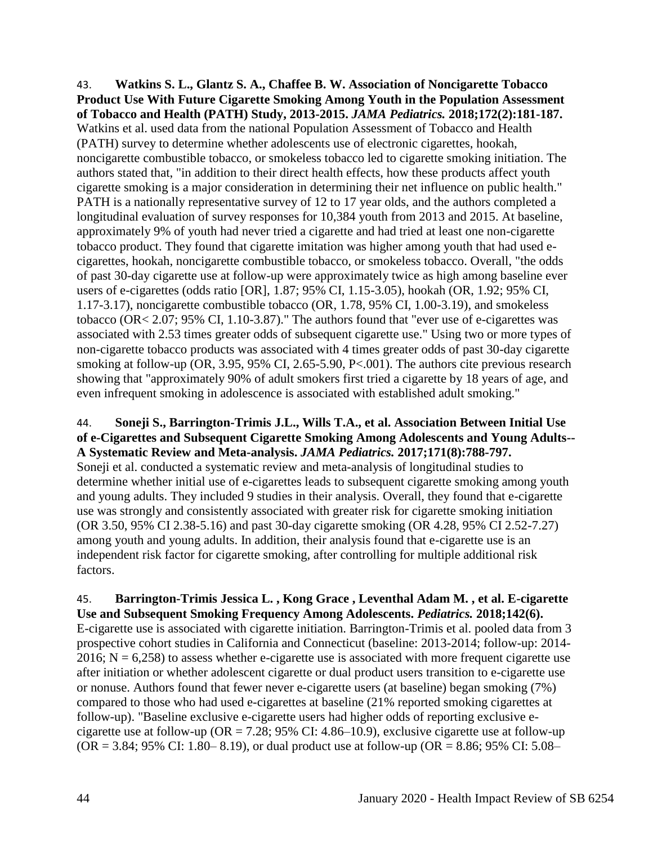43. **Watkins S. L., Glantz S. A., Chaffee B. W. Association of Noncigarette Tobacco Product Use With Future Cigarette Smoking Among Youth in the Population Assessment of Tobacco and Health (PATH) Study, 2013-2015.** *JAMA Pediatrics.* **2018;172(2):181-187.** Watkins et al. used data from the national Population Assessment of Tobacco and Health (PATH) survey to determine whether adolescents use of electronic cigarettes, hookah, noncigarette combustible tobacco, or smokeless tobacco led to cigarette smoking initiation. The authors stated that, "in addition to their direct health effects, how these products affect youth cigarette smoking is a major consideration in determining their net influence on public health." PATH is a nationally representative survey of 12 to 17 year olds, and the authors completed a longitudinal evaluation of survey responses for 10,384 youth from 2013 and 2015. At baseline, approximately 9% of youth had never tried a cigarette and had tried at least one non-cigarette tobacco product. They found that cigarette imitation was higher among youth that had used ecigarettes, hookah, noncigarette combustible tobacco, or smokeless tobacco. Overall, "the odds of past 30-day cigarette use at follow-up were approximately twice as high among baseline ever users of e-cigarettes (odds ratio [OR], 1.87; 95% CI, 1.15-3.05), hookah (OR, 1.92; 95% CI, 1.17-3.17), noncigarette combustible tobacco (OR, 1.78, 95% CI, 1.00-3.19), and smokeless tobacco (OR< 2.07; 95% CI, 1.10-3.87)." The authors found that "ever use of e-cigarettes was associated with 2.53 times greater odds of subsequent cigarette use." Using two or more types of non-cigarette tobacco products was associated with 4 times greater odds of past 30-day cigarette smoking at follow-up (OR, 3.95, 95% CI, 2.65-5.90, P<.001). The authors cite previous research showing that "approximately 90% of adult smokers first tried a cigarette by 18 years of age, and even infrequent smoking in adolescence is associated with established adult smoking."

## 44. **Soneji S., Barrington-Trimis J.L., Wills T.A., et al. Association Between Initial Use of e-Cigarettes and Subsequent Cigarette Smoking Among Adolescents and Young Adults-- A Systematic Review and Meta-analysis.** *JAMA Pediatrics.* **2017;171(8):788-797.**

Soneji et al. conducted a systematic review and meta-analysis of longitudinal studies to determine whether initial use of e-cigarettes leads to subsequent cigarette smoking among youth and young adults. They included 9 studies in their analysis. Overall, they found that e-cigarette use was strongly and consistently associated with greater risk for cigarette smoking initiation (OR 3.50, 95% CI 2.38-5.16) and past 30-day cigarette smoking (OR 4.28, 95% CI 2.52-7.27) among youth and young adults. In addition, their analysis found that e-cigarette use is an independent risk factor for cigarette smoking, after controlling for multiple additional risk factors.

### 45. **Barrington-Trimis Jessica L. , Kong Grace , Leventhal Adam M. , et al. E-cigarette Use and Subsequent Smoking Frequency Among Adolescents.** *Pediatrics.* **2018;142(6).**

E-cigarette use is associated with cigarette initiation. Barrington-Trimis et al. pooled data from 3 prospective cohort studies in California and Connecticut (baseline: 2013-2014; follow-up: 2014- 2016;  $N = 6,258$ ) to assess whether e-cigarette use is associated with more frequent cigarette use after initiation or whether adolescent cigarette or dual product users transition to e-cigarette use or nonuse. Authors found that fewer never e-cigarette users (at baseline) began smoking (7%) compared to those who had used e-cigarettes at baseline (21% reported smoking cigarettes at follow-up). "Baseline exclusive e-cigarette users had higher odds of reporting exclusive ecigarette use at follow-up ( $OR = 7.28$ ; 95% CI: 4.86–10.9), exclusive cigarette use at follow-up  $(OR = 3.84; 95\% \text{ CI: } 1.80 - 8.19)$ , or dual product use at follow-up  $(OR = 8.86; 95\% \text{ CI: } 5.08 - 1.05)$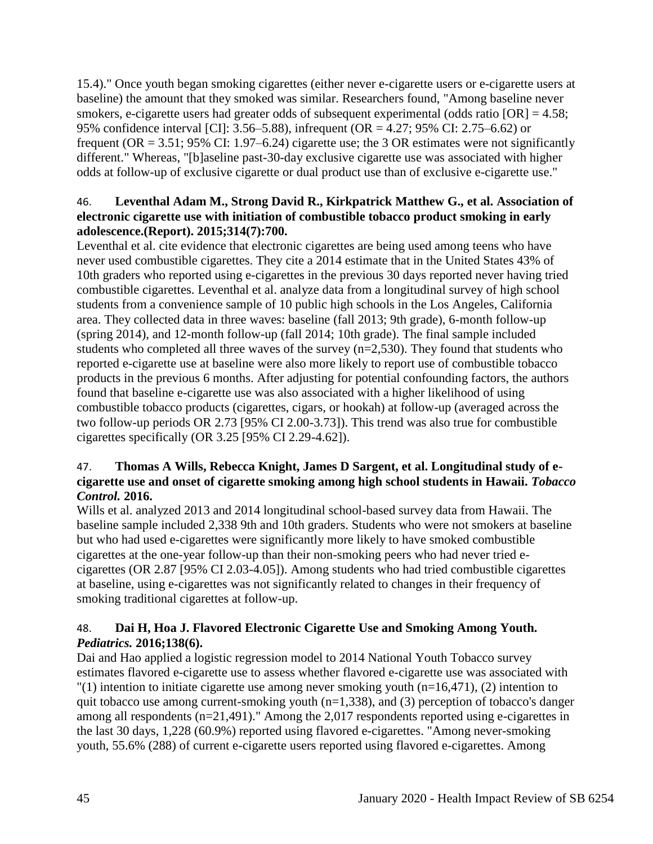15.4)." Once youth began smoking cigarettes (either never e-cigarette users or e-cigarette users at baseline) the amount that they smoked was similar. Researchers found, "Among baseline never smokers, e-cigarette users had greater odds of subsequent experimental (odds ratio  $[OR] = 4.58$ ; 95% confidence interval [CI]: 3.56–5.88), infrequent (OR = 4.27; 95% CI: 2.75–6.62) or frequent (OR = 3.51; 95% CI: 1.97–6.24) cigarette use; the 3 OR estimates were not significantly different." Whereas, "[b]aseline past-30-day exclusive cigarette use was associated with higher odds at follow-up of exclusive cigarette or dual product use than of exclusive e-cigarette use."

# 46. **Leventhal Adam M., Strong David R., Kirkpatrick Matthew G., et al. Association of electronic cigarette use with initiation of combustible tobacco product smoking in early adolescence.(Report). 2015;314(7):700.**

Leventhal et al. cite evidence that electronic cigarettes are being used among teens who have never used combustible cigarettes. They cite a 2014 estimate that in the United States 43% of 10th graders who reported using e-cigarettes in the previous 30 days reported never having tried combustible cigarettes. Leventhal et al. analyze data from a longitudinal survey of high school students from a convenience sample of 10 public high schools in the Los Angeles, California area. They collected data in three waves: baseline (fall 2013; 9th grade), 6-month follow-up (spring 2014), and 12-month follow-up (fall 2014; 10th grade). The final sample included students who completed all three waves of the survey (n=2,530). They found that students who reported e-cigarette use at baseline were also more likely to report use of combustible tobacco products in the previous 6 months. After adjusting for potential confounding factors, the authors found that baseline e-cigarette use was also associated with a higher likelihood of using combustible tobacco products (cigarettes, cigars, or hookah) at follow-up (averaged across the two follow-up periods OR 2.73 [95% CI 2.00-3.73]). This trend was also true for combustible cigarettes specifically (OR 3.25 [95% CI 2.29-4.62]).

## 47. **Thomas A Wills, Rebecca Knight, James D Sargent, et al. Longitudinal study of ecigarette use and onset of cigarette smoking among high school students in Hawaii.** *Tobacco Control.* **2016.**

Wills et al. analyzed 2013 and 2014 longitudinal school-based survey data from Hawaii. The baseline sample included 2,338 9th and 10th graders. Students who were not smokers at baseline but who had used e-cigarettes were significantly more likely to have smoked combustible cigarettes at the one-year follow-up than their non-smoking peers who had never tried ecigarettes (OR 2.87 [95% CI 2.03-4.05]). Among students who had tried combustible cigarettes at baseline, using e-cigarettes was not significantly related to changes in their frequency of smoking traditional cigarettes at follow-up.

# 48. **Dai H, Hoa J. Flavored Electronic Cigarette Use and Smoking Among Youth.**  *Pediatrics.* **2016;138(6).**

Dai and Hao applied a logistic regression model to 2014 National Youth Tobacco survey estimates flavored e-cigarette use to assess whether flavored e-cigarette use was associated with  $''(1)$  intention to initiate cigarette use among never smoking youth (n=16,471), (2) intention to quit tobacco use among current-smoking youth (n=1,338), and (3) perception of tobacco's danger among all respondents (n=21,491)." Among the 2,017 respondents reported using e-cigarettes in

the last 30 days, 1,228 (60.9%) reported using flavored e-cigarettes. "Among never-smoking youth, 55.6% (288) of current e-cigarette users reported using flavored e-cigarettes. Among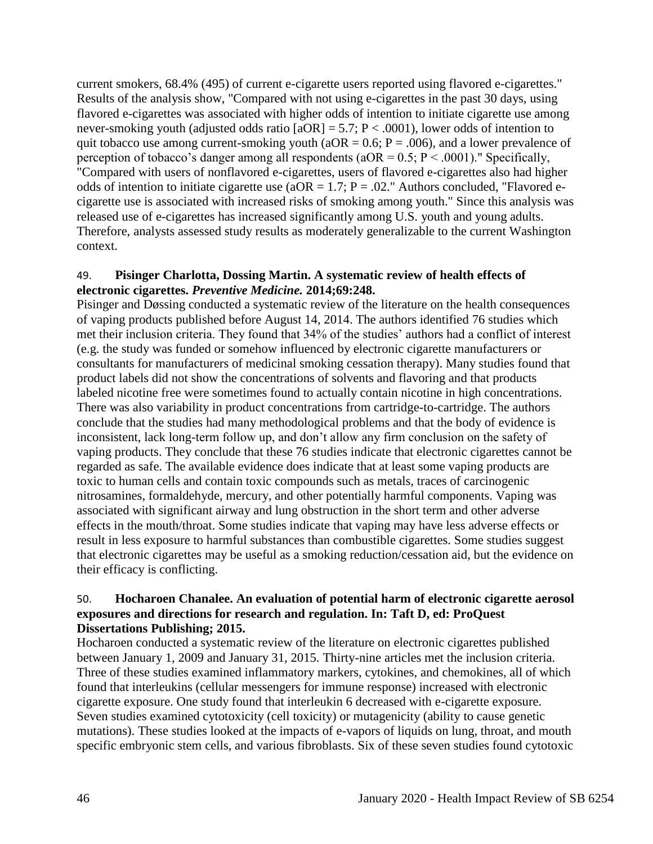current smokers, 68.4% (495) of current e-cigarette users reported using flavored e-cigarettes." Results of the analysis show, "Compared with not using e-cigarettes in the past 30 days, using flavored e-cigarettes was associated with higher odds of intention to initiate cigarette use among never-smoking youth (adjusted odds ratio  $[aOR] = 5.7$ ;  $P < .0001$ ), lower odds of intention to quit tobacco use among current-smoking youth ( $aOR = 0.6$ ;  $P = .006$ ), and a lower prevalence of perception of tobacco's danger among all respondents ( $aOR = 0.5$ ;  $P < .0001$ )." Specifically, "Compared with users of nonflavored e-cigarettes, users of flavored e-cigarettes also had higher odds of intention to initiate cigarette use ( $aOR = 1.7$ ;  $P = .02$ ." Authors concluded, "Flavored ecigarette use is associated with increased risks of smoking among youth." Since this analysis was released use of e-cigarettes has increased significantly among U.S. youth and young adults. Therefore, analysts assessed study results as moderately generalizable to the current Washington context.

#### 49. **Pisinger Charlotta, Dossing Martin. A systematic review of health effects of electronic cigarettes.** *Preventive Medicine.* **2014;69:248.**

Pisinger and Døssing conducted a systematic review of the literature on the health consequences of vaping products published before August 14, 2014. The authors identified 76 studies which met their inclusion criteria. They found that 34% of the studies' authors had a conflict of interest (e.g. the study was funded or somehow influenced by electronic cigarette manufacturers or consultants for manufacturers of medicinal smoking cessation therapy). Many studies found that product labels did not show the concentrations of solvents and flavoring and that products labeled nicotine free were sometimes found to actually contain nicotine in high concentrations. There was also variability in product concentrations from cartridge-to-cartridge. The authors conclude that the studies had many methodological problems and that the body of evidence is inconsistent, lack long-term follow up, and don't allow any firm conclusion on the safety of vaping products. They conclude that these 76 studies indicate that electronic cigarettes cannot be regarded as safe. The available evidence does indicate that at least some vaping products are toxic to human cells and contain toxic compounds such as metals, traces of carcinogenic nitrosamines, formaldehyde, mercury, and other potentially harmful components. Vaping was associated with significant airway and lung obstruction in the short term and other adverse effects in the mouth/throat. Some studies indicate that vaping may have less adverse effects or result in less exposure to harmful substances than combustible cigarettes. Some studies suggest that electronic cigarettes may be useful as a smoking reduction/cessation aid, but the evidence on their efficacy is conflicting.

#### 50. **Hocharoen Chanalee. An evaluation of potential harm of electronic cigarette aerosol exposures and directions for research and regulation. In: Taft D, ed: ProQuest Dissertations Publishing; 2015.**

Hocharoen conducted a systematic review of the literature on electronic cigarettes published between January 1, 2009 and January 31, 2015. Thirty-nine articles met the inclusion criteria. Three of these studies examined inflammatory markers, cytokines, and chemokines, all of which found that interleukins (cellular messengers for immune response) increased with electronic cigarette exposure. One study found that interleukin 6 decreased with e-cigarette exposure. Seven studies examined cytotoxicity (cell toxicity) or mutagenicity (ability to cause genetic mutations). These studies looked at the impacts of e-vapors of liquids on lung, throat, and mouth specific embryonic stem cells, and various fibroblasts. Six of these seven studies found cytotoxic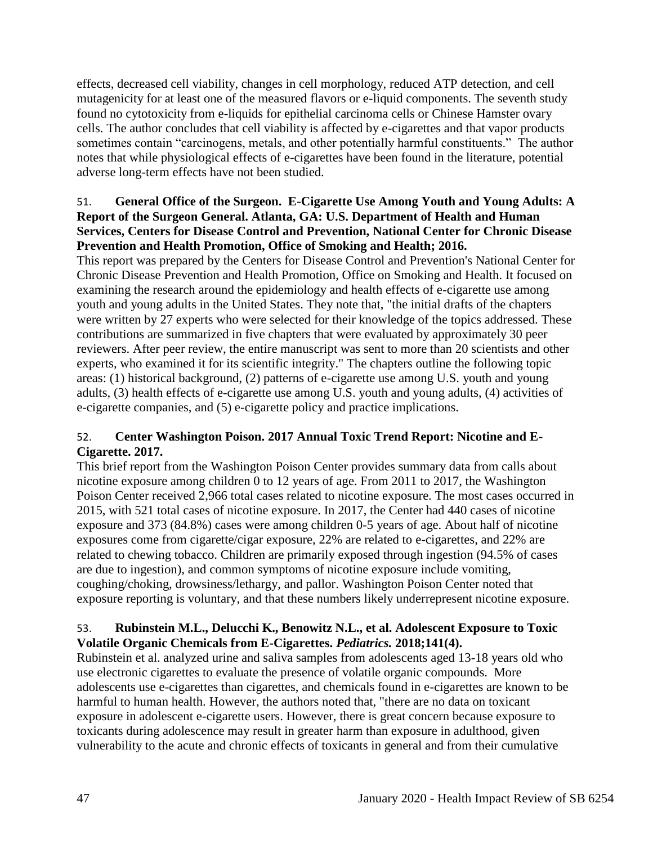effects, decreased cell viability, changes in cell morphology, reduced ATP detection, and cell mutagenicity for at least one of the measured flavors or e-liquid components. The seventh study found no cytotoxicity from e-liquids for epithelial carcinoma cells or Chinese Hamster ovary cells. The author concludes that cell viability is affected by e-cigarettes and that vapor products sometimes contain "carcinogens, metals, and other potentially harmful constituents." The author notes that while physiological effects of e-cigarettes have been found in the literature, potential adverse long-term effects have not been studied.

## 51. **General Office of the Surgeon. E-Cigarette Use Among Youth and Young Adults: A Report of the Surgeon General. Atlanta, GA: U.S. Department of Health and Human Services, Centers for Disease Control and Prevention, National Center for Chronic Disease Prevention and Health Promotion, Office of Smoking and Health; 2016.**

This report was prepared by the Centers for Disease Control and Prevention's National Center for Chronic Disease Prevention and Health Promotion, Office on Smoking and Health. It focused on examining the research around the epidemiology and health effects of e-cigarette use among youth and young adults in the United States. They note that, "the initial drafts of the chapters were written by 27 experts who were selected for their knowledge of the topics addressed. These contributions are summarized in five chapters that were evaluated by approximately 30 peer reviewers. After peer review, the entire manuscript was sent to more than 20 scientists and other experts, who examined it for its scientific integrity." The chapters outline the following topic areas: (1) historical background, (2) patterns of e-cigarette use among U.S. youth and young adults, (3) health effects of e-cigarette use among U.S. youth and young adults, (4) activities of e-cigarette companies, and (5) e-cigarette policy and practice implications.

# 52. **Center Washington Poison. 2017 Annual Toxic Trend Report: Nicotine and E-Cigarette. 2017.**

This brief report from the Washington Poison Center provides summary data from calls about nicotine exposure among children 0 to 12 years of age. From 2011 to 2017, the Washington Poison Center received 2,966 total cases related to nicotine exposure. The most cases occurred in 2015, with 521 total cases of nicotine exposure. In 2017, the Center had 440 cases of nicotine exposure and 373 (84.8%) cases were among children 0-5 years of age. About half of nicotine exposures come from cigarette/cigar exposure, 22% are related to e-cigarettes, and 22% are related to chewing tobacco. Children are primarily exposed through ingestion (94.5% of cases are due to ingestion), and common symptoms of nicotine exposure include vomiting, coughing/choking, drowsiness/lethargy, and pallor. Washington Poison Center noted that exposure reporting is voluntary, and that these numbers likely underrepresent nicotine exposure.

## 53. **Rubinstein M.L., Delucchi K., Benowitz N.L., et al. Adolescent Exposure to Toxic Volatile Organic Chemicals from E-Cigarettes.** *Pediatrics.* **2018;141(4).**

Rubinstein et al. analyzed urine and saliva samples from adolescents aged 13-18 years old who use electronic cigarettes to evaluate the presence of volatile organic compounds. More adolescents use e-cigarettes than cigarettes, and chemicals found in e-cigarettes are known to be harmful to human health. However, the authors noted that, "there are no data on toxicant exposure in adolescent e-cigarette users. However, there is great concern because exposure to toxicants during adolescence may result in greater harm than exposure in adulthood, given vulnerability to the acute and chronic effects of toxicants in general and from their cumulative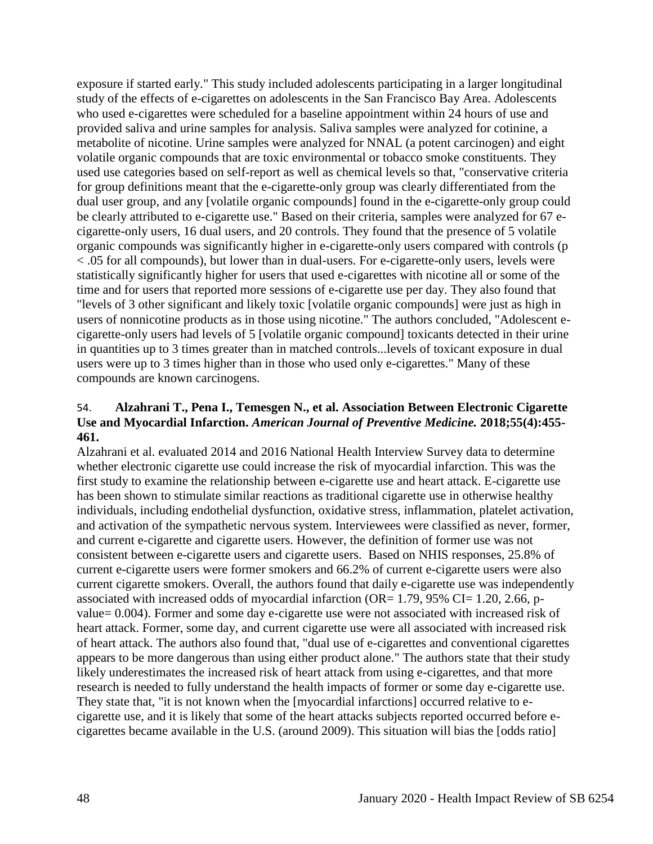exposure if started early." This study included adolescents participating in a larger longitudinal study of the effects of e-cigarettes on adolescents in the San Francisco Bay Area. Adolescents who used e-cigarettes were scheduled for a baseline appointment within 24 hours of use and provided saliva and urine samples for analysis. Saliva samples were analyzed for cotinine, a metabolite of nicotine. Urine samples were analyzed for NNAL (a potent carcinogen) and eight volatile organic compounds that are toxic environmental or tobacco smoke constituents. They used use categories based on self-report as well as chemical levels so that, "conservative criteria for group definitions meant that the e-cigarette-only group was clearly differentiated from the dual user group, and any [volatile organic compounds] found in the e-cigarette-only group could be clearly attributed to e-cigarette use." Based on their criteria, samples were analyzed for 67 ecigarette-only users, 16 dual users, and 20 controls. They found that the presence of 5 volatile organic compounds was significantly higher in e-cigarette-only users compared with controls (p < .05 for all compounds), but lower than in dual-users. For e-cigarette-only users, levels were statistically significantly higher for users that used e-cigarettes with nicotine all or some of the time and for users that reported more sessions of e-cigarette use per day. They also found that "levels of 3 other significant and likely toxic [volatile organic compounds] were just as high in users of nonnicotine products as in those using nicotine." The authors concluded, "Adolescent ecigarette-only users had levels of 5 [volatile organic compound] toxicants detected in their urine in quantities up to 3 times greater than in matched controls...levels of toxicant exposure in dual users were up to 3 times higher than in those who used only e-cigarettes." Many of these compounds are known carcinogens.

### 54. **Alzahrani T., Pena I., Temesgen N., et al. Association Between Electronic Cigarette Use and Myocardial Infarction.** *American Journal of Preventive Medicine.* **2018;55(4):455- 461.**

Alzahrani et al. evaluated 2014 and 2016 National Health Interview Survey data to determine whether electronic cigarette use could increase the risk of myocardial infarction. This was the first study to examine the relationship between e-cigarette use and heart attack. E-cigarette use has been shown to stimulate similar reactions as traditional cigarette use in otherwise healthy individuals, including endothelial dysfunction, oxidative stress, inflammation, platelet activation, and activation of the sympathetic nervous system. Interviewees were classified as never, former, and current e-cigarette and cigarette users. However, the definition of former use was not consistent between e-cigarette users and cigarette users. Based on NHIS responses, 25.8% of current e-cigarette users were former smokers and 66.2% of current e-cigarette users were also current cigarette smokers. Overall, the authors found that daily e-cigarette use was independently associated with increased odds of myocardial infarction (OR=  $1.79$ ,  $95\%$  CI=  $1.20$ ,  $2.66$ , pvalue= 0.004). Former and some day e-cigarette use were not associated with increased risk of heart attack. Former, some day, and current cigarette use were all associated with increased risk of heart attack. The authors also found that, "dual use of e-cigarettes and conventional cigarettes appears to be more dangerous than using either product alone." The authors state that their study likely underestimates the increased risk of heart attack from using e-cigarettes, and that more research is needed to fully understand the health impacts of former or some day e-cigarette use. They state that, "it is not known when the [myocardial infarctions] occurred relative to ecigarette use, and it is likely that some of the heart attacks subjects reported occurred before ecigarettes became available in the U.S. (around 2009). This situation will bias the [odds ratio]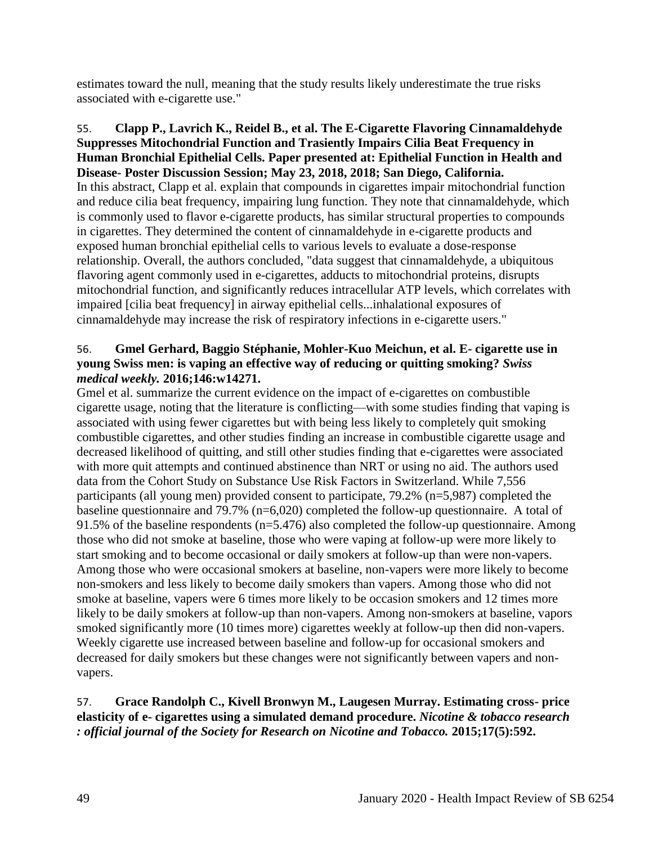estimates toward the null, meaning that the study results likely underestimate the true risks associated with e-cigarette use."

55. **Clapp P., Lavrich K., Reidel B., et al. The E-Cigarette Flavoring Cinnamaldehyde Suppresses Mitochondrial Function and Trasiently Impairs Cilia Beat Frequency in Human Bronchial Epithelial Cells. Paper presented at: Epithelial Function in Health and Disease- Poster Discussion Session; May 23, 2018, 2018; San Diego, California.** In this abstract, Clapp et al. explain that compounds in cigarettes impair mitochondrial function and reduce cilia beat frequency, impairing lung function. They note that cinnamaldehyde, which is commonly used to flavor e-cigarette products, has similar structural properties to compounds in cigarettes. They determined the content of cinnamaldehyde in e-cigarette products and exposed human bronchial epithelial cells to various levels to evaluate a dose-response relationship. Overall, the authors concluded, "data suggest that cinnamaldehyde, a ubiquitous flavoring agent commonly used in e-cigarettes, adducts to mitochondrial proteins, disrupts mitochondrial function, and significantly reduces intracellular ATP levels, which correlates with impaired [cilia beat frequency] in airway epithelial cells...inhalational exposures of cinnamaldehyde may increase the risk of respiratory infections in e-cigarette users."

## 56. **Gmel Gerhard, Baggio Stéphanie, Mohler-Kuo Meichun, et al. E- cigarette use in young Swiss men: is vaping an effective way of reducing or quitting smoking?** *Swiss medical weekly.* **2016;146:w14271.**

Gmel et al. summarize the current evidence on the impact of e-cigarettes on combustible cigarette usage, noting that the literature is conflicting—with some studies finding that vaping is associated with using fewer cigarettes but with being less likely to completely quit smoking combustible cigarettes, and other studies finding an increase in combustible cigarette usage and decreased likelihood of quitting, and still other studies finding that e-cigarettes were associated with more quit attempts and continued abstinence than NRT or using no aid. The authors used data from the Cohort Study on Substance Use Risk Factors in Switzerland. While 7,556 participants (all young men) provided consent to participate, 79.2% (n=5,987) completed the baseline questionnaire and 79.7% (n=6,020) completed the follow-up questionnaire. A total of 91.5% of the baseline respondents (n=5.476) also completed the follow-up questionnaire. Among those who did not smoke at baseline, those who were vaping at follow-up were more likely to start smoking and to become occasional or daily smokers at follow-up than were non-vapers. Among those who were occasional smokers at baseline, non-vapers were more likely to become non-smokers and less likely to become daily smokers than vapers. Among those who did not smoke at baseline, vapers were 6 times more likely to be occasion smokers and 12 times more likely to be daily smokers at follow-up than non-vapers. Among non-smokers at baseline, vapors smoked significantly more (10 times more) cigarettes weekly at follow-up then did non-vapers. Weekly cigarette use increased between baseline and follow-up for occasional smokers and decreased for daily smokers but these changes were not significantly between vapers and nonvapers.

# 57. **Grace Randolph C., Kivell Bronwyn M., Laugesen Murray. Estimating cross- price elasticity of e- cigarettes using a simulated demand procedure.** *Nicotine & tobacco research : official journal of the Society for Research on Nicotine and Tobacco.* **2015;17(5):592.**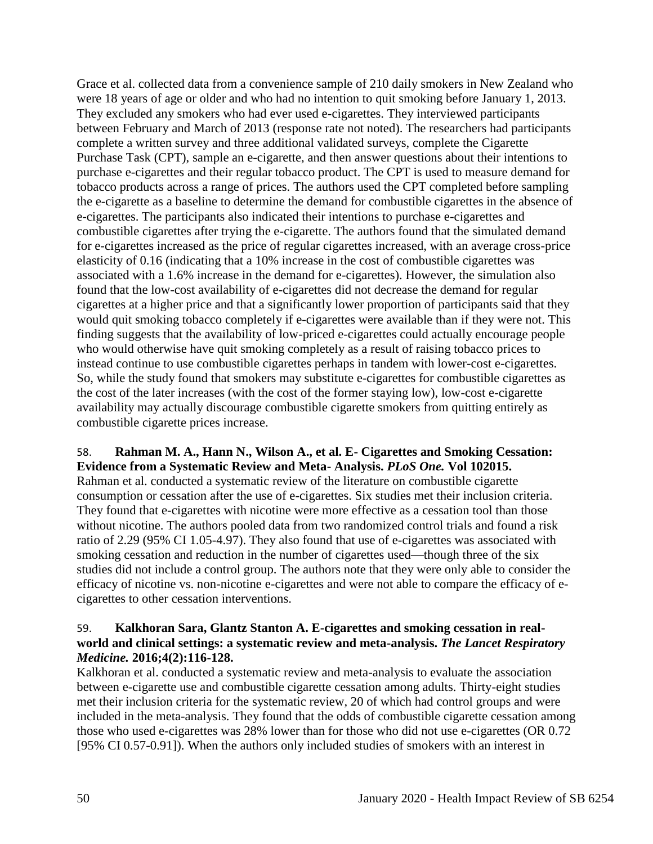Grace et al. collected data from a convenience sample of 210 daily smokers in New Zealand who were 18 years of age or older and who had no intention to quit smoking before January 1, 2013. They excluded any smokers who had ever used e-cigarettes. They interviewed participants between February and March of 2013 (response rate not noted). The researchers had participants complete a written survey and three additional validated surveys, complete the Cigarette Purchase Task (CPT), sample an e-cigarette, and then answer questions about their intentions to purchase e-cigarettes and their regular tobacco product. The CPT is used to measure demand for tobacco products across a range of prices. The authors used the CPT completed before sampling the e-cigarette as a baseline to determine the demand for combustible cigarettes in the absence of e-cigarettes. The participants also indicated their intentions to purchase e-cigarettes and combustible cigarettes after trying the e-cigarette. The authors found that the simulated demand for e-cigarettes increased as the price of regular cigarettes increased, with an average cross-price elasticity of 0.16 (indicating that a 10% increase in the cost of combustible cigarettes was associated with a 1.6% increase in the demand for e-cigarettes). However, the simulation also found that the low-cost availability of e-cigarettes did not decrease the demand for regular cigarettes at a higher price and that a significantly lower proportion of participants said that they would quit smoking tobacco completely if e-cigarettes were available than if they were not. This finding suggests that the availability of low-priced e-cigarettes could actually encourage people who would otherwise have quit smoking completely as a result of raising tobacco prices to instead continue to use combustible cigarettes perhaps in tandem with lower-cost e-cigarettes. So, while the study found that smokers may substitute e-cigarettes for combustible cigarettes as the cost of the later increases (with the cost of the former staying low), low-cost e-cigarette availability may actually discourage combustible cigarette smokers from quitting entirely as combustible cigarette prices increase.

## 58. **Rahman M. A., Hann N., Wilson A., et al. E- Cigarettes and Smoking Cessation: Evidence from a Systematic Review and Meta- Analysis.** *PLoS One.* **Vol 102015.**

Rahman et al. conducted a systematic review of the literature on combustible cigarette consumption or cessation after the use of e-cigarettes. Six studies met their inclusion criteria. They found that e-cigarettes with nicotine were more effective as a cessation tool than those without nicotine. The authors pooled data from two randomized control trials and found a risk ratio of 2.29 (95% CI 1.05-4.97). They also found that use of e-cigarettes was associated with smoking cessation and reduction in the number of cigarettes used—though three of the six studies did not include a control group. The authors note that they were only able to consider the efficacy of nicotine vs. non-nicotine e-cigarettes and were not able to compare the efficacy of ecigarettes to other cessation interventions.

### 59. **Kalkhoran Sara, Glantz Stanton A. E-cigarettes and smoking cessation in realworld and clinical settings: a systematic review and meta-analysis.** *The Lancet Respiratory Medicine.* **2016;4(2):116-128.**

Kalkhoran et al. conducted a systematic review and meta-analysis to evaluate the association between e-cigarette use and combustible cigarette cessation among adults. Thirty-eight studies met their inclusion criteria for the systematic review, 20 of which had control groups and were included in the meta-analysis. They found that the odds of combustible cigarette cessation among those who used e-cigarettes was 28% lower than for those who did not use e-cigarettes (OR 0.72 [95% CI 0.57-0.91]). When the authors only included studies of smokers with an interest in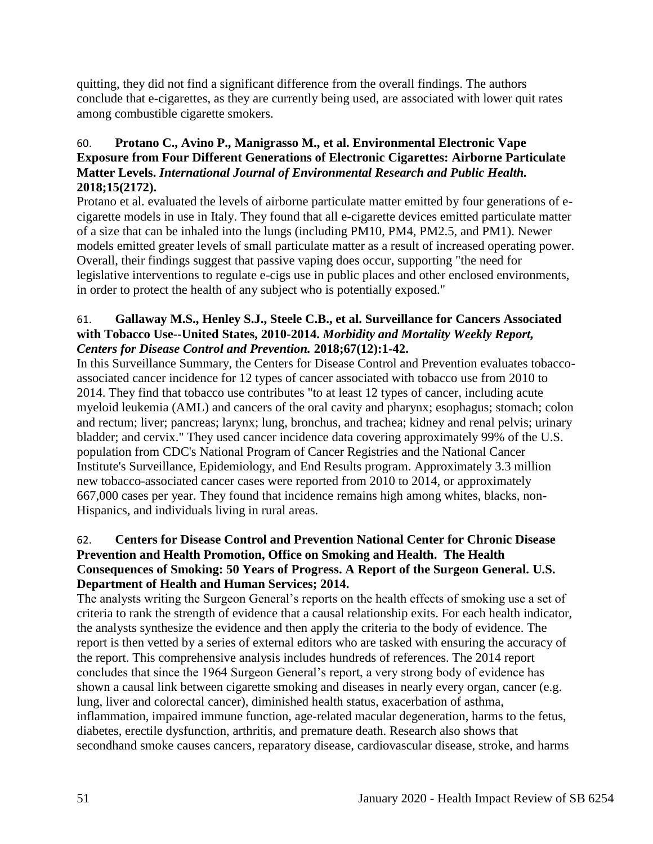quitting, they did not find a significant difference from the overall findings. The authors conclude that e-cigarettes, as they are currently being used, are associated with lower quit rates among combustible cigarette smokers.

# 60. **Protano C., Avino P., Manigrasso M., et al. Environmental Electronic Vape Exposure from Four Different Generations of Electronic Cigarettes: Airborne Particulate Matter Levels.** *International Journal of Environmental Research and Public Health.*  **2018;15(2172).**

Protano et al. evaluated the levels of airborne particulate matter emitted by four generations of ecigarette models in use in Italy. They found that all e-cigarette devices emitted particulate matter of a size that can be inhaled into the lungs (including PM10, PM4, PM2.5, and PM1). Newer models emitted greater levels of small particulate matter as a result of increased operating power. Overall, their findings suggest that passive vaping does occur, supporting "the need for legislative interventions to regulate e-cigs use in public places and other enclosed environments, in order to protect the health of any subject who is potentially exposed."

## 61. **Gallaway M.S., Henley S.J., Steele C.B., et al. Surveillance for Cancers Associated with Tobacco Use--United States, 2010-2014.** *Morbidity and Mortality Weekly Report, Centers for Disease Control and Prevention.* **2018;67(12):1-42.**

In this Surveillance Summary, the Centers for Disease Control and Prevention evaluates tobaccoassociated cancer incidence for 12 types of cancer associated with tobacco use from 2010 to 2014. They find that tobacco use contributes "to at least 12 types of cancer, including acute myeloid leukemia (AML) and cancers of the oral cavity and pharynx; esophagus; stomach; colon and rectum; liver; pancreas; larynx; lung, bronchus, and trachea; kidney and renal pelvis; urinary bladder; and cervix." They used cancer incidence data covering approximately 99% of the U.S. population from CDC's National Program of Cancer Registries and the National Cancer Institute's Surveillance, Epidemiology, and End Results program. Approximately 3.3 million new tobacco-associated cancer cases were reported from 2010 to 2014, or approximately 667,000 cases per year. They found that incidence remains high among whites, blacks, non-Hispanics, and individuals living in rural areas.

## 62. **Centers for Disease Control and Prevention National Center for Chronic Disease Prevention and Health Promotion, Office on Smoking and Health. The Health Consequences of Smoking: 50 Years of Progress. A Report of the Surgeon General. U.S. Department of Health and Human Services; 2014.**

The analysts writing the Surgeon General's reports on the health effects of smoking use a set of criteria to rank the strength of evidence that a causal relationship exits. For each health indicator, the analysts synthesize the evidence and then apply the criteria to the body of evidence. The report is then vetted by a series of external editors who are tasked with ensuring the accuracy of the report. This comprehensive analysis includes hundreds of references. The 2014 report concludes that since the 1964 Surgeon General's report, a very strong body of evidence has shown a causal link between cigarette smoking and diseases in nearly every organ, cancer (e.g. lung, liver and colorectal cancer), diminished health status, exacerbation of asthma, inflammation, impaired immune function, age-related macular degeneration, harms to the fetus, diabetes, erectile dysfunction, arthritis, and premature death. Research also shows that secondhand smoke causes cancers, reparatory disease, cardiovascular disease, stroke, and harms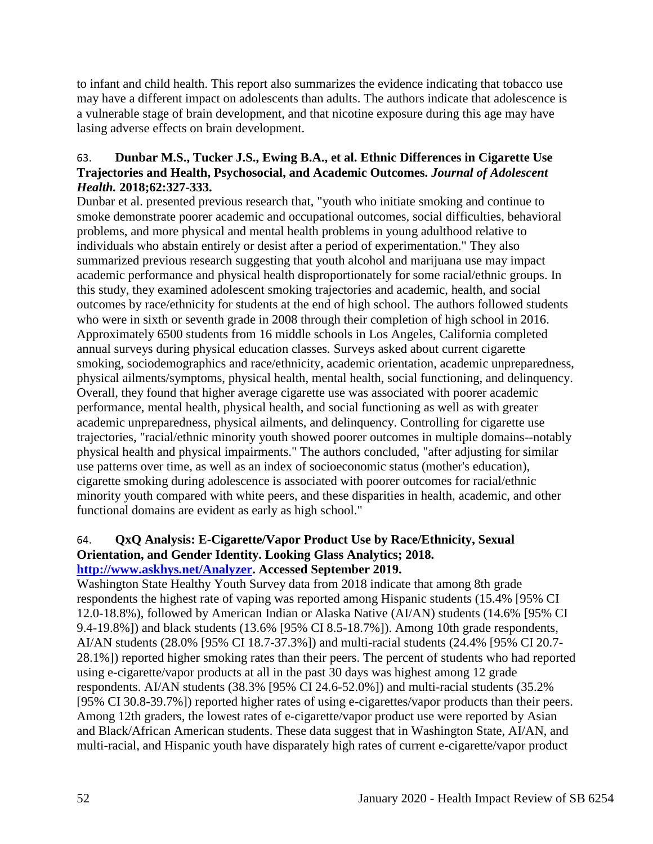to infant and child health. This report also summarizes the evidence indicating that tobacco use may have a different impact on adolescents than adults. The authors indicate that adolescence is a vulnerable stage of brain development, and that nicotine exposure during this age may have lasing adverse effects on brain development.

## 63. **Dunbar M.S., Tucker J.S., Ewing B.A., et al. Ethnic Differences in Cigarette Use Trajectories and Health, Psychosocial, and Academic Outcomes.** *Journal of Adolescent Health.* **2018;62:327-333.**

Dunbar et al. presented previous research that, "youth who initiate smoking and continue to smoke demonstrate poorer academic and occupational outcomes, social difficulties, behavioral problems, and more physical and mental health problems in young adulthood relative to individuals who abstain entirely or desist after a period of experimentation." They also summarized previous research suggesting that youth alcohol and marijuana use may impact academic performance and physical health disproportionately for some racial/ethnic groups. In this study, they examined adolescent smoking trajectories and academic, health, and social outcomes by race/ethnicity for students at the end of high school. The authors followed students who were in sixth or seventh grade in 2008 through their completion of high school in 2016. Approximately 6500 students from 16 middle schools in Los Angeles, California completed annual surveys during physical education classes. Surveys asked about current cigarette smoking, sociodemographics and race/ethnicity, academic orientation, academic unpreparedness, physical ailments/symptoms, physical health, mental health, social functioning, and delinquency. Overall, they found that higher average cigarette use was associated with poorer academic performance, mental health, physical health, and social functioning as well as with greater academic unpreparedness, physical ailments, and delinquency. Controlling for cigarette use trajectories, "racial/ethnic minority youth showed poorer outcomes in multiple domains--notably physical health and physical impairments." The authors concluded, "after adjusting for similar use patterns over time, as well as an index of socioeconomic status (mother's education), cigarette smoking during adolescence is associated with poorer outcomes for racial/ethnic minority youth compared with white peers, and these disparities in health, academic, and other functional domains are evident as early as high school."

#### 64. **QxQ Analysis: E-Cigarette/Vapor Product Use by Race/Ethnicity, Sexual Orientation, and Gender Identity. Looking Glass Analytics; 2018. [http://www.askhys.net/Analyzer.](http://www.askhys.net/Analyzer) Accessed September 2019.**

Washington State Healthy Youth Survey data from 2018 indicate that among 8th grade respondents the highest rate of vaping was reported among Hispanic students (15.4% [95% CI 12.0-18.8%), followed by American Indian or Alaska Native (AI/AN) students (14.6% [95% CI 9.4-19.8%]) and black students (13.6% [95% CI 8.5-18.7%]). Among 10th grade respondents, AI/AN students (28.0% [95% CI 18.7-37.3%]) and multi-racial students (24.4% [95% CI 20.7- 28.1%]) reported higher smoking rates than their peers. The percent of students who had reported using e-cigarette/vapor products at all in the past 30 days was highest among 12 grade respondents. AI/AN students (38.3% [95% CI 24.6-52.0%]) and multi-racial students (35.2% [95% CI 30.8-39.7%]) reported higher rates of using e-cigarettes/vapor products than their peers. Among 12th graders, the lowest rates of e-cigarette/vapor product use were reported by Asian and Black/African American students. These data suggest that in Washington State, AI/AN, and multi-racial, and Hispanic youth have disparately high rates of current e-cigarette/vapor product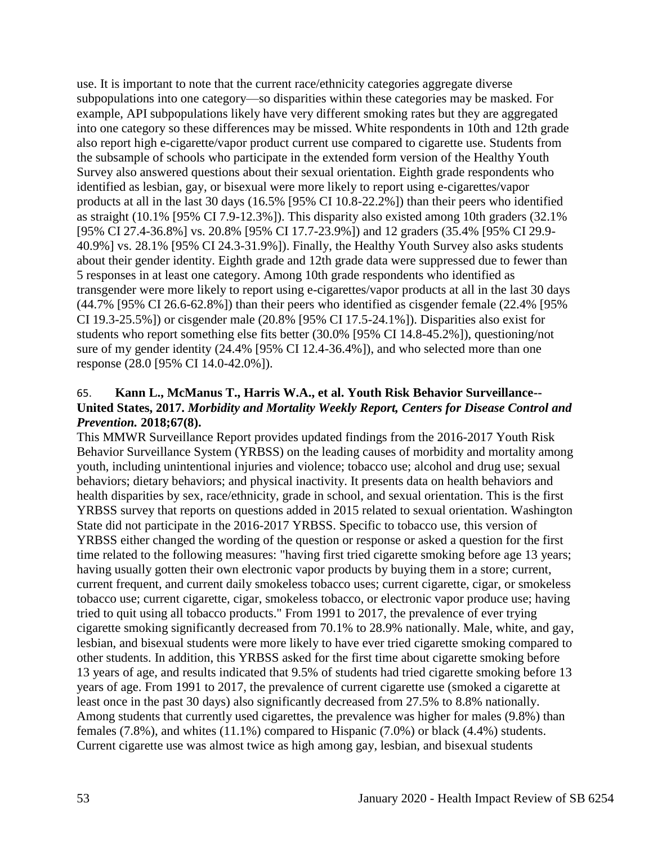use. It is important to note that the current race/ethnicity categories aggregate diverse subpopulations into one category—so disparities within these categories may be masked. For example, API subpopulations likely have very different smoking rates but they are aggregated into one category so these differences may be missed. White respondents in 10th and 12th grade also report high e-cigarette/vapor product current use compared to cigarette use. Students from the subsample of schools who participate in the extended form version of the Healthy Youth Survey also answered questions about their sexual orientation. Eighth grade respondents who identified as lesbian, gay, or bisexual were more likely to report using e-cigarettes/vapor products at all in the last 30 days (16.5% [95% CI 10.8-22.2%]) than their peers who identified as straight (10.1% [95% CI 7.9-12.3%]). This disparity also existed among 10th graders (32.1% [95% CI 27.4-36.8%] vs. 20.8% [95% CI 17.7-23.9%]) and 12 graders (35.4% [95% CI 29.9- 40.9%] vs. 28.1% [95% CI 24.3-31.9%]). Finally, the Healthy Youth Survey also asks students about their gender identity. Eighth grade and 12th grade data were suppressed due to fewer than 5 responses in at least one category. Among 10th grade respondents who identified as transgender were more likely to report using e-cigarettes/vapor products at all in the last 30 days (44.7% [95% CI 26.6-62.8%]) than their peers who identified as cisgender female (22.4% [95% CI 19.3-25.5%]) or cisgender male (20.8% [95% CI 17.5-24.1%]). Disparities also exist for students who report something else fits better (30.0% [95% CI 14.8-45.2%]), questioning/not sure of my gender identity (24.4% [95% CI 12.4-36.4%]), and who selected more than one response (28.0 [95% CI 14.0-42.0%]).

## 65. **Kann L., McManus T., Harris W.A., et al. Youth Risk Behavior Surveillance-- United States, 2017.** *Morbidity and Mortality Weekly Report, Centers for Disease Control and Prevention.* **2018;67(8).**

This MMWR Surveillance Report provides updated findings from the 2016-2017 Youth Risk Behavior Surveillance System (YRBSS) on the leading causes of morbidity and mortality among youth, including unintentional injuries and violence; tobacco use; alcohol and drug use; sexual behaviors; dietary behaviors; and physical inactivity. It presents data on health behaviors and health disparities by sex, race/ethnicity, grade in school, and sexual orientation. This is the first YRBSS survey that reports on questions added in 2015 related to sexual orientation. Washington State did not participate in the 2016-2017 YRBSS. Specific to tobacco use, this version of YRBSS either changed the wording of the question or response or asked a question for the first time related to the following measures: "having first tried cigarette smoking before age 13 years; having usually gotten their own electronic vapor products by buying them in a store; current, current frequent, and current daily smokeless tobacco uses; current cigarette, cigar, or smokeless tobacco use; current cigarette, cigar, smokeless tobacco, or electronic vapor produce use; having tried to quit using all tobacco products." From 1991 to 2017, the prevalence of ever trying cigarette smoking significantly decreased from 70.1% to 28.9% nationally. Male, white, and gay, lesbian, and bisexual students were more likely to have ever tried cigarette smoking compared to other students. In addition, this YRBSS asked for the first time about cigarette smoking before 13 years of age, and results indicated that 9.5% of students had tried cigarette smoking before 13 years of age. From 1991 to 2017, the prevalence of current cigarette use (smoked a cigarette at least once in the past 30 days) also significantly decreased from 27.5% to 8.8% nationally. Among students that currently used cigarettes, the prevalence was higher for males (9.8%) than females (7.8%), and whites (11.1%) compared to Hispanic (7.0%) or black (4.4%) students. Current cigarette use was almost twice as high among gay, lesbian, and bisexual students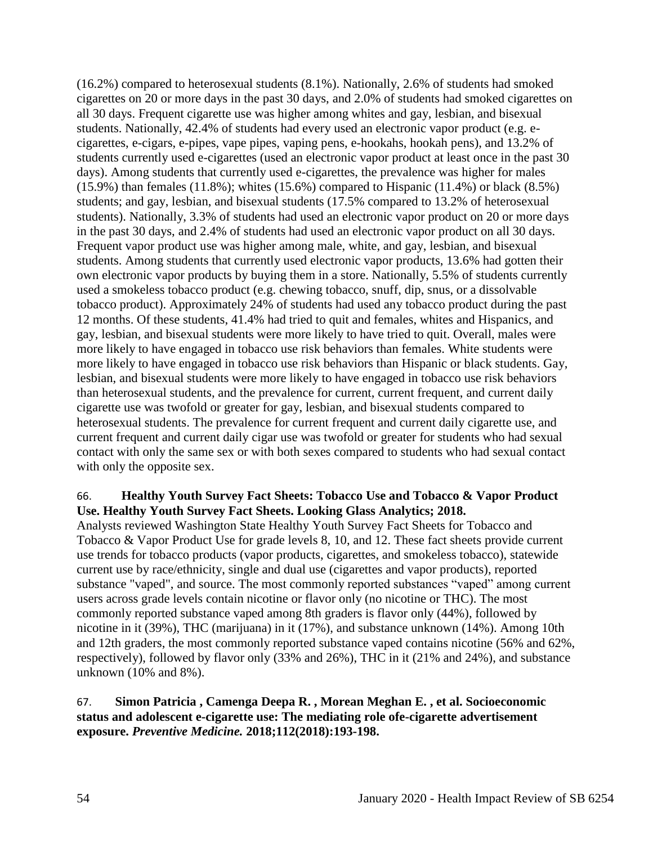(16.2%) compared to heterosexual students (8.1%). Nationally, 2.6% of students had smoked cigarettes on 20 or more days in the past 30 days, and 2.0% of students had smoked cigarettes on all 30 days. Frequent cigarette use was higher among whites and gay, lesbian, and bisexual students. Nationally, 42.4% of students had every used an electronic vapor product (e.g. ecigarettes, e-cigars, e-pipes, vape pipes, vaping pens, e-hookahs, hookah pens), and 13.2% of students currently used e-cigarettes (used an electronic vapor product at least once in the past 30 days). Among students that currently used e-cigarettes, the prevalence was higher for males (15.9%) than females (11.8%); whites (15.6%) compared to Hispanic (11.4%) or black (8.5%) students; and gay, lesbian, and bisexual students (17.5% compared to 13.2% of heterosexual students). Nationally, 3.3% of students had used an electronic vapor product on 20 or more days in the past 30 days, and 2.4% of students had used an electronic vapor product on all 30 days. Frequent vapor product use was higher among male, white, and gay, lesbian, and bisexual students. Among students that currently used electronic vapor products, 13.6% had gotten their own electronic vapor products by buying them in a store. Nationally, 5.5% of students currently used a smokeless tobacco product (e.g. chewing tobacco, snuff, dip, snus, or a dissolvable tobacco product). Approximately 24% of students had used any tobacco product during the past 12 months. Of these students, 41.4% had tried to quit and females, whites and Hispanics, and gay, lesbian, and bisexual students were more likely to have tried to quit. Overall, males were more likely to have engaged in tobacco use risk behaviors than females. White students were more likely to have engaged in tobacco use risk behaviors than Hispanic or black students. Gay, lesbian, and bisexual students were more likely to have engaged in tobacco use risk behaviors than heterosexual students, and the prevalence for current, current frequent, and current daily cigarette use was twofold or greater for gay, lesbian, and bisexual students compared to heterosexual students. The prevalence for current frequent and current daily cigarette use, and current frequent and current daily cigar use was twofold or greater for students who had sexual contact with only the same sex or with both sexes compared to students who had sexual contact with only the opposite sex.

## 66. **Healthy Youth Survey Fact Sheets: Tobacco Use and Tobacco & Vapor Product Use. Healthy Youth Survey Fact Sheets. Looking Glass Analytics; 2018.**

Analysts reviewed Washington State Healthy Youth Survey Fact Sheets for Tobacco and Tobacco & Vapor Product Use for grade levels 8, 10, and 12. These fact sheets provide current use trends for tobacco products (vapor products, cigarettes, and smokeless tobacco), statewide current use by race/ethnicity, single and dual use (cigarettes and vapor products), reported substance "vaped", and source. The most commonly reported substances "vaped" among current users across grade levels contain nicotine or flavor only (no nicotine or THC). The most commonly reported substance vaped among 8th graders is flavor only (44%), followed by nicotine in it (39%), THC (marijuana) in it (17%), and substance unknown (14%). Among 10th and 12th graders, the most commonly reported substance vaped contains nicotine (56% and 62%, respectively), followed by flavor only (33% and 26%), THC in it (21% and 24%), and substance unknown (10% and 8%).

## 67. **Simon Patricia , Camenga Deepa R. , Morean Meghan E. , et al. Socioeconomic status and adolescent e-cigarette use: The mediating role ofe-cigarette advertisement exposure.** *Preventive Medicine.* **2018;112(2018):193-198.**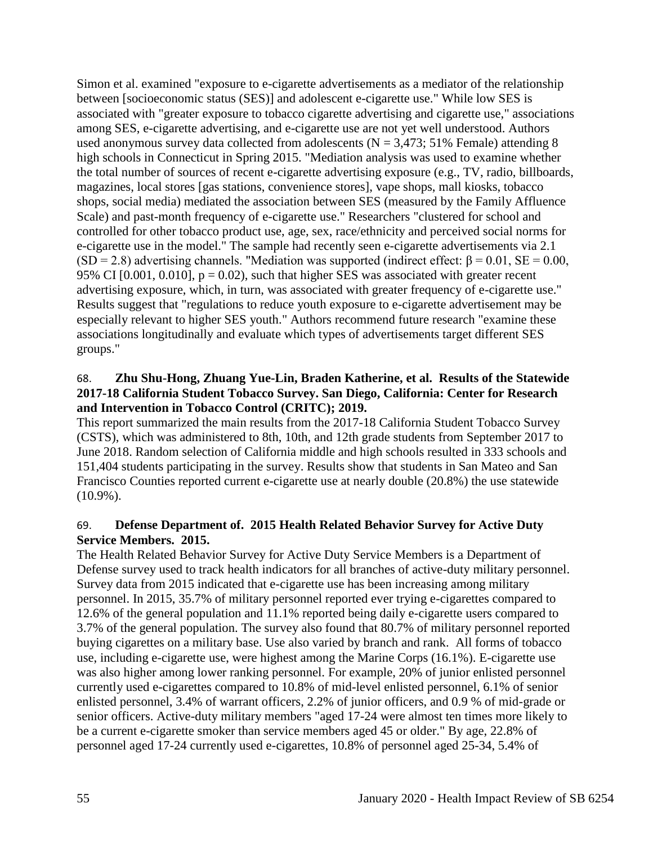Simon et al. examined "exposure to e-cigarette advertisements as a mediator of the relationship between [socioeconomic status (SES)] and adolescent e-cigarette use." While low SES is associated with "greater exposure to tobacco cigarette advertising and cigarette use," associations among SES, e-cigarette advertising, and e-cigarette use are not yet well understood. Authors used anonymous survey data collected from adolescents ( $N = 3,473$ ; 51% Female) attending 8 high schools in Connecticut in Spring 2015. "Mediation analysis was used to examine whether the total number of sources of recent e-cigarette advertising exposure (e.g., TV, radio, billboards, magazines, local stores [gas stations, convenience stores], vape shops, mall kiosks, tobacco shops, social media) mediated the association between SES (measured by the Family Affluence Scale) and past-month frequency of e-cigarette use." Researchers "clustered for school and controlled for other tobacco product use, age, sex, race/ethnicity and perceived social norms for e-cigarette use in the model." The sample had recently seen e-cigarette advertisements via 2.1 (SD = 2.8) advertising channels. "Mediation was supported (indirect effect:  $\beta$  = 0.01, SE = 0.00, 95% CI  $[0.001, 0.010]$ ,  $p = 0.02$ ), such that higher SES was associated with greater recent advertising exposure, which, in turn, was associated with greater frequency of e-cigarette use." Results suggest that "regulations to reduce youth exposure to e-cigarette advertisement may be especially relevant to higher SES youth." Authors recommend future research "examine these associations longitudinally and evaluate which types of advertisements target different SES groups."

## 68. **Zhu Shu-Hong, Zhuang Yue-Lin, Braden Katherine, et al. Results of the Statewide 2017-18 California Student Tobacco Survey. San Diego, California: Center for Research and Intervention in Tobacco Control (CRITC); 2019.**

This report summarized the main results from the 2017-18 California Student Tobacco Survey (CSTS), which was administered to 8th, 10th, and 12th grade students from September 2017 to June 2018. Random selection of California middle and high schools resulted in 333 schools and 151,404 students participating in the survey. Results show that students in San Mateo and San Francisco Counties reported current e-cigarette use at nearly double (20.8%) the use statewide (10.9%).

## 69. **Defense Department of. 2015 Health Related Behavior Survey for Active Duty Service Members. 2015.**

The Health Related Behavior Survey for Active Duty Service Members is a Department of Defense survey used to track health indicators for all branches of active-duty military personnel. Survey data from 2015 indicated that e-cigarette use has been increasing among military personnel. In 2015, 35.7% of military personnel reported ever trying e-cigarettes compared to 12.6% of the general population and 11.1% reported being daily e-cigarette users compared to 3.7% of the general population. The survey also found that 80.7% of military personnel reported buying cigarettes on a military base. Use also varied by branch and rank. All forms of tobacco use, including e-cigarette use, were highest among the Marine Corps (16.1%). E-cigarette use was also higher among lower ranking personnel. For example, 20% of junior enlisted personnel currently used e-cigarettes compared to 10.8% of mid-level enlisted personnel, 6.1% of senior enlisted personnel, 3.4% of warrant officers, 2.2% of junior officers, and 0.9 % of mid-grade or senior officers. Active-duty military members "aged 17-24 were almost ten times more likely to be a current e-cigarette smoker than service members aged 45 or older." By age, 22.8% of personnel aged 17-24 currently used e-cigarettes, 10.8% of personnel aged 25-34, 5.4% of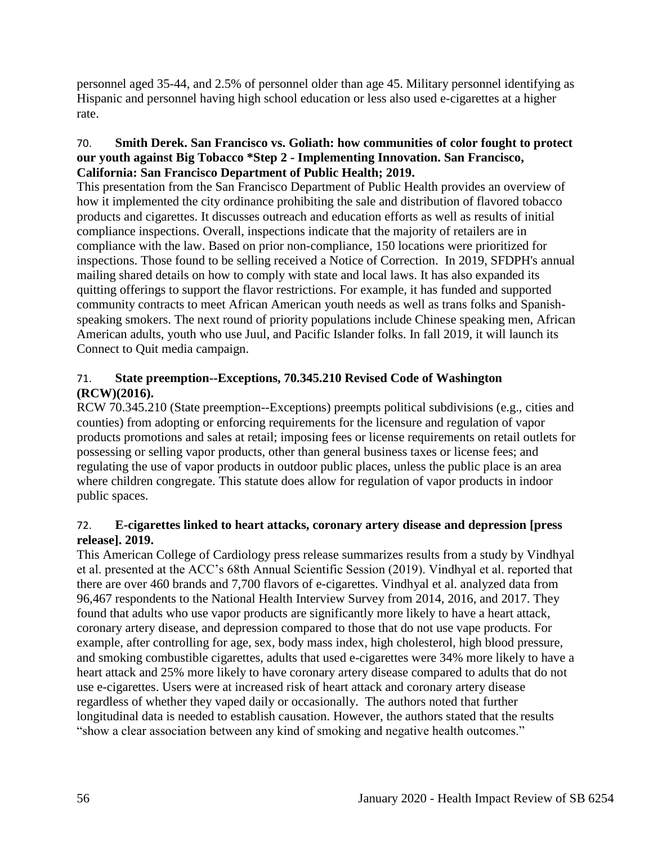personnel aged 35-44, and 2.5% of personnel older than age 45. Military personnel identifying as Hispanic and personnel having high school education or less also used e-cigarettes at a higher rate.

### 70. **Smith Derek. San Francisco vs. Goliath: how communities of color fought to protect our youth against Big Tobacco \*Step 2 - Implementing Innovation. San Francisco, California: San Francisco Department of Public Health; 2019.**

This presentation from the San Francisco Department of Public Health provides an overview of how it implemented the city ordinance prohibiting the sale and distribution of flavored tobacco products and cigarettes. It discusses outreach and education efforts as well as results of initial compliance inspections. Overall, inspections indicate that the majority of retailers are in compliance with the law. Based on prior non-compliance, 150 locations were prioritized for inspections. Those found to be selling received a Notice of Correction. In 2019, SFDPH's annual mailing shared details on how to comply with state and local laws. It has also expanded its quitting offerings to support the flavor restrictions. For example, it has funded and supported community contracts to meet African American youth needs as well as trans folks and Spanishspeaking smokers. The next round of priority populations include Chinese speaking men, African American adults, youth who use Juul, and Pacific Islander folks. In fall 2019, it will launch its Connect to Quit media campaign.

## 71. **State preemption--Exceptions, 70.345.210 Revised Code of Washington (RCW)(2016).**

RCW 70.345.210 (State preemption--Exceptions) preempts political subdivisions (e.g., cities and counties) from adopting or enforcing requirements for the licensure and regulation of vapor products promotions and sales at retail; imposing fees or license requirements on retail outlets for possessing or selling vapor products, other than general business taxes or license fees; and regulating the use of vapor products in outdoor public places, unless the public place is an area where children congregate. This statute does allow for regulation of vapor products in indoor public spaces.

## 72. **E-cigarettes linked to heart attacks, coronary artery disease and depression [press release]. 2019.**

This American College of Cardiology press release summarizes results from a study by Vindhyal et al. presented at the ACC's 68th Annual Scientific Session (2019). Vindhyal et al. reported that there are over 460 brands and 7,700 flavors of e-cigarettes. Vindhyal et al. analyzed data from 96,467 respondents to the National Health Interview Survey from 2014, 2016, and 2017. They found that adults who use vapor products are significantly more likely to have a heart attack, coronary artery disease, and depression compared to those that do not use vape products. For example, after controlling for age, sex, body mass index, high cholesterol, high blood pressure, and smoking combustible cigarettes, adults that used e-cigarettes were 34% more likely to have a heart attack and 25% more likely to have coronary artery disease compared to adults that do not use e-cigarettes. Users were at increased risk of heart attack and coronary artery disease regardless of whether they vaped daily or occasionally. The authors noted that further longitudinal data is needed to establish causation. However, the authors stated that the results "show a clear association between any kind of smoking and negative health outcomes."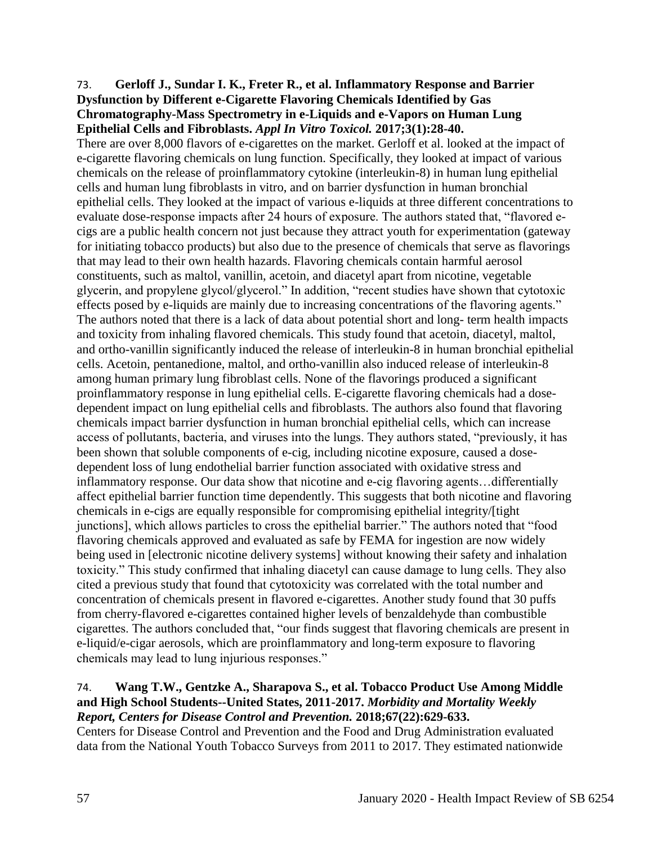#### 73. **Gerloff J., Sundar I. K., Freter R., et al. Inflammatory Response and Barrier Dysfunction by Different e-Cigarette Flavoring Chemicals Identified by Gas Chromatography-Mass Spectrometry in e-Liquids and e-Vapors on Human Lung Epithelial Cells and Fibroblasts.** *Appl In Vitro Toxicol.* **2017;3(1):28-40.**

There are over 8,000 flavors of e-cigarettes on the market. Gerloff et al. looked at the impact of e-cigarette flavoring chemicals on lung function. Specifically, they looked at impact of various chemicals on the release of proinflammatory cytokine (interleukin-8) in human lung epithelial cells and human lung fibroblasts in vitro, and on barrier dysfunction in human bronchial epithelial cells. They looked at the impact of various e-liquids at three different concentrations to evaluate dose-response impacts after 24 hours of exposure. The authors stated that, "flavored ecigs are a public health concern not just because they attract youth for experimentation (gateway for initiating tobacco products) but also due to the presence of chemicals that serve as flavorings that may lead to their own health hazards. Flavoring chemicals contain harmful aerosol constituents, such as maltol, vanillin, acetoin, and diacetyl apart from nicotine, vegetable glycerin, and propylene glycol/glycerol." In addition, "recent studies have shown that cytotoxic effects posed by e-liquids are mainly due to increasing concentrations of the flavoring agents." The authors noted that there is a lack of data about potential short and long- term health impacts and toxicity from inhaling flavored chemicals. This study found that acetoin, diacetyl, maltol, and ortho-vanillin significantly induced the release of interleukin-8 in human bronchial epithelial cells. Acetoin, pentanedione, maltol, and ortho-vanillin also induced release of interleukin-8 among human primary lung fibroblast cells. None of the flavorings produced a significant proinflammatory response in lung epithelial cells. E-cigarette flavoring chemicals had a dosedependent impact on lung epithelial cells and fibroblasts. The authors also found that flavoring chemicals impact barrier dysfunction in human bronchial epithelial cells, which can increase access of pollutants, bacteria, and viruses into the lungs. They authors stated, "previously, it has been shown that soluble components of e-cig, including nicotine exposure, caused a dosedependent loss of lung endothelial barrier function associated with oxidative stress and inflammatory response. Our data show that nicotine and e-cig flavoring agents…differentially affect epithelial barrier function time dependently. This suggests that both nicotine and flavoring chemicals in e-cigs are equally responsible for compromising epithelial integrity/[tight junctions], which allows particles to cross the epithelial barrier." The authors noted that "food flavoring chemicals approved and evaluated as safe by FEMA for ingestion are now widely being used in [electronic nicotine delivery systems] without knowing their safety and inhalation toxicity." This study confirmed that inhaling diacetyl can cause damage to lung cells. They also cited a previous study that found that cytotoxicity was correlated with the total number and concentration of chemicals present in flavored e-cigarettes. Another study found that 30 puffs from cherry-flavored e-cigarettes contained higher levels of benzaldehyde than combustible cigarettes. The authors concluded that, "our finds suggest that flavoring chemicals are present in e-liquid/e-cigar aerosols, which are proinflammatory and long-term exposure to flavoring chemicals may lead to lung injurious responses."

## 74. **Wang T.W., Gentzke A., Sharapova S., et al. Tobacco Product Use Among Middle and High School Students--United States, 2011-2017.** *Morbidity and Mortality Weekly Report, Centers for Disease Control and Prevention.* **2018;67(22):629-633.**

Centers for Disease Control and Prevention and the Food and Drug Administration evaluated data from the National Youth Tobacco Surveys from 2011 to 2017. They estimated nationwide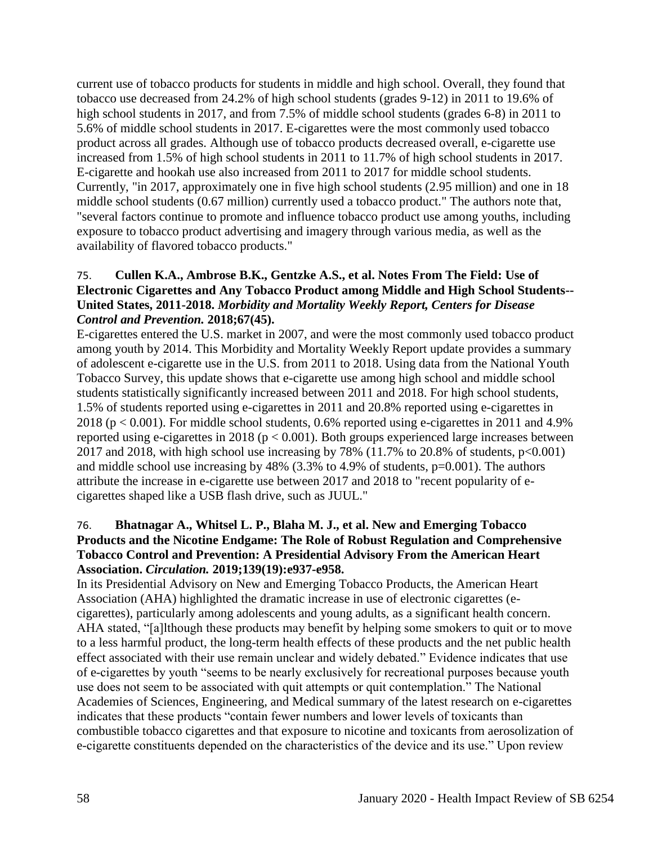current use of tobacco products for students in middle and high school. Overall, they found that tobacco use decreased from 24.2% of high school students (grades 9-12) in 2011 to 19.6% of high school students in 2017, and from 7.5% of middle school students (grades 6-8) in 2011 to 5.6% of middle school students in 2017. E-cigarettes were the most commonly used tobacco product across all grades. Although use of tobacco products decreased overall, e-cigarette use increased from 1.5% of high school students in 2011 to 11.7% of high school students in 2017. E-cigarette and hookah use also increased from 2011 to 2017 for middle school students. Currently, "in 2017, approximately one in five high school students (2.95 million) and one in 18 middle school students (0.67 million) currently used a tobacco product." The authors note that, "several factors continue to promote and influence tobacco product use among youths, including exposure to tobacco product advertising and imagery through various media, as well as the availability of flavored tobacco products."

## 75. **Cullen K.A., Ambrose B.K., Gentzke A.S., et al. Notes From The Field: Use of Electronic Cigarettes and Any Tobacco Product among Middle and High School Students-- United States, 2011-2018.** *Morbidity and Mortality Weekly Report, Centers for Disease Control and Prevention.* **2018;67(45).**

E-cigarettes entered the U.S. market in 2007, and were the most commonly used tobacco product among youth by 2014. This Morbidity and Mortality Weekly Report update provides a summary of adolescent e-cigarette use in the U.S. from 2011 to 2018. Using data from the National Youth Tobacco Survey, this update shows that e-cigarette use among high school and middle school students statistically significantly increased between 2011 and 2018. For high school students, 1.5% of students reported using e-cigarettes in 2011 and 20.8% reported using e-cigarettes in 2018 ( $p < 0.001$ ). For middle school students, 0.6% reported using e-cigarettes in 2011 and 4.9% reported using e-cigarettes in 2018 ( $p < 0.001$ ). Both groups experienced large increases between 2017 and 2018, with high school use increasing by 78% (11.7% to 20.8% of students,  $p<0.001$ ) and middle school use increasing by  $48\%$  (3.3% to 4.9% of students, p=0.001). The authors attribute the increase in e-cigarette use between 2017 and 2018 to "recent popularity of ecigarettes shaped like a USB flash drive, such as JUUL."

## 76. **Bhatnagar A., Whitsel L. P., Blaha M. J., et al. New and Emerging Tobacco Products and the Nicotine Endgame: The Role of Robust Regulation and Comprehensive Tobacco Control and Prevention: A Presidential Advisory From the American Heart Association.** *Circulation.* **2019;139(19):e937-e958.**

In its Presidential Advisory on New and Emerging Tobacco Products, the American Heart Association (AHA) highlighted the dramatic increase in use of electronic cigarettes (ecigarettes), particularly among adolescents and young adults, as a significant health concern. AHA stated, "[a]lthough these products may benefit by helping some smokers to quit or to move to a less harmful product, the long-term health effects of these products and the net public health effect associated with their use remain unclear and widely debated." Evidence indicates that use of e-cigarettes by youth "seems to be nearly exclusively for recreational purposes because youth use does not seem to be associated with quit attempts or quit contemplation." The National Academies of Sciences, Engineering, and Medical summary of the latest research on e-cigarettes indicates that these products "contain fewer numbers and lower levels of toxicants than combustible tobacco cigarettes and that exposure to nicotine and toxicants from aerosolization of e-cigarette constituents depended on the characteristics of the device and its use." Upon review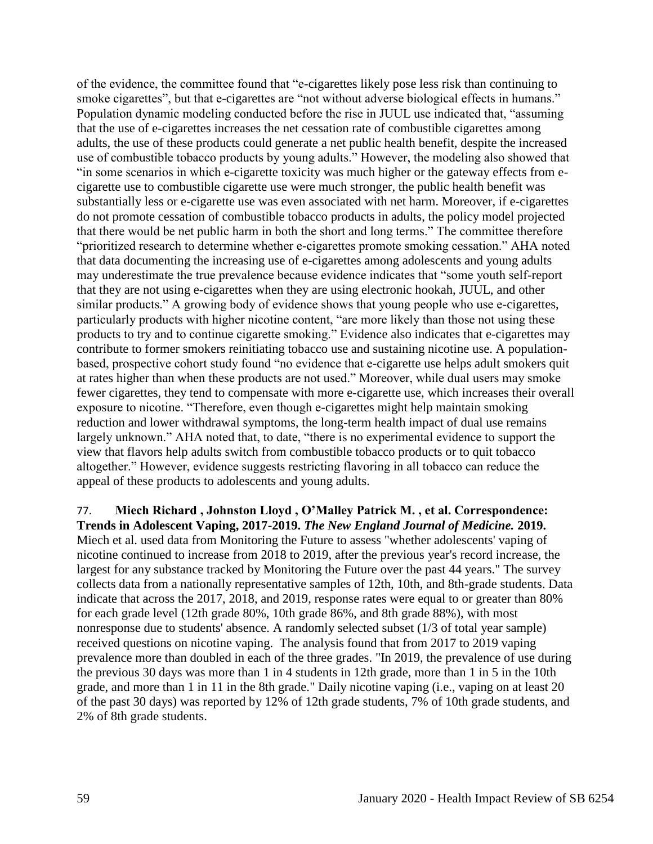of the evidence, the committee found that "e-cigarettes likely pose less risk than continuing to smoke cigarettes", but that e-cigarettes are "not without adverse biological effects in humans." Population dynamic modeling conducted before the rise in JUUL use indicated that, "assuming that the use of e-cigarettes increases the net cessation rate of combustible cigarettes among adults, the use of these products could generate a net public health benefit, despite the increased use of combustible tobacco products by young adults." However, the modeling also showed that "in some scenarios in which e-cigarette toxicity was much higher or the gateway effects from ecigarette use to combustible cigarette use were much stronger, the public health benefit was substantially less or e-cigarette use was even associated with net harm. Moreover, if e-cigarettes do not promote cessation of combustible tobacco products in adults, the policy model projected that there would be net public harm in both the short and long terms." The committee therefore "prioritized research to determine whether e-cigarettes promote smoking cessation." AHA noted that data documenting the increasing use of e-cigarettes among adolescents and young adults may underestimate the true prevalence because evidence indicates that "some youth self-report that they are not using e-cigarettes when they are using electronic hookah, JUUL, and other similar products." A growing body of evidence shows that young people who use e-cigarettes, particularly products with higher nicotine content, "are more likely than those not using these products to try and to continue cigarette smoking." Evidence also indicates that e-cigarettes may contribute to former smokers reinitiating tobacco use and sustaining nicotine use. A populationbased, prospective cohort study found "no evidence that e-cigarette use helps adult smokers quit at rates higher than when these products are not used." Moreover, while dual users may smoke fewer cigarettes, they tend to compensate with more e-cigarette use, which increases their overall exposure to nicotine. "Therefore, even though e-cigarettes might help maintain smoking reduction and lower withdrawal symptoms, the long-term health impact of dual use remains largely unknown." AHA noted that, to date, "there is no experimental evidence to support the view that flavors help adults switch from combustible tobacco products or to quit tobacco altogether." However, evidence suggests restricting flavoring in all tobacco can reduce the appeal of these products to adolescents and young adults.

77. **Miech Richard , Johnston Lloyd , O'Malley Patrick M. , et al. Correspondence: Trends in Adolescent Vaping, 2017-2019.** *The New England Journal of Medicine.* **2019.** Miech et al. used data from Monitoring the Future to assess "whether adolescents' vaping of nicotine continued to increase from 2018 to 2019, after the previous year's record increase, the largest for any substance tracked by Monitoring the Future over the past 44 years." The survey collects data from a nationally representative samples of 12th, 10th, and 8th-grade students. Data indicate that across the 2017, 2018, and 2019, response rates were equal to or greater than 80% for each grade level (12th grade 80%, 10th grade 86%, and 8th grade 88%), with most nonresponse due to students' absence. A randomly selected subset (1/3 of total year sample) received questions on nicotine vaping. The analysis found that from 2017 to 2019 vaping prevalence more than doubled in each of the three grades. "In 2019, the prevalence of use during the previous 30 days was more than 1 in 4 students in 12th grade, more than 1 in 5 in the 10th grade, and more than 1 in 11 in the 8th grade." Daily nicotine vaping (i.e., vaping on at least 20 of the past 30 days) was reported by 12% of 12th grade students, 7% of 10th grade students, and 2% of 8th grade students.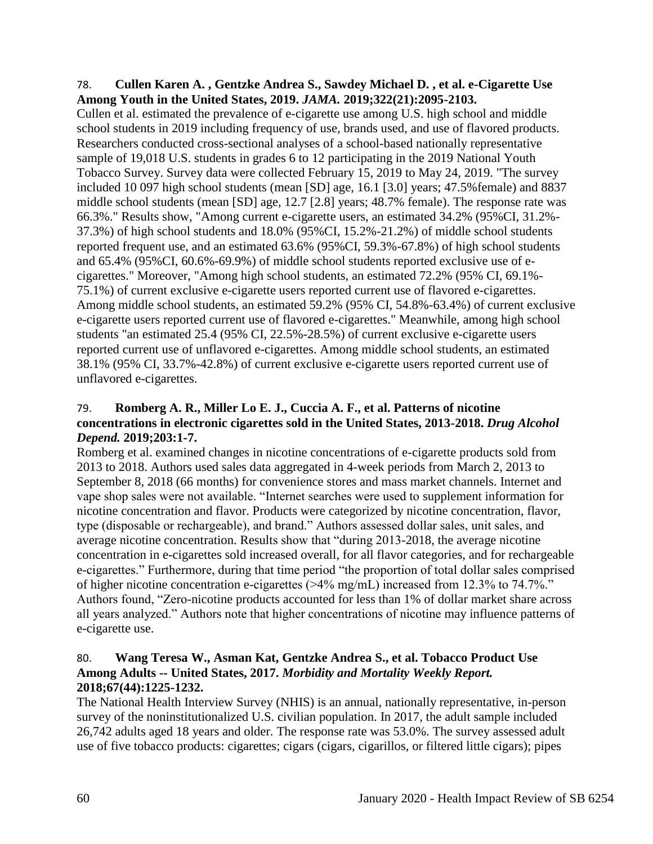#### 78. **Cullen Karen A. , Gentzke Andrea S., Sawdey Michael D. , et al. e-Cigarette Use Among Youth in the United States, 2019.** *JAMA.* **2019;322(21):2095-2103.**

Cullen et al. estimated the prevalence of e-cigarette use among U.S. high school and middle school students in 2019 including frequency of use, brands used, and use of flavored products. Researchers conducted cross-sectional analyses of a school-based nationally representative sample of 19,018 U.S. students in grades 6 to 12 participating in the 2019 National Youth Tobacco Survey. Survey data were collected February 15, 2019 to May 24, 2019. "The survey included 10 097 high school students (mean [SD] age, 16.1 [3.0] years; 47.5%female) and 8837 middle school students (mean [SD] age, 12.7 [2.8] years; 48.7% female). The response rate was 66.3%." Results show, "Among current e-cigarette users, an estimated 34.2% (95%CI, 31.2%- 37.3%) of high school students and 18.0% (95%CI, 15.2%-21.2%) of middle school students reported frequent use, and an estimated 63.6% (95%CI, 59.3%-67.8%) of high school students and 65.4% (95%CI, 60.6%-69.9%) of middle school students reported exclusive use of ecigarettes." Moreover, "Among high school students, an estimated 72.2% (95% CI, 69.1%- 75.1%) of current exclusive e-cigarette users reported current use of flavored e-cigarettes. Among middle school students, an estimated 59.2% (95% CI, 54.8%-63.4%) of current exclusive e-cigarette users reported current use of flavored e-cigarettes." Meanwhile, among high school students "an estimated 25.4 (95% CI, 22.5%-28.5%) of current exclusive e-cigarette users reported current use of unflavored e-cigarettes. Among middle school students, an estimated 38.1% (95% CI, 33.7%-42.8%) of current exclusive e-cigarette users reported current use of unflavored e-cigarettes.

### 79. **Romberg A. R., Miller Lo E. J., Cuccia A. F., et al. Patterns of nicotine concentrations in electronic cigarettes sold in the United States, 2013-2018.** *Drug Alcohol Depend.* **2019;203:1-7.**

Romberg et al. examined changes in nicotine concentrations of e-cigarette products sold from 2013 to 2018. Authors used sales data aggregated in 4-week periods from March 2, 2013 to September 8, 2018 (66 months) for convenience stores and mass market channels. Internet and vape shop sales were not available. "Internet searches were used to supplement information for nicotine concentration and flavor. Products were categorized by nicotine concentration, flavor, type (disposable or rechargeable), and brand." Authors assessed dollar sales, unit sales, and average nicotine concentration. Results show that "during 2013-2018, the average nicotine concentration in e-cigarettes sold increased overall, for all flavor categories, and for rechargeable e-cigarettes." Furthermore, during that time period "the proportion of total dollar sales comprised of higher nicotine concentration e-cigarettes (>4% mg/mL) increased from 12.3% to 74.7%." Authors found, "Zero-nicotine products accounted for less than 1% of dollar market share across all years analyzed." Authors note that higher concentrations of nicotine may influence patterns of e-cigarette use.

# 80. **Wang Teresa W., Asman Kat, Gentzke Andrea S., et al. Tobacco Product Use Among Adults -- United States, 2017.** *Morbidity and Mortality Weekly Report.*  **2018;67(44):1225-1232.**

The National Health Interview Survey (NHIS) is an annual, nationally representative, in-person survey of the noninstitutionalized U.S. civilian population. In 2017, the adult sample included 26,742 adults aged 18 years and older. The response rate was 53.0%. The survey assessed adult use of five tobacco products: cigarettes; cigars (cigars, cigarillos, or filtered little cigars); pipes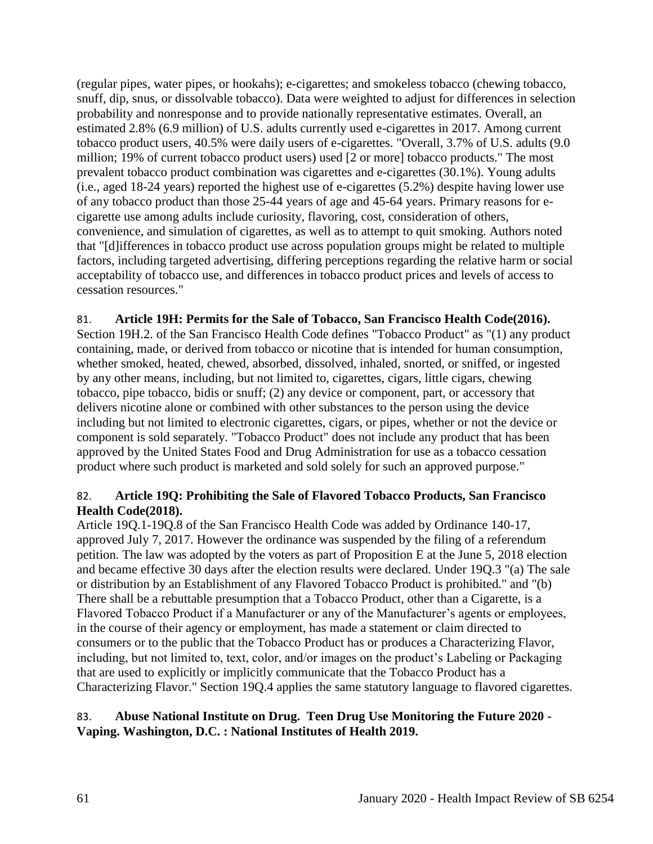(regular pipes, water pipes, or hookahs); e-cigarettes; and smokeless tobacco (chewing tobacco, snuff, dip, snus, or dissolvable tobacco). Data were weighted to adjust for differences in selection probability and nonresponse and to provide nationally representative estimates. Overall, an estimated 2.8% (6.9 million) of U.S. adults currently used e-cigarettes in 2017. Among current tobacco product users, 40.5% were daily users of e-cigarettes. "Overall, 3.7% of U.S. adults (9.0 million; 19% of current tobacco product users) used [2 or more] tobacco products." The most prevalent tobacco product combination was cigarettes and e-cigarettes (30.1%). Young adults (i.e., aged 18-24 years) reported the highest use of e-cigarettes (5.2%) despite having lower use of any tobacco product than those 25-44 years of age and 45-64 years. Primary reasons for ecigarette use among adults include curiosity, flavoring, cost, consideration of others, convenience, and simulation of cigarettes, as well as to attempt to quit smoking. Authors noted that "[d]ifferences in tobacco product use across population groups might be related to multiple factors, including targeted advertising, differing perceptions regarding the relative harm or social acceptability of tobacco use, and differences in tobacco product prices and levels of access to cessation resources."

## 81. **Article 19H: Permits for the Sale of Tobacco, San Francisco Health Code(2016).**

Section 19H.2. of the San Francisco Health Code defines "Tobacco Product" as "(1) any product containing, made, or derived from tobacco or nicotine that is intended for human consumption, whether smoked, heated, chewed, absorbed, dissolved, inhaled, snorted, or sniffed, or ingested by any other means, including, but not limited to, cigarettes, cigars, little cigars, chewing tobacco, pipe tobacco, bidis or snuff; (2) any device or component, part, or accessory that delivers nicotine alone or combined with other substances to the person using the device including but not limited to electronic cigarettes, cigars, or pipes, whether or not the device or component is sold separately. "Tobacco Product" does not include any product that has been approved by the United States Food and Drug Administration for use as a tobacco cessation product where such product is marketed and sold solely for such an approved purpose."

## 82. **Article 19Q: Prohibiting the Sale of Flavored Tobacco Products, San Francisco Health Code(2018).**

Article 19Q.1-19Q.8 of the San Francisco Health Code was added by Ordinance 140-17, approved July 7, 2017. However the ordinance was suspended by the filing of a referendum petition. The law was adopted by the voters as part of Proposition E at the June 5, 2018 election and became effective 30 days after the election results were declared. Under 19Q.3 "(a) The sale or distribution by an Establishment of any Flavored Tobacco Product is prohibited." and "(b) There shall be a rebuttable presumption that a Tobacco Product, other than a Cigarette, is a Flavored Tobacco Product if a Manufacturer or any of the Manufacturer's agents or employees, in the course of their agency or employment, has made a statement or claim directed to consumers or to the public that the Tobacco Product has or produces a Characterizing Flavor, including, but not limited to, text, color, and/or images on the product's Labeling or Packaging that are used to explicitly or implicitly communicate that the Tobacco Product has a Characterizing Flavor." Section 19Q.4 applies the same statutory language to flavored cigarettes.

## 83. **Abuse National Institute on Drug. Teen Drug Use Monitoring the Future 2020 - Vaping. Washington, D.C. : National Institutes of Health 2019.**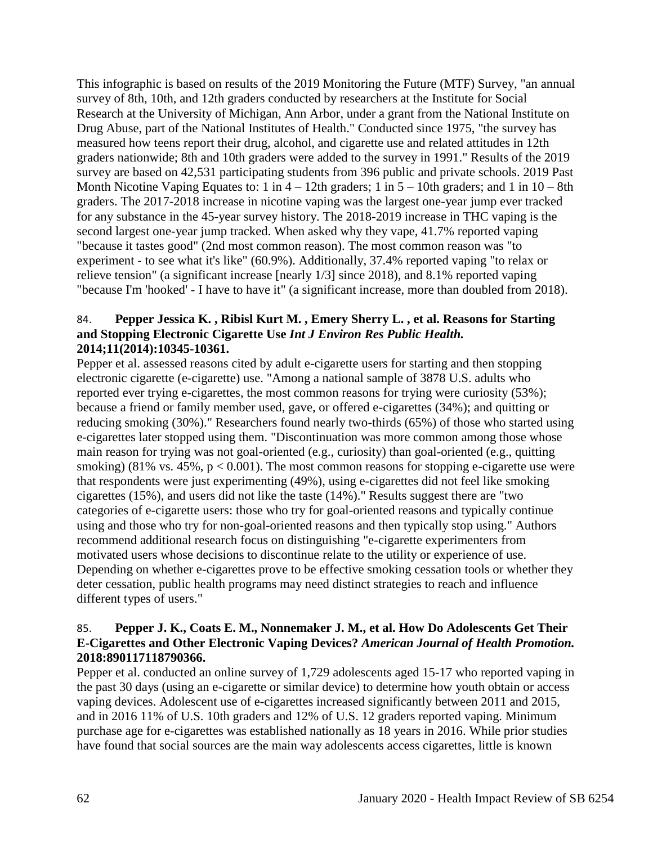This infographic is based on results of the 2019 Monitoring the Future (MTF) Survey, "an annual survey of 8th, 10th, and 12th graders conducted by researchers at the Institute for Social Research at the University of Michigan, Ann Arbor, under a grant from the National Institute on Drug Abuse, part of the National Institutes of Health." Conducted since 1975, "the survey has measured how teens report their drug, alcohol, and cigarette use and related attitudes in 12th graders nationwide; 8th and 10th graders were added to the survey in 1991." Results of the 2019 survey are based on 42,531 participating students from 396 public and private schools. 2019 Past Month Nicotine Vaping Equates to: 1 in  $4 - 12$ th graders; 1 in  $5 - 10$ th graders; and 1 in  $10 - 8$ th graders. The 2017-2018 increase in nicotine vaping was the largest one-year jump ever tracked for any substance in the 45-year survey history. The 2018-2019 increase in THC vaping is the second largest one-year jump tracked. When asked why they vape, 41.7% reported vaping "because it tastes good" (2nd most common reason). The most common reason was "to experiment - to see what it's like" (60.9%). Additionally, 37.4% reported vaping "to relax or relieve tension" (a significant increase [nearly 1/3] since 2018), and 8.1% reported vaping "because I'm 'hooked' - I have to have it" (a significant increase, more than doubled from 2018).

#### 84. **Pepper Jessica K. , Ribisl Kurt M. , Emery Sherry L. , et al. Reasons for Starting and Stopping Electronic Cigarette Use** *Int J Environ Res Public Health.*  **2014;11(2014):10345-10361.**

Pepper et al. assessed reasons cited by adult e-cigarette users for starting and then stopping electronic cigarette (e-cigarette) use. "Among a national sample of 3878 U.S. adults who reported ever trying e-cigarettes, the most common reasons for trying were curiosity (53%); because a friend or family member used, gave, or offered e-cigarettes (34%); and quitting or reducing smoking (30%)." Researchers found nearly two-thirds (65%) of those who started using e-cigarettes later stopped using them. "Discontinuation was more common among those whose main reason for trying was not goal-oriented (e.g., curiosity) than goal-oriented (e.g., quitting smoking) (81% vs. 45%,  $p < 0.001$ ). The most common reasons for stopping e-cigarette use were that respondents were just experimenting (49%), using e-cigarettes did not feel like smoking cigarettes (15%), and users did not like the taste (14%)." Results suggest there are "two categories of e-cigarette users: those who try for goal-oriented reasons and typically continue using and those who try for non-goal-oriented reasons and then typically stop using." Authors recommend additional research focus on distinguishing "e-cigarette experimenters from motivated users whose decisions to discontinue relate to the utility or experience of use. Depending on whether e-cigarettes prove to be effective smoking cessation tools or whether they deter cessation, public health programs may need distinct strategies to reach and influence different types of users."

## 85. **Pepper J. K., Coats E. M., Nonnemaker J. M., et al. How Do Adolescents Get Their E-Cigarettes and Other Electronic Vaping Devices?** *American Journal of Health Promotion.*  **2018:890117118790366.**

Pepper et al. conducted an online survey of 1,729 adolescents aged 15-17 who reported vaping in the past 30 days (using an e-cigarette or similar device) to determine how youth obtain or access vaping devices. Adolescent use of e-cigarettes increased significantly between 2011 and 2015, and in 2016 11% of U.S. 10th graders and 12% of U.S. 12 graders reported vaping. Minimum purchase age for e-cigarettes was established nationally as 18 years in 2016. While prior studies have found that social sources are the main way adolescents access cigarettes, little is known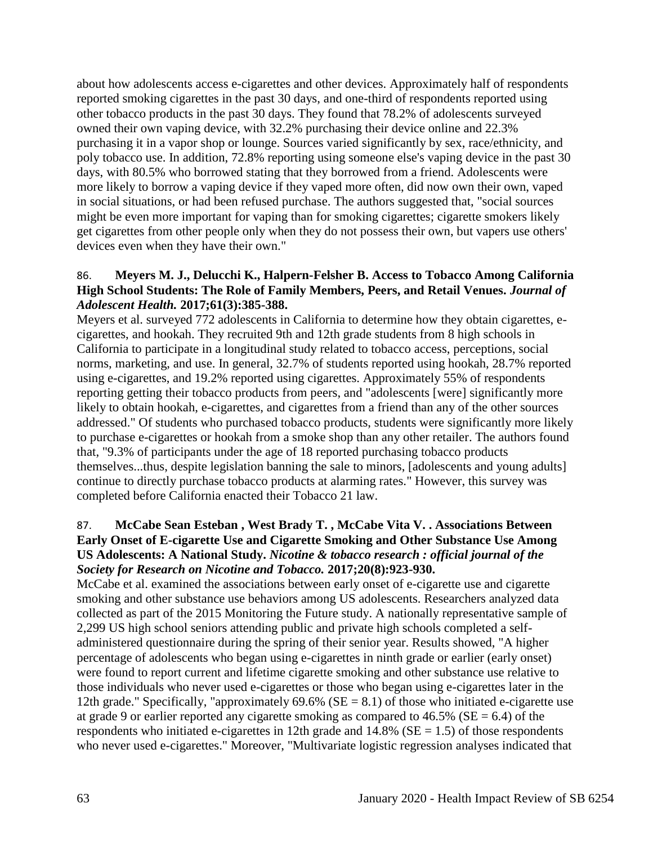about how adolescents access e-cigarettes and other devices. Approximately half of respondents reported smoking cigarettes in the past 30 days, and one-third of respondents reported using other tobacco products in the past 30 days. They found that 78.2% of adolescents surveyed owned their own vaping device, with 32.2% purchasing their device online and 22.3% purchasing it in a vapor shop or lounge. Sources varied significantly by sex, race/ethnicity, and poly tobacco use. In addition, 72.8% reporting using someone else's vaping device in the past 30 days, with 80.5% who borrowed stating that they borrowed from a friend. Adolescents were more likely to borrow a vaping device if they vaped more often, did now own their own, vaped in social situations, or had been refused purchase. The authors suggested that, "social sources might be even more important for vaping than for smoking cigarettes; cigarette smokers likely get cigarettes from other people only when they do not possess their own, but vapers use others' devices even when they have their own."

### 86. **Meyers M. J., Delucchi K., Halpern-Felsher B. Access to Tobacco Among California High School Students: The Role of Family Members, Peers, and Retail Venues.** *Journal of Adolescent Health.* **2017;61(3):385-388.**

Meyers et al. surveyed 772 adolescents in California to determine how they obtain cigarettes, ecigarettes, and hookah. They recruited 9th and 12th grade students from 8 high schools in California to participate in a longitudinal study related to tobacco access, perceptions, social norms, marketing, and use. In general, 32.7% of students reported using hookah, 28.7% reported using e-cigarettes, and 19.2% reported using cigarettes. Approximately 55% of respondents reporting getting their tobacco products from peers, and "adolescents [were] significantly more likely to obtain hookah, e-cigarettes, and cigarettes from a friend than any of the other sources addressed." Of students who purchased tobacco products, students were significantly more likely to purchase e-cigarettes or hookah from a smoke shop than any other retailer. The authors found that, "9.3% of participants under the age of 18 reported purchasing tobacco products themselves...thus, despite legislation banning the sale to minors, [adolescents and young adults] continue to directly purchase tobacco products at alarming rates." However, this survey was completed before California enacted their Tobacco 21 law.

## 87. **McCabe Sean Esteban , West Brady T. , McCabe Vita V. . Associations Between Early Onset of E-cigarette Use and Cigarette Smoking and Other Substance Use Among US Adolescents: A National Study.** *Nicotine & tobacco research : official journal of the Society for Research on Nicotine and Tobacco.* **2017;20(8):923-930.**

McCabe et al. examined the associations between early onset of e-cigarette use and cigarette smoking and other substance use behaviors among US adolescents. Researchers analyzed data collected as part of the 2015 Monitoring the Future study. A nationally representative sample of 2,299 US high school seniors attending public and private high schools completed a selfadministered questionnaire during the spring of their senior year. Results showed, "A higher percentage of adolescents who began using e-cigarettes in ninth grade or earlier (early onset) were found to report current and lifetime cigarette smoking and other substance use relative to those individuals who never used e-cigarettes or those who began using e-cigarettes later in the 12th grade." Specifically, "approximately  $69.6\%$  (SE = 8.1) of those who initiated e-cigarette use at grade 9 or earlier reported any cigarette smoking as compared to  $46.5\%$  (SE = 6.4) of the respondents who initiated e-cigarettes in 12th grade and  $14.8\%$  (SE = 1.5) of those respondents who never used e-cigarettes." Moreover, "Multivariate logistic regression analyses indicated that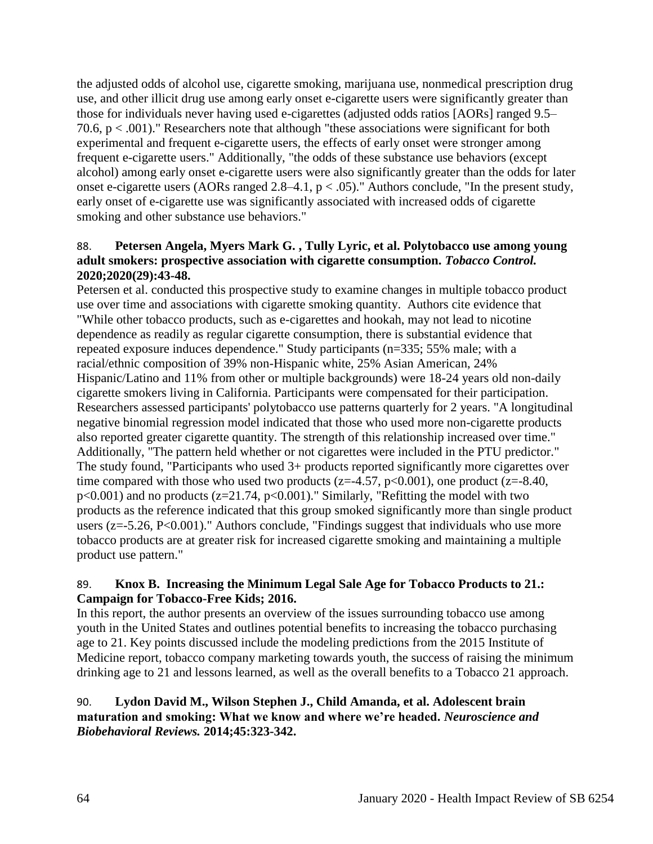the adjusted odds of alcohol use, cigarette smoking, marijuana use, nonmedical prescription drug use, and other illicit drug use among early onset e-cigarette users were significantly greater than those for individuals never having used e-cigarettes (adjusted odds ratios [AORs] ranged 9.5– 70.6, p < .001)." Researchers note that although "these associations were significant for both experimental and frequent e-cigarette users, the effects of early onset were stronger among frequent e-cigarette users." Additionally, "the odds of these substance use behaviors (except alcohol) among early onset e-cigarette users were also significantly greater than the odds for later onset e-cigarette users (AORs ranged  $2.8-4.1$ ,  $p < .05$ )." Authors conclude, "In the present study, early onset of e-cigarette use was significantly associated with increased odds of cigarette smoking and other substance use behaviors."

## 88. **Petersen Angela, Myers Mark G. , Tully Lyric, et al. Polytobacco use among young adult smokers: prospective association with cigarette consumption.** *Tobacco Control.*  **2020;2020(29):43-48.**

Petersen et al. conducted this prospective study to examine changes in multiple tobacco product use over time and associations with cigarette smoking quantity. Authors cite evidence that "While other tobacco products, such as e-cigarettes and hookah, may not lead to nicotine dependence as readily as regular cigarette consumption, there is substantial evidence that repeated exposure induces dependence." Study participants (n=335; 55% male; with a racial/ethnic composition of 39% non-Hispanic white, 25% Asian American, 24% Hispanic/Latino and 11% from other or multiple backgrounds) were 18-24 years old non-daily cigarette smokers living in California. Participants were compensated for their participation. Researchers assessed participants' polytobacco use patterns quarterly for 2 years. "A longitudinal negative binomial regression model indicated that those who used more non-cigarette products also reported greater cigarette quantity. The strength of this relationship increased over time." Additionally, "The pattern held whether or not cigarettes were included in the PTU predictor." The study found, "Participants who used 3+ products reported significantly more cigarettes over time compared with those who used two products ( $z=4.57$ ,  $p<0.001$ ), one product ( $z=8.40$ ,  $p<0.001$ ) and no products ( $z=21.74$ ,  $p<0.001$ )." Similarly, "Refitting the model with two products as the reference indicated that this group smoked significantly more than single product users ( $z = -5.26$ ,  $P < 0.001$ )." Authors conclude, "Findings suggest that individuals who use more tobacco products are at greater risk for increased cigarette smoking and maintaining a multiple product use pattern."

## 89. **Knox B. Increasing the Minimum Legal Sale Age for Tobacco Products to 21.: Campaign for Tobacco-Free Kids; 2016.**

In this report, the author presents an overview of the issues surrounding tobacco use among youth in the United States and outlines potential benefits to increasing the tobacco purchasing age to 21. Key points discussed include the modeling predictions from the 2015 Institute of Medicine report, tobacco company marketing towards youth, the success of raising the minimum drinking age to 21 and lessons learned, as well as the overall benefits to a Tobacco 21 approach.

## 90. **Lydon David M., Wilson Stephen J., Child Amanda, et al. Adolescent brain maturation and smoking: What we know and where we're headed.** *Neuroscience and Biobehavioral Reviews.* **2014;45:323-342.**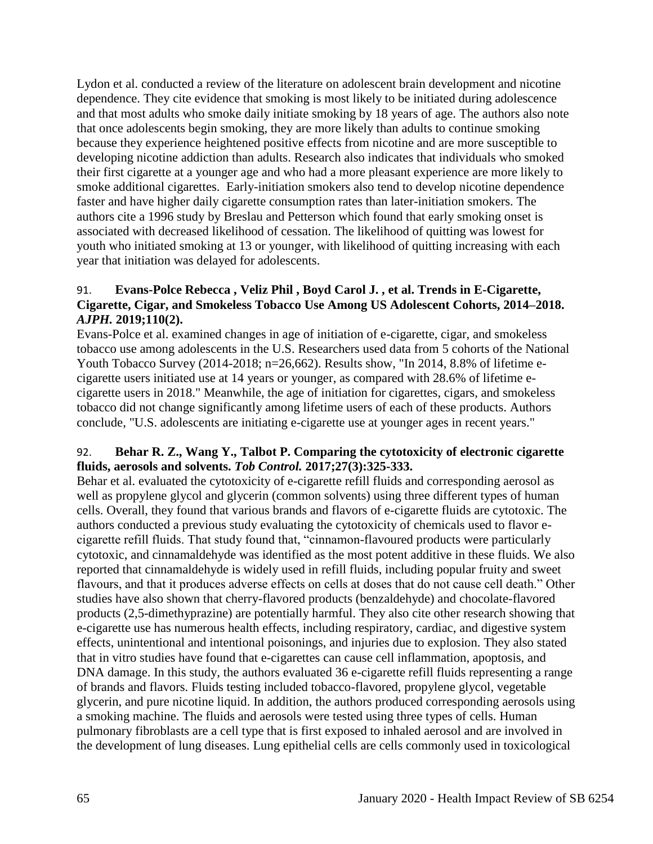Lydon et al. conducted a review of the literature on adolescent brain development and nicotine dependence. They cite evidence that smoking is most likely to be initiated during adolescence and that most adults who smoke daily initiate smoking by 18 years of age. The authors also note that once adolescents begin smoking, they are more likely than adults to continue smoking because they experience heightened positive effects from nicotine and are more susceptible to developing nicotine addiction than adults. Research also indicates that individuals who smoked their first cigarette at a younger age and who had a more pleasant experience are more likely to smoke additional cigarettes. Early-initiation smokers also tend to develop nicotine dependence faster and have higher daily cigarette consumption rates than later-initiation smokers. The authors cite a 1996 study by Breslau and Petterson which found that early smoking onset is associated with decreased likelihood of cessation. The likelihood of quitting was lowest for youth who initiated smoking at 13 or younger, with likelihood of quitting increasing with each year that initiation was delayed for adolescents.

## 91. **Evans-Polce Rebecca , Veliz Phil , Boyd Carol J. , et al. Trends in E-Cigarette, Cigarette, Cigar, and Smokeless Tobacco Use Among US Adolescent Cohorts, 2014–2018.**  *AJPH.* **2019;110(2).**

Evans-Polce et al. examined changes in age of initiation of e-cigarette, cigar, and smokeless tobacco use among adolescents in the U.S. Researchers used data from 5 cohorts of the National Youth Tobacco Survey (2014-2018; n=26,662). Results show, "In 2014, 8.8% of lifetime ecigarette users initiated use at 14 years or younger, as compared with 28.6% of lifetime ecigarette users in 2018." Meanwhile, the age of initiation for cigarettes, cigars, and smokeless tobacco did not change significantly among lifetime users of each of these products. Authors conclude, "U.S. adolescents are initiating e-cigarette use at younger ages in recent years."

## 92. **Behar R. Z., Wang Y., Talbot P. Comparing the cytotoxicity of electronic cigarette fluids, aerosols and solvents.** *Tob Control.* **2017;27(3):325-333.**

Behar et al. evaluated the cytotoxicity of e-cigarette refill fluids and corresponding aerosol as well as propylene glycol and glycerin (common solvents) using three different types of human cells. Overall, they found that various brands and flavors of e-cigarette fluids are cytotoxic. The authors conducted a previous study evaluating the cytotoxicity of chemicals used to flavor ecigarette refill fluids. That study found that, "cinnamon-flavoured products were particularly cytotoxic, and cinnamaldehyde was identified as the most potent additive in these fluids. We also reported that cinnamaldehyde is widely used in refill fluids, including popular fruity and sweet flavours, and that it produces adverse effects on cells at doses that do not cause cell death." Other studies have also shown that cherry-flavored products (benzaldehyde) and chocolate-flavored products (2,5-dimethyprazine) are potentially harmful. They also cite other research showing that e-cigarette use has numerous health effects, including respiratory, cardiac, and digestive system effects, unintentional and intentional poisonings, and injuries due to explosion. They also stated that in vitro studies have found that e-cigarettes can cause cell inflammation, apoptosis, and DNA damage. In this study, the authors evaluated 36 e-cigarette refill fluids representing a range of brands and flavors. Fluids testing included tobacco-flavored, propylene glycol, vegetable glycerin, and pure nicotine liquid. In addition, the authors produced corresponding aerosols using a smoking machine. The fluids and aerosols were tested using three types of cells. Human pulmonary fibroblasts are a cell type that is first exposed to inhaled aerosol and are involved in the development of lung diseases. Lung epithelial cells are cells commonly used in toxicological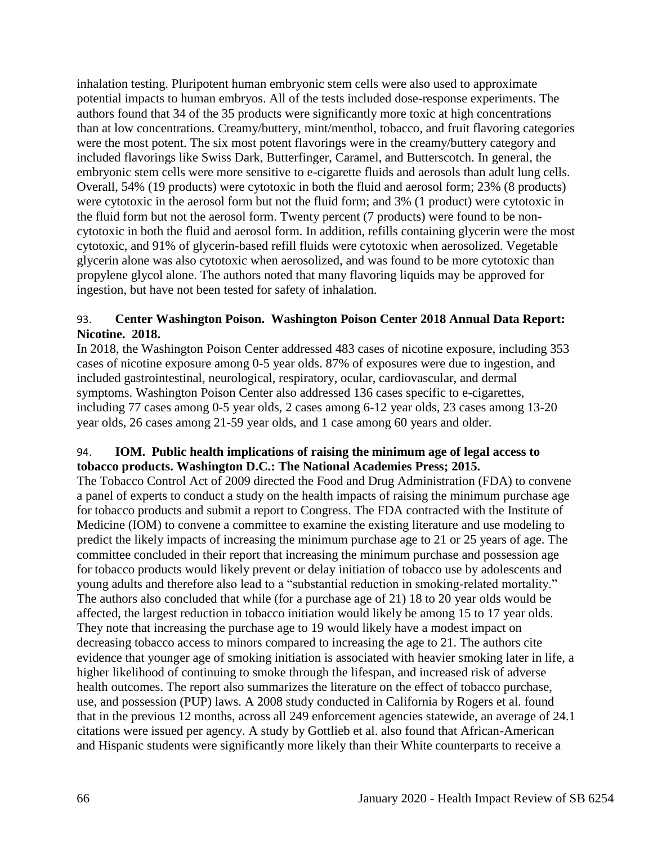inhalation testing. Pluripotent human embryonic stem cells were also used to approximate potential impacts to human embryos. All of the tests included dose-response experiments. The authors found that 34 of the 35 products were significantly more toxic at high concentrations than at low concentrations. Creamy/buttery, mint/menthol, tobacco, and fruit flavoring categories were the most potent. The six most potent flavorings were in the creamy/buttery category and included flavorings like Swiss Dark, Butterfinger, Caramel, and Butterscotch. In general, the embryonic stem cells were more sensitive to e-cigarette fluids and aerosols than adult lung cells. Overall, 54% (19 products) were cytotoxic in both the fluid and aerosol form; 23% (8 products) were cytotoxic in the aerosol form but not the fluid form; and 3% (1 product) were cytotoxic in the fluid form but not the aerosol form. Twenty percent (7 products) were found to be noncytotoxic in both the fluid and aerosol form. In addition, refills containing glycerin were the most cytotoxic, and 91% of glycerin-based refill fluids were cytotoxic when aerosolized. Vegetable glycerin alone was also cytotoxic when aerosolized, and was found to be more cytotoxic than propylene glycol alone. The authors noted that many flavoring liquids may be approved for ingestion, but have not been tested for safety of inhalation.

## 93. **Center Washington Poison. Washington Poison Center 2018 Annual Data Report: Nicotine. 2018.**

In 2018, the Washington Poison Center addressed 483 cases of nicotine exposure, including 353 cases of nicotine exposure among 0-5 year olds. 87% of exposures were due to ingestion, and included gastrointestinal, neurological, respiratory, ocular, cardiovascular, and dermal symptoms. Washington Poison Center also addressed 136 cases specific to e-cigarettes, including 77 cases among 0-5 year olds, 2 cases among 6-12 year olds, 23 cases among 13-20 year olds, 26 cases among 21-59 year olds, and 1 case among 60 years and older.

# 94. **IOM. Public health implications of raising the minimum age of legal access to tobacco products. Washington D.C.: The National Academies Press; 2015.**

The Tobacco Control Act of 2009 directed the Food and Drug Administration (FDA) to convene a panel of experts to conduct a study on the health impacts of raising the minimum purchase age for tobacco products and submit a report to Congress. The FDA contracted with the Institute of Medicine (IOM) to convene a committee to examine the existing literature and use modeling to predict the likely impacts of increasing the minimum purchase age to 21 or 25 years of age. The committee concluded in their report that increasing the minimum purchase and possession age for tobacco products would likely prevent or delay initiation of tobacco use by adolescents and young adults and therefore also lead to a "substantial reduction in smoking-related mortality." The authors also concluded that while (for a purchase age of 21) 18 to 20 year olds would be affected, the largest reduction in tobacco initiation would likely be among 15 to 17 year olds. They note that increasing the purchase age to 19 would likely have a modest impact on decreasing tobacco access to minors compared to increasing the age to 21. The authors cite evidence that younger age of smoking initiation is associated with heavier smoking later in life, a higher likelihood of continuing to smoke through the lifespan, and increased risk of adverse health outcomes. The report also summarizes the literature on the effect of tobacco purchase, use, and possession (PUP) laws. A 2008 study conducted in California by Rogers et al. found that in the previous 12 months, across all 249 enforcement agencies statewide, an average of 24.1 citations were issued per agency. A study by Gottlieb et al. also found that African-American and Hispanic students were significantly more likely than their White counterparts to receive a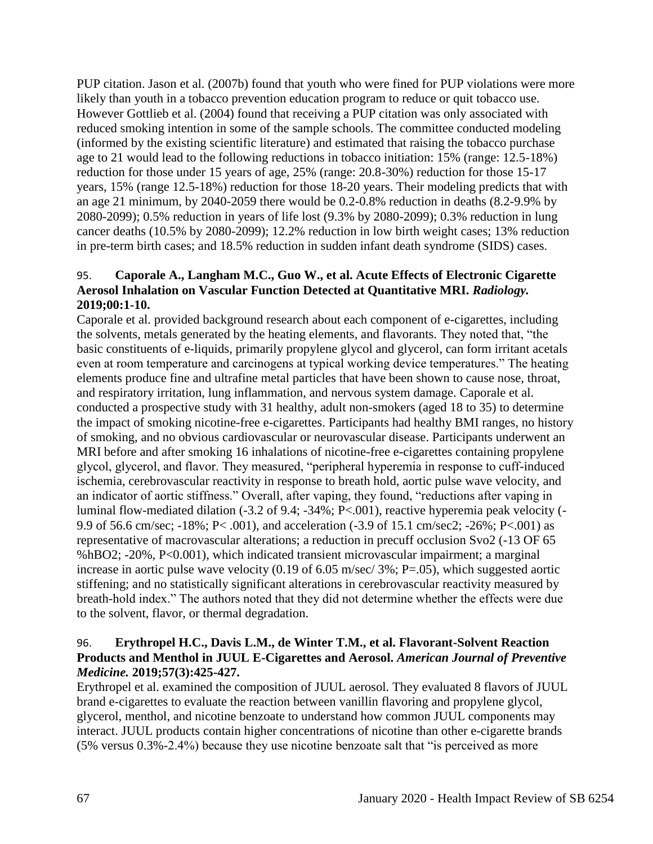PUP citation. Jason et al. (2007b) found that youth who were fined for PUP violations were more likely than youth in a tobacco prevention education program to reduce or quit tobacco use. However Gottlieb et al. (2004) found that receiving a PUP citation was only associated with reduced smoking intention in some of the sample schools. The committee conducted modeling (informed by the existing scientific literature) and estimated that raising the tobacco purchase age to 21 would lead to the following reductions in tobacco initiation: 15% (range: 12.5-18%) reduction for those under 15 years of age, 25% (range: 20.8-30%) reduction for those 15-17 years, 15% (range 12.5-18%) reduction for those 18-20 years. Their modeling predicts that with an age 21 minimum, by 2040-2059 there would be 0.2-0.8% reduction in deaths (8.2-9.9% by 2080-2099); 0.5% reduction in years of life lost (9.3% by 2080-2099); 0.3% reduction in lung cancer deaths (10.5% by 2080-2099); 12.2% reduction in low birth weight cases; 13% reduction in pre-term birth cases; and 18.5% reduction in sudden infant death syndrome (SIDS) cases.

## 95. **Caporale A., Langham M.C., Guo W., et al. Acute Effects of Electronic Cigarette Aerosol Inhalation on Vascular Function Detected at Quantitative MRI.** *Radiology.*  **2019;00:1-10.**

Caporale et al. provided background research about each component of e-cigarettes, including the solvents, metals generated by the heating elements, and flavorants. They noted that, "the basic constituents of e-liquids, primarily propylene glycol and glycerol, can form irritant acetals even at room temperature and carcinogens at typical working device temperatures." The heating elements produce fine and ultrafine metal particles that have been shown to cause nose, throat, and respiratory irritation, lung inflammation, and nervous system damage. Caporale et al. conducted a prospective study with 31 healthy, adult non-smokers (aged 18 to 35) to determine the impact of smoking nicotine-free e-cigarettes. Participants had healthy BMI ranges, no history of smoking, and no obvious cardiovascular or neurovascular disease. Participants underwent an MRI before and after smoking 16 inhalations of nicotine-free e-cigarettes containing propylene glycol, glycerol, and flavor. They measured, "peripheral hyperemia in response to cuff-induced ischemia, cerebrovascular reactivity in response to breath hold, aortic pulse wave velocity, and an indicator of aortic stiffness." Overall, after vaping, they found, "reductions after vaping in luminal flow-mediated dilation (-3.2 of 9.4; -34%; P<.001), reactive hyperemia peak velocity (- 9.9 of 56.6 cm/sec; -18%; P< .001), and acceleration (-3.9 of 15.1 cm/sec2; -26%; P<.001) as representative of macrovascular alterations; a reduction in precuff occlusion Svo2 (-13 OF 65 %hBO2; -20%, P<0.001), which indicated transient microvascular impairment; a marginal increase in aortic pulse wave velocity (0.19 of 6.05 m/sec/ 3%; P=.05), which suggested aortic stiffening; and no statistically significant alterations in cerebrovascular reactivity measured by breath-hold index." The authors noted that they did not determine whether the effects were due to the solvent, flavor, or thermal degradation.

## 96. **Erythropel H.C., Davis L.M., de Winter T.M., et al. Flavorant-Solvent Reaction Products and Menthol in JUUL E-Cigarettes and Aerosol.** *American Journal of Preventive Medicine.* **2019;57(3):425-427.**

Erythropel et al. examined the composition of JUUL aerosol. They evaluated 8 flavors of JUUL brand e-cigarettes to evaluate the reaction between vanillin flavoring and propylene glycol, glycerol, menthol, and nicotine benzoate to understand how common JUUL components may interact. JUUL products contain higher concentrations of nicotine than other e-cigarette brands (5% versus 0.3%-2.4%) because they use nicotine benzoate salt that "is perceived as more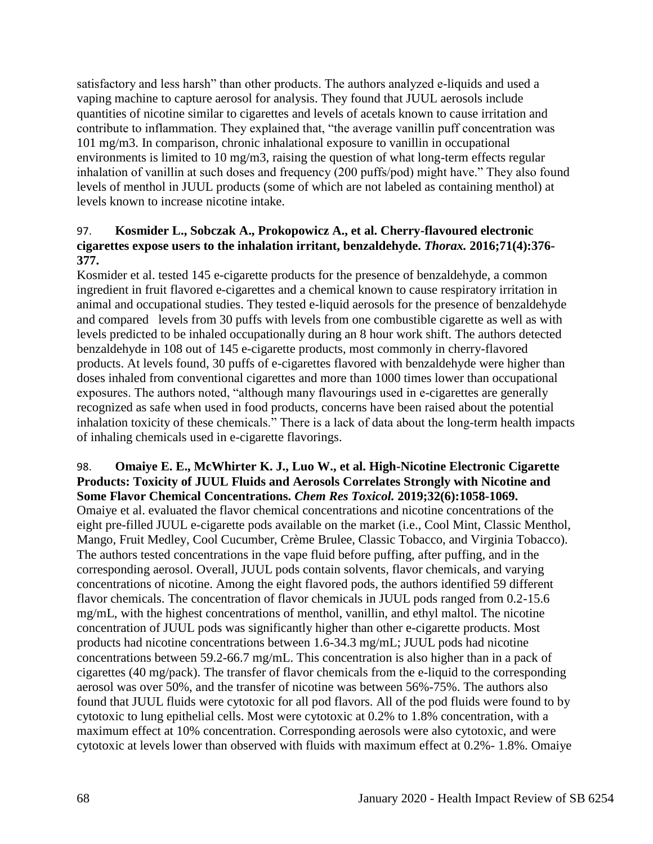satisfactory and less harsh" than other products. The authors analyzed e-liquids and used a vaping machine to capture aerosol for analysis. They found that JUUL aerosols include quantities of nicotine similar to cigarettes and levels of acetals known to cause irritation and contribute to inflammation. They explained that, "the average vanillin puff concentration was 101 mg/m3. In comparison, chronic inhalational exposure to vanillin in occupational environments is limited to 10 mg/m3, raising the question of what long-term effects regular inhalation of vanillin at such doses and frequency (200 puffs/pod) might have." They also found levels of menthol in JUUL products (some of which are not labeled as containing menthol) at levels known to increase nicotine intake.

## 97. **Kosmider L., Sobczak A., Prokopowicz A., et al. Cherry-flavoured electronic cigarettes expose users to the inhalation irritant, benzaldehyde.** *Thorax.* **2016;71(4):376- 377.**

Kosmider et al. tested 145 e-cigarette products for the presence of benzaldehyde, a common ingredient in fruit flavored e-cigarettes and a chemical known to cause respiratory irritation in animal and occupational studies. They tested e-liquid aerosols for the presence of benzaldehyde and compared levels from 30 puffs with levels from one combustible cigarette as well as with levels predicted to be inhaled occupationally during an 8 hour work shift. The authors detected benzaldehyde in 108 out of 145 e-cigarette products, most commonly in cherry-flavored products. At levels found, 30 puffs of e-cigarettes flavored with benzaldehyde were higher than doses inhaled from conventional cigarettes and more than 1000 times lower than occupational exposures. The authors noted, "although many flavourings used in e-cigarettes are generally recognized as safe when used in food products, concerns have been raised about the potential inhalation toxicity of these chemicals." There is a lack of data about the long-term health impacts of inhaling chemicals used in e-cigarette flavorings.

#### 98. **Omaiye E. E., McWhirter K. J., Luo W., et al. High-Nicotine Electronic Cigarette Products: Toxicity of JUUL Fluids and Aerosols Correlates Strongly with Nicotine and Some Flavor Chemical Concentrations.** *Chem Res Toxicol.* **2019;32(6):1058-1069.**

Omaiye et al. evaluated the flavor chemical concentrations and nicotine concentrations of the eight pre-filled JUUL e-cigarette pods available on the market (i.e., Cool Mint, Classic Menthol, Mango, Fruit Medley, Cool Cucumber, Crème Brulee, Classic Tobacco, and Virginia Tobacco). The authors tested concentrations in the vape fluid before puffing, after puffing, and in the corresponding aerosol. Overall, JUUL pods contain solvents, flavor chemicals, and varying concentrations of nicotine. Among the eight flavored pods, the authors identified 59 different flavor chemicals. The concentration of flavor chemicals in JUUL pods ranged from 0.2-15.6 mg/mL, with the highest concentrations of menthol, vanillin, and ethyl maltol. The nicotine concentration of JUUL pods was significantly higher than other e-cigarette products. Most products had nicotine concentrations between 1.6-34.3 mg/mL; JUUL pods had nicotine concentrations between 59.2-66.7 mg/mL. This concentration is also higher than in a pack of cigarettes (40 mg/pack). The transfer of flavor chemicals from the e-liquid to the corresponding aerosol was over 50%, and the transfer of nicotine was between 56%-75%. The authors also found that JUUL fluids were cytotoxic for all pod flavors. All of the pod fluids were found to by cytotoxic to lung epithelial cells. Most were cytotoxic at 0.2% to 1.8% concentration, with a maximum effect at 10% concentration. Corresponding aerosols were also cytotoxic, and were cytotoxic at levels lower than observed with fluids with maximum effect at 0.2%- 1.8%. Omaiye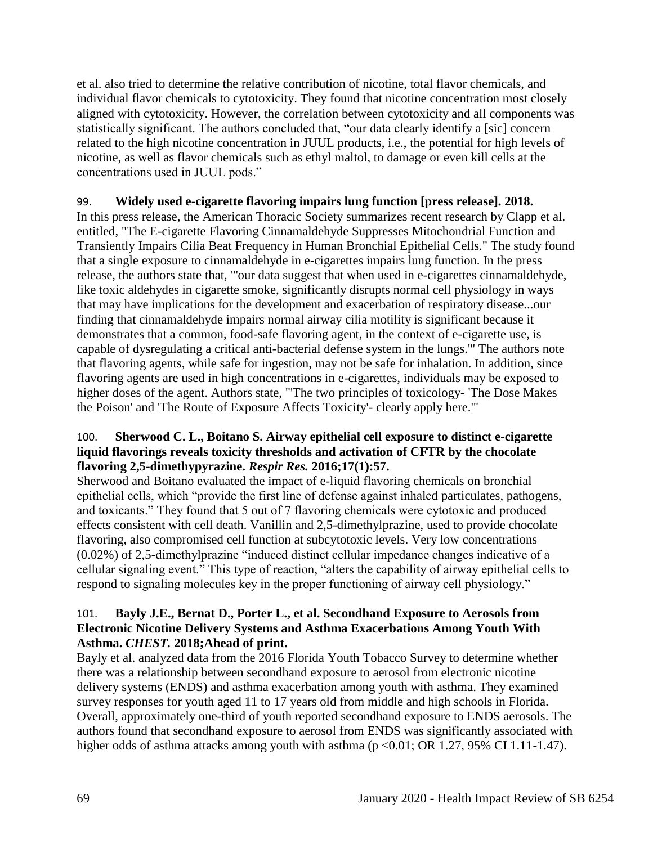et al. also tried to determine the relative contribution of nicotine, total flavor chemicals, and individual flavor chemicals to cytotoxicity. They found that nicotine concentration most closely aligned with cytotoxicity. However, the correlation between cytotoxicity and all components was statistically significant. The authors concluded that, "our data clearly identify a [sic] concern related to the high nicotine concentration in JUUL products, i.e., the potential for high levels of nicotine, as well as flavor chemicals such as ethyl maltol, to damage or even kill cells at the concentrations used in JUUL pods."

## 99. **Widely used e-cigarette flavoring impairs lung function [press release]. 2018.**

In this press release, the American Thoracic Society summarizes recent research by Clapp et al. entitled, "The E-cigarette Flavoring Cinnamaldehyde Suppresses Mitochondrial Function and Transiently Impairs Cilia Beat Frequency in Human Bronchial Epithelial Cells." The study found that a single exposure to cinnamaldehyde in e-cigarettes impairs lung function. In the press release, the authors state that, "'our data suggest that when used in e-cigarettes cinnamaldehyde, like toxic aldehydes in cigarette smoke, significantly disrupts normal cell physiology in ways that may have implications for the development and exacerbation of respiratory disease...our finding that cinnamaldehyde impairs normal airway cilia motility is significant because it demonstrates that a common, food-safe flavoring agent, in the context of e-cigarette use, is capable of dysregulating a critical anti-bacterial defense system in the lungs.'" The authors note that flavoring agents, while safe for ingestion, may not be safe for inhalation. In addition, since flavoring agents are used in high concentrations in e-cigarettes, individuals may be exposed to higher doses of the agent. Authors state, "'The two principles of toxicology- 'The Dose Makes the Poison' and 'The Route of Exposure Affects Toxicity'- clearly apply here.'"

## 100. **Sherwood C. L., Boitano S. Airway epithelial cell exposure to distinct e-cigarette liquid flavorings reveals toxicity thresholds and activation of CFTR by the chocolate flavoring 2,5-dimethypyrazine.** *Respir Res.* **2016;17(1):57.**

Sherwood and Boitano evaluated the impact of e-liquid flavoring chemicals on bronchial epithelial cells, which "provide the first line of defense against inhaled particulates, pathogens, and toxicants." They found that 5 out of 7 flavoring chemicals were cytotoxic and produced effects consistent with cell death. Vanillin and 2,5-dimethylprazine, used to provide chocolate flavoring, also compromised cell function at subcytotoxic levels. Very low concentrations (0.02%) of 2,5-dimethylprazine "induced distinct cellular impedance changes indicative of a cellular signaling event." This type of reaction, "alters the capability of airway epithelial cells to respond to signaling molecules key in the proper functioning of airway cell physiology."

#### 101. **Bayly J.E., Bernat D., Porter L., et al. Secondhand Exposure to Aerosols from Electronic Nicotine Delivery Systems and Asthma Exacerbations Among Youth With Asthma.** *CHEST.* **2018;Ahead of print.**

Bayly et al. analyzed data from the 2016 Florida Youth Tobacco Survey to determine whether there was a relationship between secondhand exposure to aerosol from electronic nicotine delivery systems (ENDS) and asthma exacerbation among youth with asthma. They examined survey responses for youth aged 11 to 17 years old from middle and high schools in Florida. Overall, approximately one-third of youth reported secondhand exposure to ENDS aerosols. The authors found that secondhand exposure to aerosol from ENDS was significantly associated with higher odds of asthma attacks among youth with asthma  $(p < 0.01$ ; OR 1.27, 95% CI 1.11-1.47).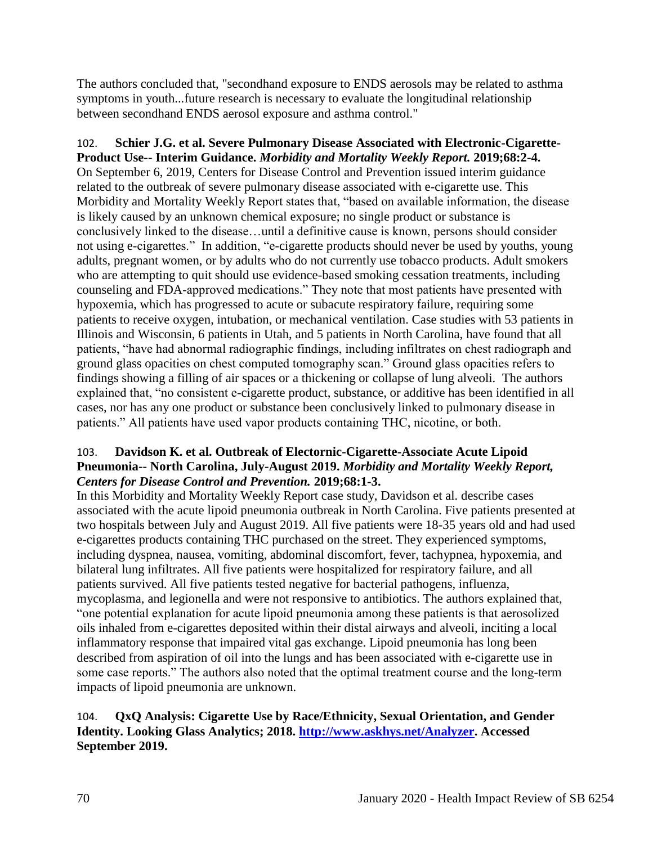The authors concluded that, "secondhand exposure to ENDS aerosols may be related to asthma symptoms in youth...future research is necessary to evaluate the longitudinal relationship between secondhand ENDS aerosol exposure and asthma control."

102. **Schier J.G. et al. Severe Pulmonary Disease Associated with Electronic-Cigarette-Product Use-- Interim Guidance.** *Morbidity and Mortality Weekly Report.* **2019;68:2-4.** On September 6, 2019, Centers for Disease Control and Prevention issued interim guidance related to the outbreak of severe pulmonary disease associated with e-cigarette use. This Morbidity and Mortality Weekly Report states that, "based on available information, the disease is likely caused by an unknown chemical exposure; no single product or substance is conclusively linked to the disease…until a definitive cause is known, persons should consider not using e-cigarettes." In addition, "e-cigarette products should never be used by youths, young adults, pregnant women, or by adults who do not currently use tobacco products. Adult smokers who are attempting to quit should use evidence-based smoking cessation treatments, including counseling and FDA-approved medications." They note that most patients have presented with hypoxemia, which has progressed to acute or subacute respiratory failure, requiring some patients to receive oxygen, intubation, or mechanical ventilation. Case studies with 53 patients in Illinois and Wisconsin, 6 patients in Utah, and 5 patients in North Carolina, have found that all patients, "have had abnormal radiographic findings, including infiltrates on chest radiograph and ground glass opacities on chest computed tomography scan." Ground glass opacities refers to findings showing a filling of air spaces or a thickening or collapse of lung alveoli. The authors explained that, "no consistent e-cigarette product, substance, or additive has been identified in all cases, nor has any one product or substance been conclusively linked to pulmonary disease in patients." All patients have used vapor products containing THC, nicotine, or both.

# 103. **Davidson K. et al. Outbreak of Electornic-Cigarette-Associate Acute Lipoid Pneumonia-- North Carolina, July-August 2019.** *Morbidity and Mortality Weekly Report, Centers for Disease Control and Prevention.* **2019;68:1-3.**

In this Morbidity and Mortality Weekly Report case study, Davidson et al. describe cases associated with the acute lipoid pneumonia outbreak in North Carolina. Five patients presented at two hospitals between July and August 2019. All five patients were 18-35 years old and had used e-cigarettes products containing THC purchased on the street. They experienced symptoms, including dyspnea, nausea, vomiting, abdominal discomfort, fever, tachypnea, hypoxemia, and bilateral lung infiltrates. All five patients were hospitalized for respiratory failure, and all patients survived. All five patients tested negative for bacterial pathogens, influenza, mycoplasma, and legionella and were not responsive to antibiotics. The authors explained that, "one potential explanation for acute lipoid pneumonia among these patients is that aerosolized oils inhaled from e-cigarettes deposited within their distal airways and alveoli, inciting a local inflammatory response that impaired vital gas exchange. Lipoid pneumonia has long been described from aspiration of oil into the lungs and has been associated with e-cigarette use in some case reports." The authors also noted that the optimal treatment course and the long-term impacts of lipoid pneumonia are unknown.

# 104. **QxQ Analysis: Cigarette Use by Race/Ethnicity, Sexual Orientation, and Gender Identity. Looking Glass Analytics; 2018. [http://www.askhys.net/Analyzer.](http://www.askhys.net/Analyzer) Accessed September 2019.**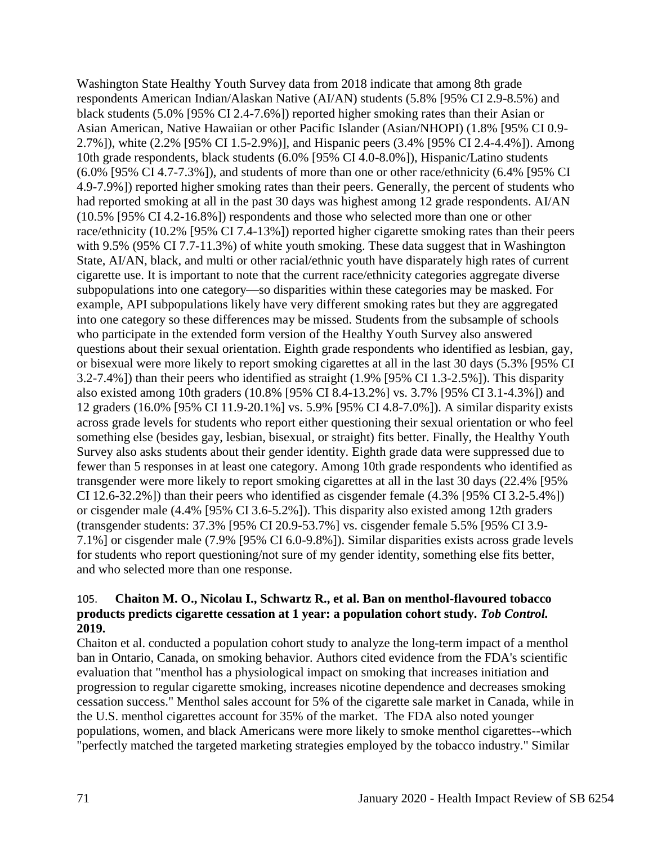Washington State Healthy Youth Survey data from 2018 indicate that among 8th grade respondents American Indian/Alaskan Native (AI/AN) students (5.8% [95% CI 2.9-8.5%) and black students (5.0% [95% CI 2.4-7.6%]) reported higher smoking rates than their Asian or Asian American, Native Hawaiian or other Pacific Islander (Asian/NHOPI) (1.8% [95% CI 0.9- 2.7%]), white (2.2% [95% CI 1.5-2.9%)], and Hispanic peers (3.4% [95% CI 2.4-4.4%]). Among 10th grade respondents, black students (6.0% [95% CI 4.0-8.0%]), Hispanic/Latino students (6.0% [95% CI 4.7-7.3%]), and students of more than one or other race/ethnicity (6.4% [95% CI 4.9-7.9%]) reported higher smoking rates than their peers. Generally, the percent of students who had reported smoking at all in the past 30 days was highest among 12 grade respondents. AI/AN (10.5% [95% CI 4.2-16.8%]) respondents and those who selected more than one or other race/ethnicity (10.2% [95% CI 7.4-13%]) reported higher cigarette smoking rates than their peers with 9.5% (95% CI 7.7-11.3%) of white youth smoking. These data suggest that in Washington State, AI/AN, black, and multi or other racial/ethnic youth have disparately high rates of current cigarette use. It is important to note that the current race/ethnicity categories aggregate diverse subpopulations into one category—so disparities within these categories may be masked. For example, API subpopulations likely have very different smoking rates but they are aggregated into one category so these differences may be missed. Students from the subsample of schools who participate in the extended form version of the Healthy Youth Survey also answered questions about their sexual orientation. Eighth grade respondents who identified as lesbian, gay, or bisexual were more likely to report smoking cigarettes at all in the last 30 days (5.3% [95% CI 3.2-7.4%]) than their peers who identified as straight (1.9% [95% CI 1.3-2.5%]). This disparity also existed among 10th graders (10.8% [95% CI 8.4-13.2%] vs. 3.7% [95% CI 3.1-4.3%]) and 12 graders (16.0% [95% CI 11.9-20.1%] vs. 5.9% [95% CI 4.8-7.0%]). A similar disparity exists across grade levels for students who report either questioning their sexual orientation or who feel something else (besides gay, lesbian, bisexual, or straight) fits better. Finally, the Healthy Youth Survey also asks students about their gender identity. Eighth grade data were suppressed due to fewer than 5 responses in at least one category. Among 10th grade respondents who identified as transgender were more likely to report smoking cigarettes at all in the last 30 days (22.4% [95% CI 12.6-32.2%]) than their peers who identified as cisgender female (4.3% [95% CI 3.2-5.4%]) or cisgender male (4.4% [95% CI 3.6-5.2%]). This disparity also existed among 12th graders (transgender students: 37.3% [95% CI 20.9-53.7%] vs. cisgender female 5.5% [95% CI 3.9- 7.1%] or cisgender male (7.9% [95% CI 6.0-9.8%]). Similar disparities exists across grade levels for students who report questioning/not sure of my gender identity, something else fits better, and who selected more than one response.

## 105. **Chaiton M. O., Nicolau I., Schwartz R., et al. Ban on menthol-flavoured tobacco products predicts cigarette cessation at 1 year: a population cohort study.** *Tob Control.*  **2019.**

Chaiton et al. conducted a population cohort study to analyze the long-term impact of a menthol ban in Ontario, Canada, on smoking behavior. Authors cited evidence from the FDA's scientific evaluation that "menthol has a physiological impact on smoking that increases initiation and progression to regular cigarette smoking, increases nicotine dependence and decreases smoking cessation success." Menthol sales account for 5% of the cigarette sale market in Canada, while in the U.S. menthol cigarettes account for 35% of the market. The FDA also noted younger populations, women, and black Americans were more likely to smoke menthol cigarettes--which "perfectly matched the targeted marketing strategies employed by the tobacco industry." Similar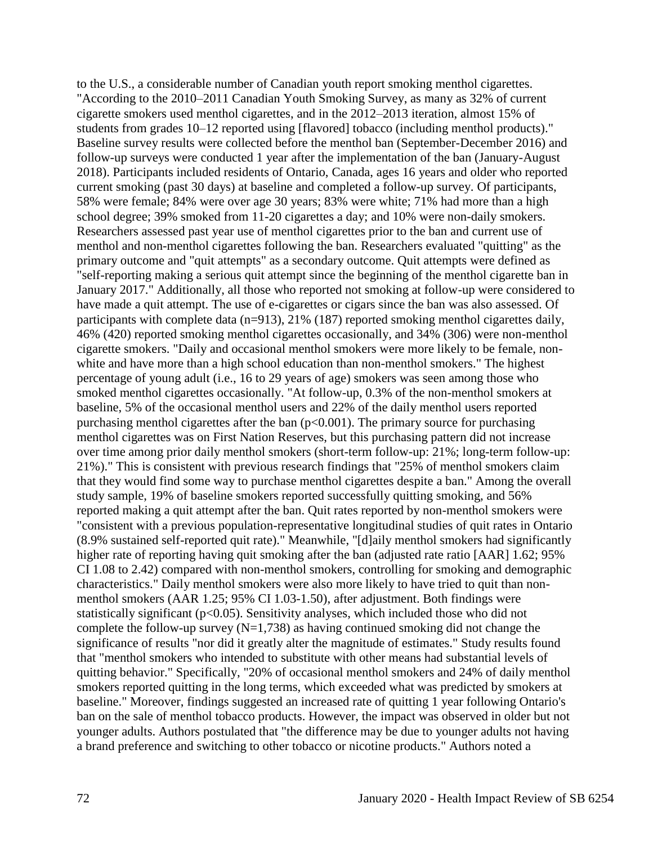to the U.S., a considerable number of Canadian youth report smoking menthol cigarettes. "According to the 2010–2011 Canadian Youth Smoking Survey, as many as 32% of current cigarette smokers used menthol cigarettes, and in the 2012–2013 iteration, almost 15% of students from grades 10–12 reported using [flavored] tobacco (including menthol products)." Baseline survey results were collected before the menthol ban (September-December 2016) and follow-up surveys were conducted 1 year after the implementation of the ban (January-August 2018). Participants included residents of Ontario, Canada, ages 16 years and older who reported current smoking (past 30 days) at baseline and completed a follow-up survey. Of participants, 58% were female; 84% were over age 30 years; 83% were white; 71% had more than a high school degree; 39% smoked from 11-20 cigarettes a day; and 10% were non-daily smokers. Researchers assessed past year use of menthol cigarettes prior to the ban and current use of menthol and non-menthol cigarettes following the ban. Researchers evaluated "quitting" as the primary outcome and "quit attempts" as a secondary outcome. Quit attempts were defined as "self-reporting making a serious quit attempt since the beginning of the menthol cigarette ban in January 2017." Additionally, all those who reported not smoking at follow-up were considered to have made a quit attempt. The use of e-cigarettes or cigars since the ban was also assessed. Of participants with complete data (n=913), 21% (187) reported smoking menthol cigarettes daily, 46% (420) reported smoking menthol cigarettes occasionally, and 34% (306) were non-menthol cigarette smokers. "Daily and occasional menthol smokers were more likely to be female, nonwhite and have more than a high school education than non-menthol smokers." The highest percentage of young adult (i.e., 16 to 29 years of age) smokers was seen among those who smoked menthol cigarettes occasionally. "At follow-up, 0.3% of the non-menthol smokers at baseline, 5% of the occasional menthol users and 22% of the daily menthol users reported purchasing menthol cigarettes after the ban  $(p<0.001)$ . The primary source for purchasing menthol cigarettes was on First Nation Reserves, but this purchasing pattern did not increase over time among prior daily menthol smokers (short-term follow-up: 21%; long-term follow-up: 21%)." This is consistent with previous research findings that "25% of menthol smokers claim that they would find some way to purchase menthol cigarettes despite a ban." Among the overall study sample, 19% of baseline smokers reported successfully quitting smoking, and 56% reported making a quit attempt after the ban. Quit rates reported by non-menthol smokers were "consistent with a previous population-representative longitudinal studies of quit rates in Ontario (8.9% sustained self-reported quit rate)." Meanwhile, "[d]aily menthol smokers had significantly higher rate of reporting having quit smoking after the ban (adjusted rate ratio [AAR] 1.62; 95% CI 1.08 to 2.42) compared with non-menthol smokers, controlling for smoking and demographic characteristics." Daily menthol smokers were also more likely to have tried to quit than nonmenthol smokers (AAR 1.25; 95% CI 1.03-1.50), after adjustment. Both findings were statistically significant ( $p<0.05$ ). Sensitivity analyses, which included those who did not complete the follow-up survey  $(N=1,738)$  as having continued smoking did not change the significance of results "nor did it greatly alter the magnitude of estimates." Study results found that "menthol smokers who intended to substitute with other means had substantial levels of quitting behavior." Specifically, "20% of occasional menthol smokers and 24% of daily menthol smokers reported quitting in the long terms, which exceeded what was predicted by smokers at baseline." Moreover, findings suggested an increased rate of quitting 1 year following Ontario's ban on the sale of menthol tobacco products. However, the impact was observed in older but not younger adults. Authors postulated that "the difference may be due to younger adults not having a brand preference and switching to other tobacco or nicotine products." Authors noted a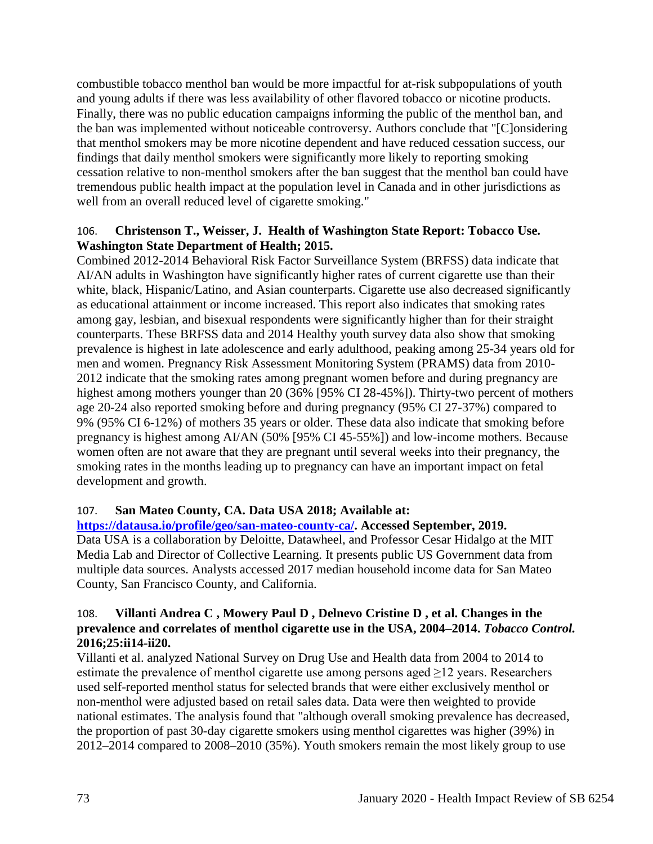combustible tobacco menthol ban would be more impactful for at-risk subpopulations of youth and young adults if there was less availability of other flavored tobacco or nicotine products. Finally, there was no public education campaigns informing the public of the menthol ban, and the ban was implemented without noticeable controversy. Authors conclude that "[C]onsidering that menthol smokers may be more nicotine dependent and have reduced cessation success, our findings that daily menthol smokers were significantly more likely to reporting smoking cessation relative to non-menthol smokers after the ban suggest that the menthol ban could have tremendous public health impact at the population level in Canada and in other jurisdictions as well from an overall reduced level of cigarette smoking."

## 106. **Christenson T., Weisser, J. Health of Washington State Report: Tobacco Use. Washington State Department of Health; 2015.**

Combined 2012-2014 Behavioral Risk Factor Surveillance System (BRFSS) data indicate that AI/AN adults in Washington have significantly higher rates of current cigarette use than their white, black, Hispanic/Latino, and Asian counterparts. Cigarette use also decreased significantly as educational attainment or income increased. This report also indicates that smoking rates among gay, lesbian, and bisexual respondents were significantly higher than for their straight counterparts. These BRFSS data and 2014 Healthy youth survey data also show that smoking prevalence is highest in late adolescence and early adulthood, peaking among 25-34 years old for men and women. Pregnancy Risk Assessment Monitoring System (PRAMS) data from 2010- 2012 indicate that the smoking rates among pregnant women before and during pregnancy are highest among mothers younger than 20 (36% [95% CI 28-45%]). Thirty-two percent of mothers age 20-24 also reported smoking before and during pregnancy (95% CI 27-37%) compared to 9% (95% CI 6-12%) of mothers 35 years or older. These data also indicate that smoking before pregnancy is highest among AI/AN (50% [95% CI 45-55%]) and low-income mothers. Because women often are not aware that they are pregnant until several weeks into their pregnancy, the smoking rates in the months leading up to pregnancy can have an important impact on fetal development and growth.

## 107. **San Mateo County, CA. Data USA 2018; Available at:**

## **[https://datausa.io/profile/geo/san-mateo-county-ca/.](https://datausa.io/profile/geo/san-mateo-county-ca/) Accessed September, 2019.**

Data USA is a collaboration by Deloitte, Datawheel, and Professor Cesar Hidalgo at the MIT Media Lab and Director of Collective Learning. It presents public US Government data from multiple data sources. Analysts accessed 2017 median household income data for San Mateo County, San Francisco County, and California.

#### 108. **Villanti Andrea C , Mowery Paul D , Delnevo Cristine D , et al. Changes in the prevalence and correlates of menthol cigarette use in the USA, 2004–2014.** *Tobacco Control.*  **2016;25:ii14-ii20.**

Villanti et al. analyzed National Survey on Drug Use and Health data from 2004 to 2014 to estimate the prevalence of menthol cigarette use among persons aged  $\geq$ 12 years. Researchers used self-reported menthol status for selected brands that were either exclusively menthol or non-menthol were adjusted based on retail sales data. Data were then weighted to provide national estimates. The analysis found that "although overall smoking prevalence has decreased, the proportion of past 30-day cigarette smokers using menthol cigarettes was higher (39%) in 2012–2014 compared to 2008–2010 (35%). Youth smokers remain the most likely group to use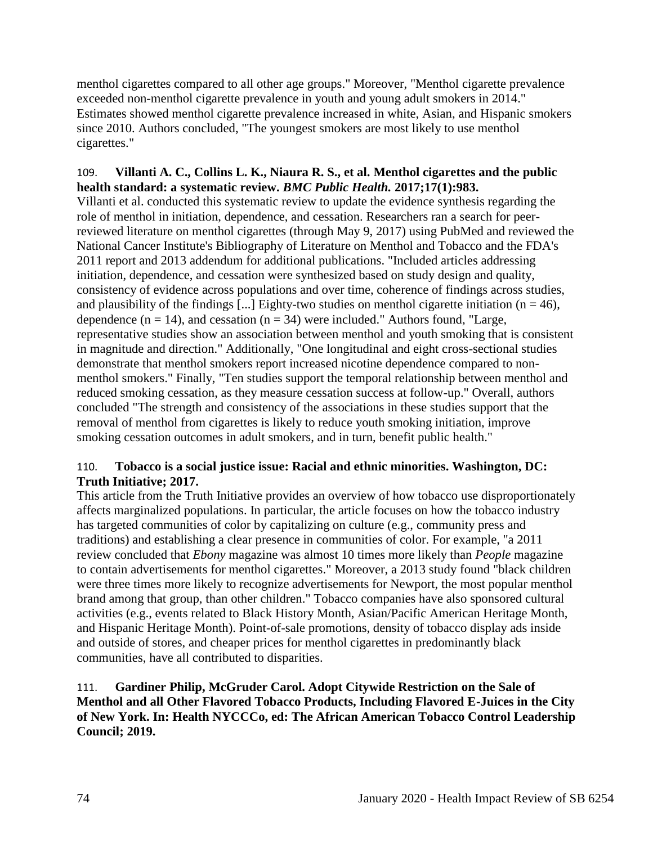menthol cigarettes compared to all other age groups." Moreover, "Menthol cigarette prevalence exceeded non-menthol cigarette prevalence in youth and young adult smokers in 2014." Estimates showed menthol cigarette prevalence increased in white, Asian, and Hispanic smokers since 2010. Authors concluded, "The youngest smokers are most likely to use menthol cigarettes."

# 109. **Villanti A. C., Collins L. K., Niaura R. S., et al. Menthol cigarettes and the public health standard: a systematic review.** *BMC Public Health.* **2017;17(1):983.**

Villanti et al. conducted this systematic review to update the evidence synthesis regarding the role of menthol in initiation, dependence, and cessation. Researchers ran a search for peerreviewed literature on menthol cigarettes (through May 9, 2017) using PubMed and reviewed the National Cancer Institute's Bibliography of Literature on Menthol and Tobacco and the FDA's 2011 report and 2013 addendum for additional publications. "Included articles addressing initiation, dependence, and cessation were synthesized based on study design and quality, consistency of evidence across populations and over time, coherence of findings across studies, and plausibility of the findings [...] Eighty-two studies on menthol cigarette initiation ( $n = 46$ ), dependence  $(n = 14)$ , and cessation  $(n = 34)$  were included." Authors found, "Large, representative studies show an association between menthol and youth smoking that is consistent in magnitude and direction." Additionally, "One longitudinal and eight cross-sectional studies demonstrate that menthol smokers report increased nicotine dependence compared to nonmenthol smokers." Finally, "Ten studies support the temporal relationship between menthol and reduced smoking cessation, as they measure cessation success at follow-up." Overall, authors concluded "The strength and consistency of the associations in these studies support that the removal of menthol from cigarettes is likely to reduce youth smoking initiation, improve smoking cessation outcomes in adult smokers, and in turn, benefit public health."

# 110. **Tobacco is a social justice issue: Racial and ethnic minorities. Washington, DC: Truth Initiative; 2017.**

This article from the Truth Initiative provides an overview of how tobacco use disproportionately affects marginalized populations. In particular, the article focuses on how the tobacco industry has targeted communities of color by capitalizing on culture (e.g., community press and traditions) and establishing a clear presence in communities of color. For example, "a 2011 review concluded that *Ebony* magazine was almost 10 times more likely than *People* magazine to contain advertisements for menthol cigarettes." Moreover, a 2013 study found "black children were three times more likely to recognize advertisements for Newport, the most popular menthol brand among that group, than other children." Tobacco companies have also sponsored cultural activities (e.g., events related to Black History Month, Asian/Pacific American Heritage Month, and Hispanic Heritage Month). Point-of-sale promotions, density of tobacco display ads inside and outside of stores, and cheaper prices for menthol cigarettes in predominantly black communities, have all contributed to disparities.

111. **Gardiner Philip, McGruder Carol. Adopt Citywide Restriction on the Sale of Menthol and all Other Flavored Tobacco Products, Including Flavored E-Juices in the City of New York. In: Health NYCCCo, ed: The African American Tobacco Control Leadership Council; 2019.**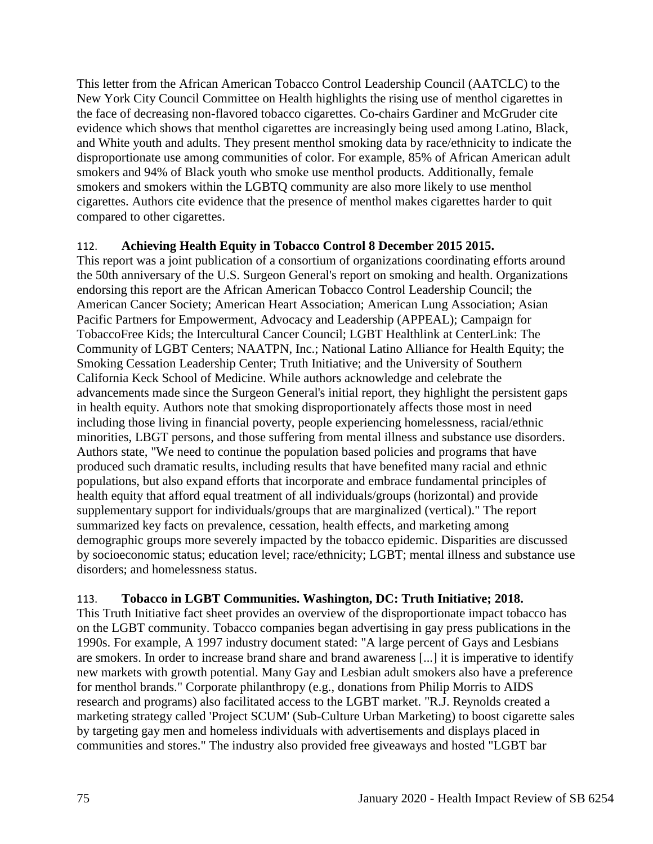This letter from the African American Tobacco Control Leadership Council (AATCLC) to the New York City Council Committee on Health highlights the rising use of menthol cigarettes in the face of decreasing non-flavored tobacco cigarettes. Co-chairs Gardiner and McGruder cite evidence which shows that menthol cigarettes are increasingly being used among Latino, Black, and White youth and adults. They present menthol smoking data by race/ethnicity to indicate the disproportionate use among communities of color. For example, 85% of African American adult smokers and 94% of Black youth who smoke use menthol products. Additionally, female smokers and smokers within the LGBTQ community are also more likely to use menthol cigarettes. Authors cite evidence that the presence of menthol makes cigarettes harder to quit compared to other cigarettes.

### 112. **Achieving Health Equity in Tobacco Control 8 December 2015 2015.**

This report was a joint publication of a consortium of organizations coordinating efforts around the 50th anniversary of the U.S. Surgeon General's report on smoking and health. Organizations endorsing this report are the African American Tobacco Control Leadership Council; the American Cancer Society; American Heart Association; American Lung Association; Asian Pacific Partners for Empowerment, Advocacy and Leadership (APPEAL); Campaign for TobaccoFree Kids; the Intercultural Cancer Council; LGBT Healthlink at CenterLink: The Community of LGBT Centers; NAATPN, Inc.; National Latino Alliance for Health Equity; the Smoking Cessation Leadership Center; Truth Initiative; and the University of Southern California Keck School of Medicine. While authors acknowledge and celebrate the advancements made since the Surgeon General's initial report, they highlight the persistent gaps in health equity. Authors note that smoking disproportionately affects those most in need including those living in financial poverty, people experiencing homelessness, racial/ethnic minorities, LBGT persons, and those suffering from mental illness and substance use disorders. Authors state, "We need to continue the population based policies and programs that have produced such dramatic results, including results that have benefited many racial and ethnic populations, but also expand efforts that incorporate and embrace fundamental principles of health equity that afford equal treatment of all individuals/groups (horizontal) and provide supplementary support for individuals/groups that are marginalized (vertical)." The report summarized key facts on prevalence, cessation, health effects, and marketing among demographic groups more severely impacted by the tobacco epidemic. Disparities are discussed by socioeconomic status; education level; race/ethnicity; LGBT; mental illness and substance use disorders; and homelessness status.

## 113. **Tobacco in LGBT Communities. Washington, DC: Truth Initiative; 2018.**

This Truth Initiative fact sheet provides an overview of the disproportionate impact tobacco has on the LGBT community. Tobacco companies began advertising in gay press publications in the 1990s. For example, A 1997 industry document stated: "A large percent of Gays and Lesbians are smokers. In order to increase brand share and brand awareness [...] it is imperative to identify new markets with growth potential. Many Gay and Lesbian adult smokers also have a preference for menthol brands." Corporate philanthropy (e.g., donations from Philip Morris to AIDS research and programs) also facilitated access to the LGBT market. "R.J. Reynolds created a marketing strategy called 'Project SCUM' (Sub-Culture Urban Marketing) to boost cigarette sales by targeting gay men and homeless individuals with advertisements and displays placed in communities and stores." The industry also provided free giveaways and hosted "LGBT bar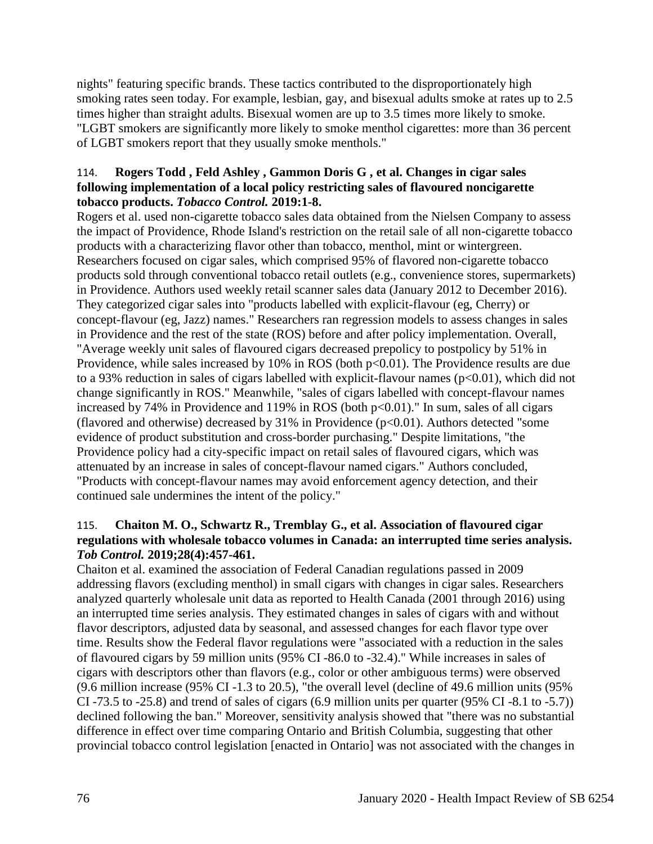nights" featuring specific brands. These tactics contributed to the disproportionately high smoking rates seen today. For example, lesbian, gay, and bisexual adults smoke at rates up to 2.5 times higher than straight adults. Bisexual women are up to 3.5 times more likely to smoke. "LGBT smokers are significantly more likely to smoke menthol cigarettes: more than 36 percent of LGBT smokers report that they usually smoke menthols."

## 114. **Rogers Todd , Feld Ashley , Gammon Doris G , et al. Changes in cigar sales following implementation of a local policy restricting sales of flavoured noncigarette tobacco products.** *Tobacco Control.* **2019:1-8.**

Rogers et al. used non-cigarette tobacco sales data obtained from the Nielsen Company to assess the impact of Providence, Rhode Island's restriction on the retail sale of all non-cigarette tobacco products with a characterizing flavor other than tobacco, menthol, mint or wintergreen. Researchers focused on cigar sales, which comprised 95% of flavored non-cigarette tobacco products sold through conventional tobacco retail outlets (e.g., convenience stores, supermarkets) in Providence. Authors used weekly retail scanner sales data (January 2012 to December 2016). They categorized cigar sales into "products labelled with explicit-flavour (eg, Cherry) or concept-flavour (eg, Jazz) names." Researchers ran regression models to assess changes in sales in Providence and the rest of the state (ROS) before and after policy implementation. Overall, "Average weekly unit sales of flavoured cigars decreased prepolicy to postpolicy by 51% in Providence, while sales increased by  $10\%$  in ROS (both  $p<0.01$ ). The Providence results are due to a 93% reduction in sales of cigars labelled with explicit-flavour names  $(p<0.01)$ , which did not change significantly in ROS." Meanwhile, "sales of cigars labelled with concept-flavour names increased by 74% in Providence and 119% in ROS (both  $p<0.01$ )." In sum, sales of all cigars (flavored and otherwise) decreased by  $31\%$  in Providence ( $p<0.01$ ). Authors detected "some evidence of product substitution and cross-border purchasing." Despite limitations, "the Providence policy had a city-specific impact on retail sales of flavoured cigars, which was attenuated by an increase in sales of concept-flavour named cigars." Authors concluded, "Products with concept-flavour names may avoid enforcement agency detection, and their continued sale undermines the intent of the policy."

## 115. **Chaiton M. O., Schwartz R., Tremblay G., et al. Association of flavoured cigar regulations with wholesale tobacco volumes in Canada: an interrupted time series analysis.**  *Tob Control.* **2019;28(4):457-461.**

Chaiton et al. examined the association of Federal Canadian regulations passed in 2009 addressing flavors (excluding menthol) in small cigars with changes in cigar sales. Researchers analyzed quarterly wholesale unit data as reported to Health Canada (2001 through 2016) using an interrupted time series analysis. They estimated changes in sales of cigars with and without flavor descriptors, adjusted data by seasonal, and assessed changes for each flavor type over time. Results show the Federal flavor regulations were "associated with a reduction in the sales of flavoured cigars by 59 million units (95% CI -86.0 to -32.4)." While increases in sales of cigars with descriptors other than flavors (e.g., color or other ambiguous terms) were observed (9.6 million increase (95% CI -1.3 to 20.5), "the overall level (decline of 49.6 million units (95% CI -73.5 to -25.8) and trend of sales of cigars (6.9 million units per quarter (95% CI -8.1 to -5.7)) declined following the ban." Moreover, sensitivity analysis showed that "there was no substantial difference in effect over time comparing Ontario and British Columbia, suggesting that other provincial tobacco control legislation [enacted in Ontario] was not associated with the changes in